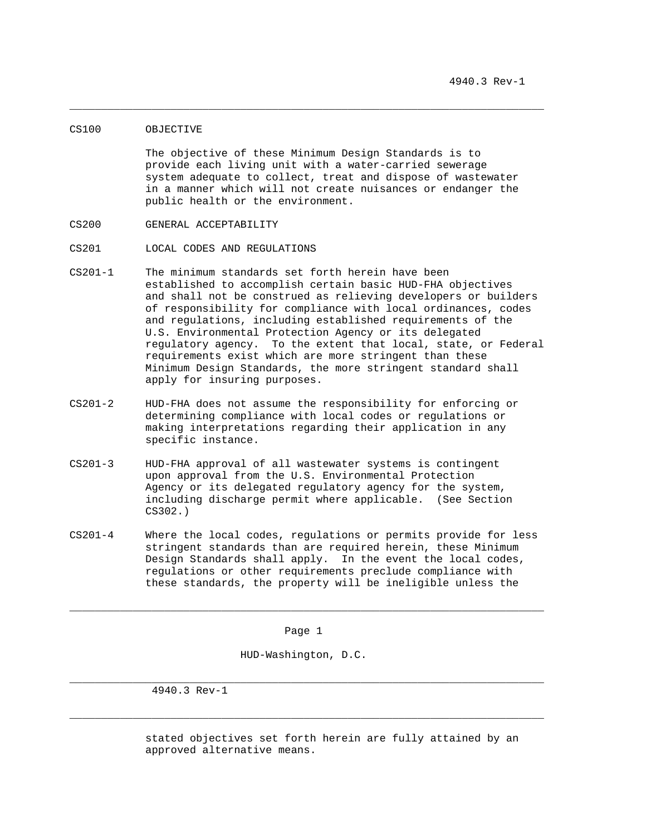## CS100 OBJECTIVE

 The objective of these Minimum Design Standards is to provide each living unit with a water-carried sewerage system adequate to collect, treat and dispose of wastewater in a manner which will not create nuisances or endanger the public health or the environment.

\_\_\_\_\_\_\_\_\_\_\_\_\_\_\_\_\_\_\_\_\_\_\_\_\_\_\_\_\_\_\_\_\_\_\_\_\_\_\_\_\_\_\_\_\_\_\_\_\_\_\_\_\_\_\_\_\_\_\_\_\_\_\_\_\_\_\_\_\_\_\_\_\_\_\_

- CS200 GENERAL ACCEPTABILITY
- CS201 LOCAL CODES AND REGULATIONS
- CS201-1 The minimum standards set forth herein have been established to accomplish certain basic HUD-FHA objectives and shall not be construed as relieving developers or builders of responsibility for compliance with local ordinances, codes and regulations, including established requirements of the U.S. Environmental Protection Agency or its delegated regulatory agency. To the extent that local, state, or Federal requirements exist which are more stringent than these Minimum Design Standards, the more stringent standard shall apply for insuring purposes.
- CS201-2 HUD-FHA does not assume the responsibility for enforcing or determining compliance with local codes or regulations or making interpretations regarding their application in any specific instance.
- CS201-3 HUD-FHA approval of all wastewater systems is contingent upon approval from the U.S. Environmental Protection Agency or its delegated regulatory agency for the system, including discharge permit where applicable. (See Section CS302.)
- CS201-4 Where the local codes, regulations or permits provide for less stringent standards than are required herein, these Minimum Design Standards shall apply. In the event the local codes, regulations or other requirements preclude compliance with these standards, the property will be ineligible unless the

Page 1

\_\_\_\_\_\_\_\_\_\_\_\_\_\_\_\_\_\_\_\_\_\_\_\_\_\_\_\_\_\_\_\_\_\_\_\_\_\_\_\_\_\_\_\_\_\_\_\_\_\_\_\_\_\_\_\_\_\_\_\_\_\_\_\_\_\_\_\_\_\_\_\_\_\_\_

HUD-Washington, D.C.

\_\_\_\_\_\_\_\_\_\_\_\_\_\_\_\_\_\_\_\_\_\_\_\_\_\_\_\_\_\_\_\_\_\_\_\_\_\_\_\_\_\_\_\_\_\_\_\_\_\_\_\_\_\_\_\_\_\_\_\_\_\_\_\_\_\_\_\_\_\_\_\_\_\_\_

\_\_\_\_\_\_\_\_\_\_\_\_\_\_\_\_\_\_\_\_\_\_\_\_\_\_\_\_\_\_\_\_\_\_\_\_\_\_\_\_\_\_\_\_\_\_\_\_\_\_\_\_\_\_\_\_\_\_\_\_\_\_\_\_\_\_\_\_\_\_\_\_\_\_\_

4940.3 Rev-1

 stated objectives set forth herein are fully attained by an approved alternative means.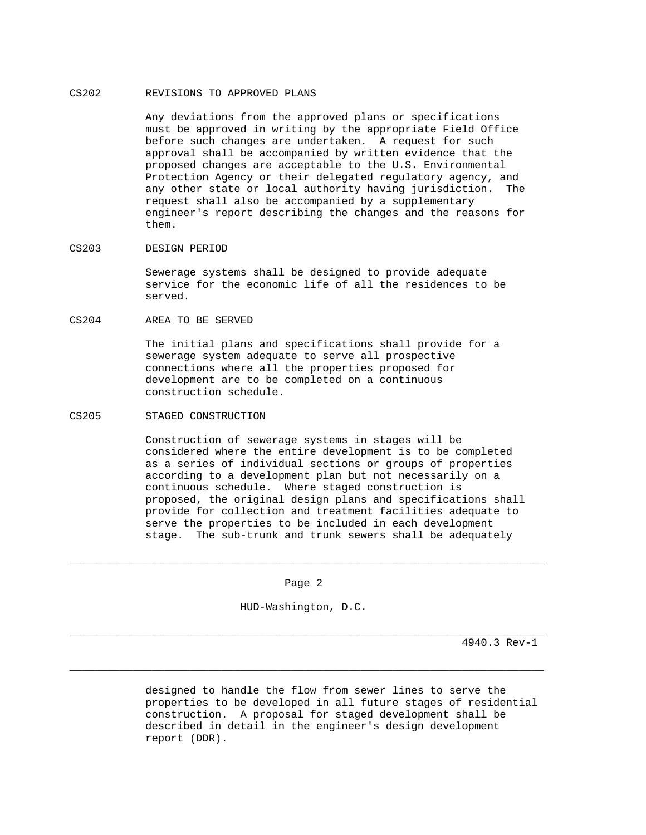# CS202 REVISIONS TO APPROVED PLANS

 Any deviations from the approved plans or specifications must be approved in writing by the appropriate Field Office before such changes are undertaken. A request for such approval shall be accompanied by written evidence that the proposed changes are acceptable to the U.S. Environmental Protection Agency or their delegated regulatory agency, and any other state or local authority having jurisdiction. The request shall also be accompanied by a supplementary engineer's report describing the changes and the reasons for them.

# CS203 DESIGN PERIOD

 Sewerage systems shall be designed to provide adequate service for the economic life of all the residences to be served.

CS204 AREA TO BE SERVED

 The initial plans and specifications shall provide for a sewerage system adequate to serve all prospective connections where all the properties proposed for development are to be completed on a continuous construction schedule.

## CS205 STAGED CONSTRUCTION

 Construction of sewerage systems in stages will be considered where the entire development is to be completed as a series of individual sections or groups of properties according to a development plan but not necessarily on a continuous schedule. Where staged construction is proposed, the original design plans and specifications shall provide for collection and treatment facilities adequate to serve the properties to be included in each development stage. The sub-trunk and trunk sewers shall be adequately

Page 2

\_\_\_\_\_\_\_\_\_\_\_\_\_\_\_\_\_\_\_\_\_\_\_\_\_\_\_\_\_\_\_\_\_\_\_\_\_\_\_\_\_\_\_\_\_\_\_\_\_\_\_\_\_\_\_\_\_\_\_\_\_\_\_\_\_\_\_\_\_\_\_\_\_\_\_

HUD-Washington, D.C.

\_\_\_\_\_\_\_\_\_\_\_\_\_\_\_\_\_\_\_\_\_\_\_\_\_\_\_\_\_\_\_\_\_\_\_\_\_\_\_\_\_\_\_\_\_\_\_\_\_\_\_\_\_\_\_\_\_\_\_\_\_\_\_\_\_\_\_\_\_\_\_\_\_\_\_

\_\_\_\_\_\_\_\_\_\_\_\_\_\_\_\_\_\_\_\_\_\_\_\_\_\_\_\_\_\_\_\_\_\_\_\_\_\_\_\_\_\_\_\_\_\_\_\_\_\_\_\_\_\_\_\_\_\_\_\_\_\_\_\_\_\_\_\_\_\_\_\_\_\_\_

4940.3 Rev-1

 designed to handle the flow from sewer lines to serve the properties to be developed in all future stages of residential construction. A proposal for staged development shall be described in detail in the engineer's design development report (DDR).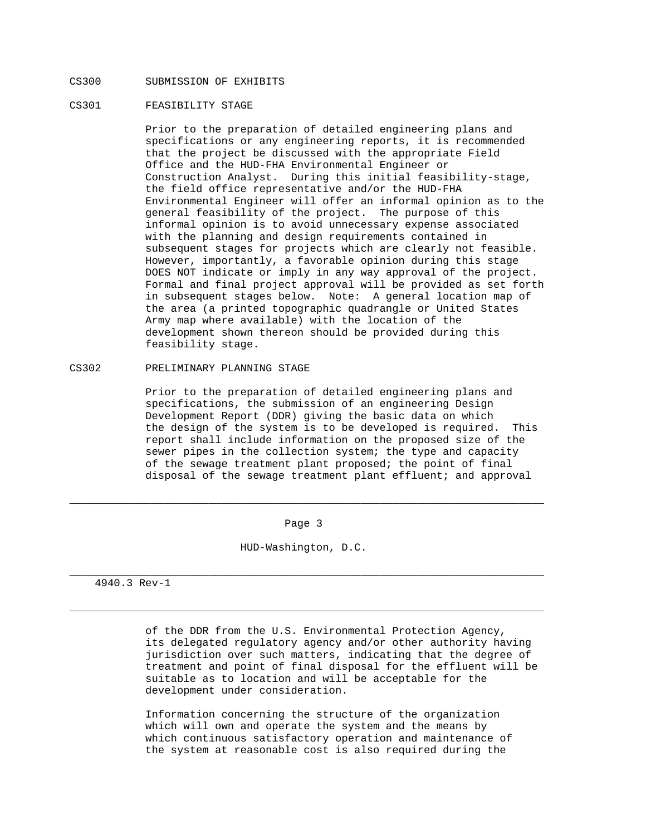# CS300 SUBMISSION OF EXHIBITS

## CS301 FEASIBILITY STAGE

 Prior to the preparation of detailed engineering plans and specifications or any engineering reports, it is recommended that the project be discussed with the appropriate Field Office and the HUD-FHA Environmental Engineer or Construction Analyst. During this initial feasibility-stage, the field office representative and/or the HUD-FHA Environmental Engineer will offer an informal opinion as to the general feasibility of the project. The purpose of this informal opinion is to avoid unnecessary expense associated with the planning and design requirements contained in subsequent stages for projects which are clearly not feasible. However, importantly, a favorable opinion during this stage DOES NOT indicate or imply in any way approval of the project. Formal and final project approval will be provided as set forth in subsequent stages below. Note: A general location map of the area (a printed topographic quadrangle or United States Army map where available) with the location of the development shown thereon should be provided during this feasibility stage.

## CS302 PRELIMINARY PLANNING STAGE

 Prior to the preparation of detailed engineering plans and specifications, the submission of an engineering Design Development Report (DDR) giving the basic data on which the design of the system is to be developed is required. This report shall include information on the proposed size of the sewer pipes in the collection system; the type and capacity of the sewage treatment plant proposed; the point of final disposal of the sewage treatment plant effluent; and approval

Page 3

\_\_\_\_\_\_\_\_\_\_\_\_\_\_\_\_\_\_\_\_\_\_\_\_\_\_\_\_\_\_\_\_\_\_\_\_\_\_\_\_\_\_\_\_\_\_\_\_\_\_\_\_\_\_\_\_\_\_\_\_\_\_\_\_\_\_\_\_\_\_\_\_\_\_\_

HUD-Washington, D.C.

\_\_\_\_\_\_\_\_\_\_\_\_\_\_\_\_\_\_\_\_\_\_\_\_\_\_\_\_\_\_\_\_\_\_\_\_\_\_\_\_\_\_\_\_\_\_\_\_\_\_\_\_\_\_\_\_\_\_\_\_\_\_\_\_\_\_\_\_\_\_\_\_\_\_\_

\_\_\_\_\_\_\_\_\_\_\_\_\_\_\_\_\_\_\_\_\_\_\_\_\_\_\_\_\_\_\_\_\_\_\_\_\_\_\_\_\_\_\_\_\_\_\_\_\_\_\_\_\_\_\_\_\_\_\_\_\_\_\_\_\_\_\_\_\_\_\_\_\_\_\_

4940.3 Rev-1

 of the DDR from the U.S. Environmental Protection Agency, its delegated regulatory agency and/or other authority having jurisdiction over such matters, indicating that the degree of treatment and point of final disposal for the effluent will be suitable as to location and will be acceptable for the development under consideration.

 Information concerning the structure of the organization which will own and operate the system and the means by which continuous satisfactory operation and maintenance of the system at reasonable cost is also required during the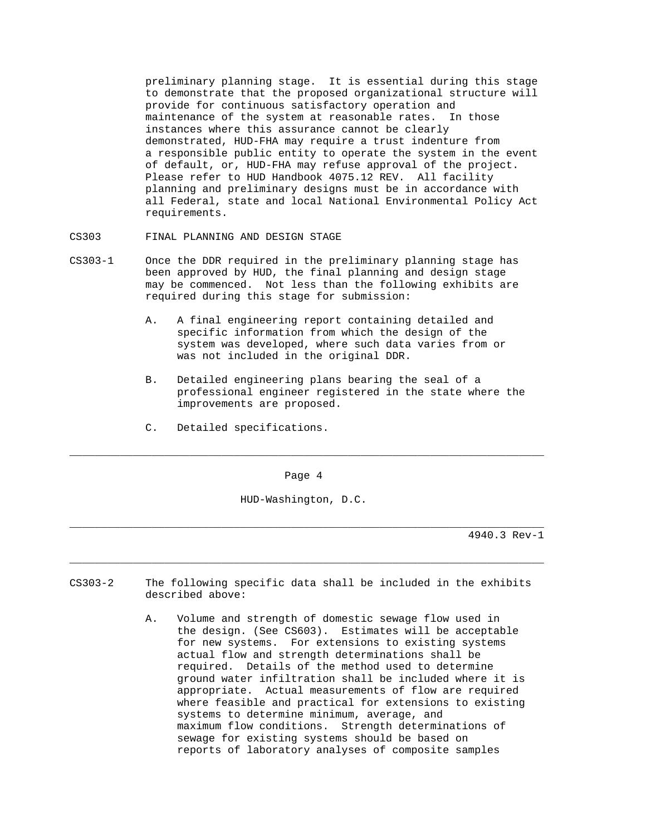preliminary planning stage. It is essential during this stage to demonstrate that the proposed organizational structure will provide for continuous satisfactory operation and maintenance of the system at reasonable rates. In those instances where this assurance cannot be clearly demonstrated, HUD-FHA may require a trust indenture from a responsible public entity to operate the system in the event of default, or, HUD-FHA may refuse approval of the project. Please refer to HUD Handbook 4075.12 REV. All facility planning and preliminary designs must be in accordance with all Federal, state and local National Environmental Policy Act requirements.

- CS303 FINAL PLANNING AND DESIGN STAGE
- CS303-1 Once the DDR required in the preliminary planning stage has been approved by HUD, the final planning and design stage may be commenced. Not less than the following exhibits are required during this stage for submission:
	- A. A final engineering report containing detailed and specific information from which the design of the system was developed, where such data varies from or was not included in the original DDR.
	- B. Detailed engineering plans bearing the seal of a professional engineer registered in the state where the improvements are proposed.
	- C. Detailed specifications.

Page 4

\_\_\_\_\_\_\_\_\_\_\_\_\_\_\_\_\_\_\_\_\_\_\_\_\_\_\_\_\_\_\_\_\_\_\_\_\_\_\_\_\_\_\_\_\_\_\_\_\_\_\_\_\_\_\_\_\_\_\_\_\_\_\_\_\_\_\_\_\_\_\_\_\_\_\_

HUD-Washington, D.C.

\_\_\_\_\_\_\_\_\_\_\_\_\_\_\_\_\_\_\_\_\_\_\_\_\_\_\_\_\_\_\_\_\_\_\_\_\_\_\_\_\_\_\_\_\_\_\_\_\_\_\_\_\_\_\_\_\_\_\_\_\_\_\_\_\_\_\_\_\_\_\_\_\_\_\_

\_\_\_\_\_\_\_\_\_\_\_\_\_\_\_\_\_\_\_\_\_\_\_\_\_\_\_\_\_\_\_\_\_\_\_\_\_\_\_\_\_\_\_\_\_\_\_\_\_\_\_\_\_\_\_\_\_\_\_\_\_\_\_\_\_\_\_\_\_\_\_\_\_\_\_

- CS303-2 The following specific data shall be included in the exhibits described above:
	- A. Volume and strength of domestic sewage flow used in the design. (See CS603). Estimates will be acceptable for new systems. For extensions to existing systems actual flow and strength determinations shall be required. Details of the method used to determine ground water infiltration shall be included where it is appropriate. Actual measurements of flow are required where feasible and practical for extensions to existing systems to determine minimum, average, and maximum flow conditions. Strength determinations of sewage for existing systems should be based on reports of laboratory analyses of composite samples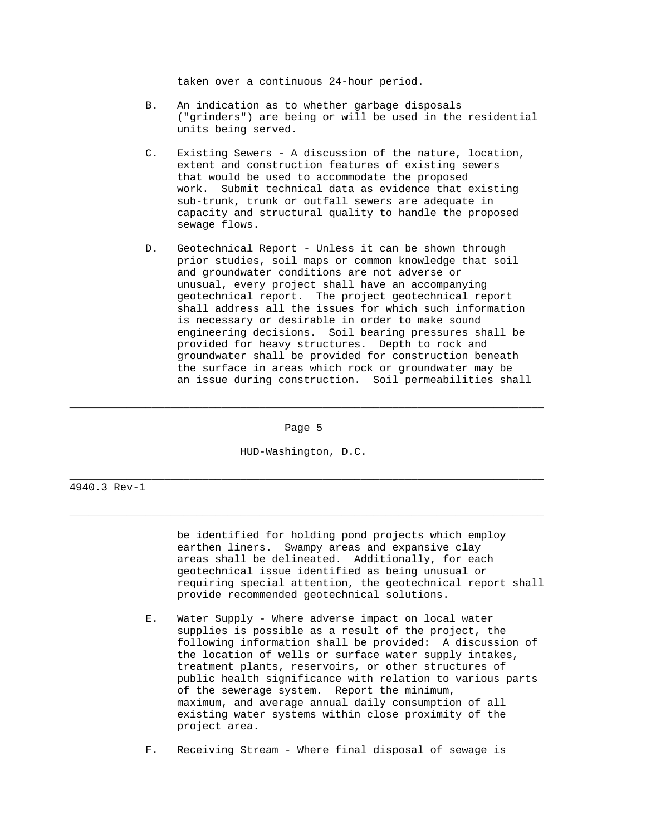taken over a continuous 24-hour period.

- B. An indication as to whether garbage disposals ("grinders") are being or will be used in the residential units being served.
- C. Existing Sewers A discussion of the nature, location, extent and construction features of existing sewers that would be used to accommodate the proposed work. Submit technical data as evidence that existing sub-trunk, trunk or outfall sewers are adequate in capacity and structural quality to handle the proposed sewage flows.
- D. Geotechnical Report Unless it can be shown through prior studies, soil maps or common knowledge that soil and groundwater conditions are not adverse or unusual, every project shall have an accompanying geotechnical report. The project geotechnical report shall address all the issues for which such information is necessary or desirable in order to make sound engineering decisions. Soil bearing pressures shall be provided for heavy structures. Depth to rock and groundwater shall be provided for construction beneath the surface in areas which rock or groundwater may be an issue during construction. Soil permeabilities shall

Page 5

\_\_\_\_\_\_\_\_\_\_\_\_\_\_\_\_\_\_\_\_\_\_\_\_\_\_\_\_\_\_\_\_\_\_\_\_\_\_\_\_\_\_\_\_\_\_\_\_\_\_\_\_\_\_\_\_\_\_\_\_\_\_\_\_\_\_\_\_\_\_\_\_\_\_\_

HUD-Washington, D.C.

\_\_\_\_\_\_\_\_\_\_\_\_\_\_\_\_\_\_\_\_\_\_\_\_\_\_\_\_\_\_\_\_\_\_\_\_\_\_\_\_\_\_\_\_\_\_\_\_\_\_\_\_\_\_\_\_\_\_\_\_\_\_\_\_\_\_\_\_\_\_\_\_\_\_\_

\_\_\_\_\_\_\_\_\_\_\_\_\_\_\_\_\_\_\_\_\_\_\_\_\_\_\_\_\_\_\_\_\_\_\_\_\_\_\_\_\_\_\_\_\_\_\_\_\_\_\_\_\_\_\_\_\_\_\_\_\_\_\_\_\_\_\_\_\_\_\_\_\_\_\_

4940.3 Rev-1

 be identified for holding pond projects which employ earthen liners. Swampy areas and expansive clay areas shall be delineated. Additionally, for each geotechnical issue identified as being unusual or requiring special attention, the geotechnical report shall provide recommended geotechnical solutions.

 E. Water Supply - Where adverse impact on local water supplies is possible as a result of the project, the following information shall be provided: A discussion of the location of wells or surface water supply intakes, treatment plants, reservoirs, or other structures of public health significance with relation to various parts of the sewerage system. Report the minimum, maximum, and average annual daily consumption of all existing water systems within close proximity of the project area.

F. Receiving Stream - Where final disposal of sewage is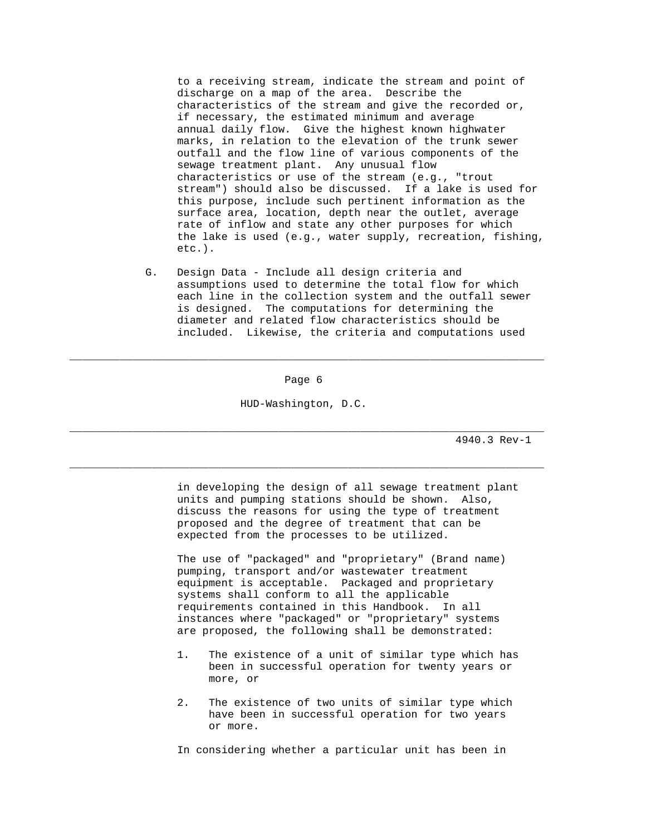to a receiving stream, indicate the stream and point of discharge on a map of the area. Describe the characteristics of the stream and give the recorded or, if necessary, the estimated minimum and average annual daily flow. Give the highest known highwater marks, in relation to the elevation of the trunk sewer outfall and the flow line of various components of the sewage treatment plant. Any unusual flow characteristics or use of the stream (e.g., "trout stream") should also be discussed. If a lake is used for this purpose, include such pertinent information as the surface area, location, depth near the outlet, average rate of inflow and state any other purposes for which the lake is used (e.g., water supply, recreation, fishing, etc.).

 G. Design Data - Include all design criteria and assumptions used to determine the total flow for which each line in the collection system and the outfall sewer is designed. The computations for determining the diameter and related flow characteristics should be included. Likewise, the criteria and computations used

Page 6

\_\_\_\_\_\_\_\_\_\_\_\_\_\_\_\_\_\_\_\_\_\_\_\_\_\_\_\_\_\_\_\_\_\_\_\_\_\_\_\_\_\_\_\_\_\_\_\_\_\_\_\_\_\_\_\_\_\_\_\_\_\_\_\_\_\_\_\_\_\_\_\_\_\_\_

HUD-Washington, D.C.

\_\_\_\_\_\_\_\_\_\_\_\_\_\_\_\_\_\_\_\_\_\_\_\_\_\_\_\_\_\_\_\_\_\_\_\_\_\_\_\_\_\_\_\_\_\_\_\_\_\_\_\_\_\_\_\_\_\_\_\_\_\_\_\_\_\_\_\_\_\_\_\_\_\_\_

\_\_\_\_\_\_\_\_\_\_\_\_\_\_\_\_\_\_\_\_\_\_\_\_\_\_\_\_\_\_\_\_\_\_\_\_\_\_\_\_\_\_\_\_\_\_\_\_\_\_\_\_\_\_\_\_\_\_\_\_\_\_\_\_\_\_\_\_\_\_\_\_\_\_\_

4940.3 Rev-1

 in developing the design of all sewage treatment plant units and pumping stations should be shown. Also, discuss the reasons for using the type of treatment proposed and the degree of treatment that can be expected from the processes to be utilized.

 The use of "packaged" and "proprietary" (Brand name) pumping, transport and/or wastewater treatment equipment is acceptable. Packaged and proprietary systems shall conform to all the applicable requirements contained in this Handbook. In all instances where "packaged" or "proprietary" systems are proposed, the following shall be demonstrated:

- 1. The existence of a unit of similar type which has been in successful operation for twenty years or more, or
- 2. The existence of two units of similar type which have been in successful operation for two years or more.

In considering whether a particular unit has been in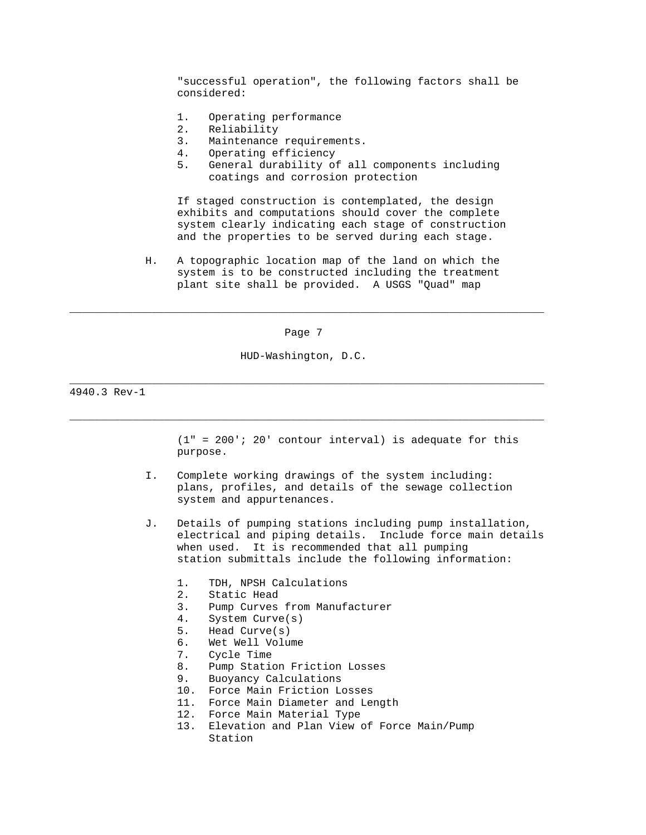"successful operation", the following factors shall be considered:

- 1. Operating performance<br>2. Reliability
- Reliability
- 3. Maintenance requirements.
- 4. Operating efficiency
- 5. General durability of all components including coatings and corrosion protection

 If staged construction is contemplated, the design exhibits and computations should cover the complete system clearly indicating each stage of construction and the properties to be served during each stage.

 H. A topographic location map of the land on which the system is to be constructed including the treatment plant site shall be provided. A USGS "Quad" map

Page 7

\_\_\_\_\_\_\_\_\_\_\_\_\_\_\_\_\_\_\_\_\_\_\_\_\_\_\_\_\_\_\_\_\_\_\_\_\_\_\_\_\_\_\_\_\_\_\_\_\_\_\_\_\_\_\_\_\_\_\_\_\_\_\_\_\_\_\_\_\_\_\_\_\_\_\_

HUD-Washington, D.C.

\_\_\_\_\_\_\_\_\_\_\_\_\_\_\_\_\_\_\_\_\_\_\_\_\_\_\_\_\_\_\_\_\_\_\_\_\_\_\_\_\_\_\_\_\_\_\_\_\_\_\_\_\_\_\_\_\_\_\_\_\_\_\_\_\_\_\_\_\_\_\_\_\_\_\_

\_\_\_\_\_\_\_\_\_\_\_\_\_\_\_\_\_\_\_\_\_\_\_\_\_\_\_\_\_\_\_\_\_\_\_\_\_\_\_\_\_\_\_\_\_\_\_\_\_\_\_\_\_\_\_\_\_\_\_\_\_\_\_\_\_\_\_\_\_\_\_\_\_\_\_

4940.3 Rev-1

 $(1" = 200'$ ; 20' contour interval) is adequate for this purpose.

- I. Complete working drawings of the system including: plans, profiles, and details of the sewage collection system and appurtenances.
- J. Details of pumping stations including pump installation, electrical and piping details. Include force main details when used. It is recommended that all pumping station submittals include the following information:
	- 1. TDH, NPSH Calculations
	- 2. Static Head
	- 3. Pump Curves from Manufacturer
	- 4. System Curve(s)
	- 5. Head Curve(s)
	- 6. Wet Well Volume
	- 7. Cycle Time
	- 8. Pump Station Friction Losses
	- 9. Buoyancy Calculations
	- 10. Force Main Friction Losses
	- 11. Force Main Diameter and Length
	- 12. Force Main Material Type
	- 13. Elevation and Plan View of Force Main/Pump Station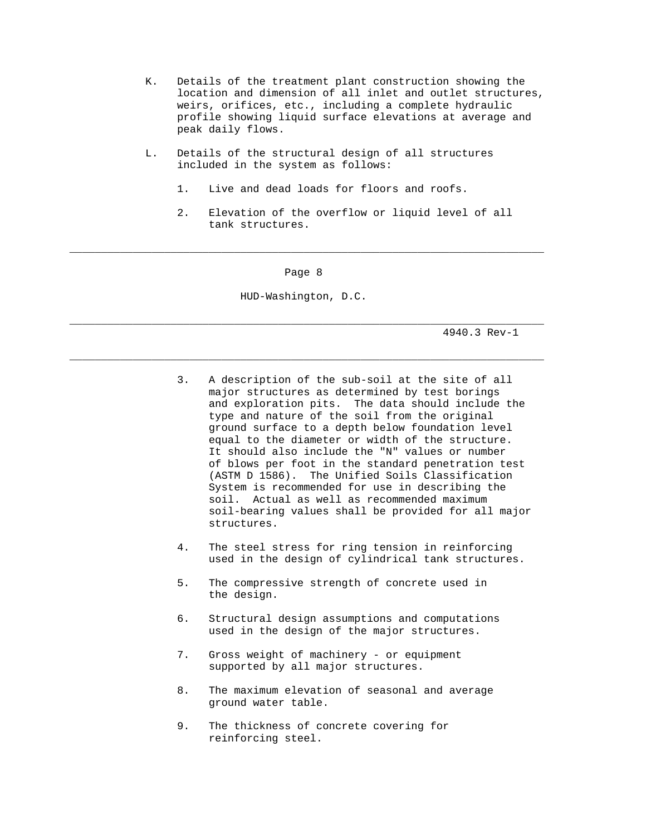- K. Details of the treatment plant construction showing the location and dimension of all inlet and outlet structures, weirs, orifices, etc., including a complete hydraulic profile showing liquid surface elevations at average and peak daily flows.
- L. Details of the structural design of all structures included in the system as follows:
	- 1. Live and dead loads for floors and roofs.
	- 2. Elevation of the overflow or liquid level of all tank structures.

Page 8

\_\_\_\_\_\_\_\_\_\_\_\_\_\_\_\_\_\_\_\_\_\_\_\_\_\_\_\_\_\_\_\_\_\_\_\_\_\_\_\_\_\_\_\_\_\_\_\_\_\_\_\_\_\_\_\_\_\_\_\_\_\_\_\_\_\_\_\_\_\_\_\_\_\_\_

HUD-Washington, D.C.

\_\_\_\_\_\_\_\_\_\_\_\_\_\_\_\_\_\_\_\_\_\_\_\_\_\_\_\_\_\_\_\_\_\_\_\_\_\_\_\_\_\_\_\_\_\_\_\_\_\_\_\_\_\_\_\_\_\_\_\_\_\_\_\_\_\_\_\_\_\_\_\_\_\_\_

\_\_\_\_\_\_\_\_\_\_\_\_\_\_\_\_\_\_\_\_\_\_\_\_\_\_\_\_\_\_\_\_\_\_\_\_\_\_\_\_\_\_\_\_\_\_\_\_\_\_\_\_\_\_\_\_\_\_\_\_\_\_\_\_\_\_\_\_\_\_\_\_\_\_\_

- 3. A description of the sub-soil at the site of all major structures as determined by test borings and exploration pits. The data should include the type and nature of the soil from the original ground surface to a depth below foundation level equal to the diameter or width of the structure. It should also include the "N" values or number of blows per foot in the standard penetration test (ASTM D 1586). The Unified Soils Classification System is recommended for use in describing the soil. Actual as well as recommended maximum soil-bearing values shall be provided for all major structures.
- 4. The steel stress for ring tension in reinforcing used in the design of cylindrical tank structures.
- 5. The compressive strength of concrete used in the design.
- 6. Structural design assumptions and computations used in the design of the major structures.
- 7. Gross weight of machinery or equipment supported by all major structures.
- 8. The maximum elevation of seasonal and average ground water table.
- 9. The thickness of concrete covering for reinforcing steel.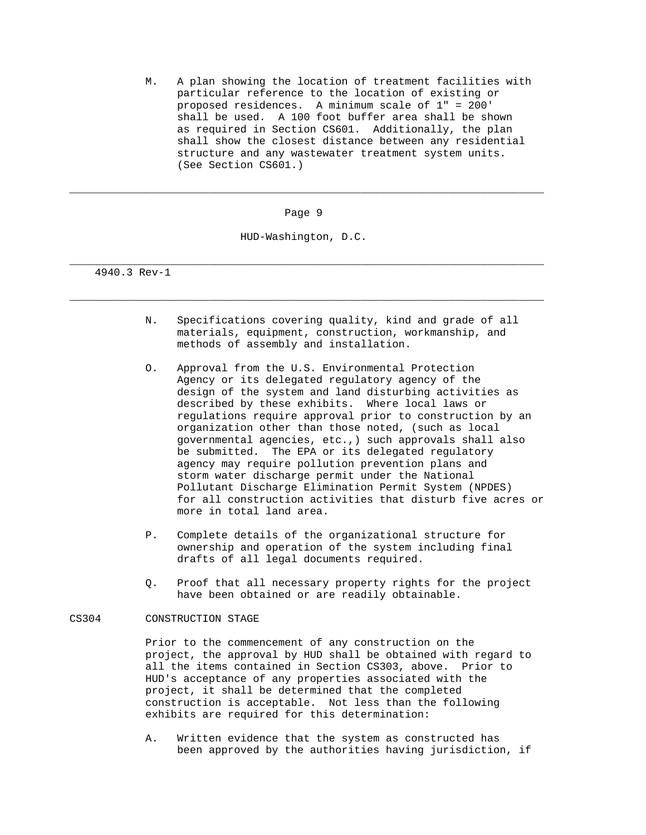M. A plan showing the location of treatment facilities with particular reference to the location of existing or proposed residences. A minimum scale of 1" = 200' shall be used. A 100 foot buffer area shall be shown as required in Section CS601. Additionally, the plan shall show the closest distance between any residential structure and any wastewater treatment system units. (See Section CS601.)

Page 9

\_\_\_\_\_\_\_\_\_\_\_\_\_\_\_\_\_\_\_\_\_\_\_\_\_\_\_\_\_\_\_\_\_\_\_\_\_\_\_\_\_\_\_\_\_\_\_\_\_\_\_\_\_\_\_\_\_\_\_\_\_\_\_\_\_\_\_\_\_\_\_\_\_\_\_

HUD-Washington, D.C.

\_\_\_\_\_\_\_\_\_\_\_\_\_\_\_\_\_\_\_\_\_\_\_\_\_\_\_\_\_\_\_\_\_\_\_\_\_\_\_\_\_\_\_\_\_\_\_\_\_\_\_\_\_\_\_\_\_\_\_\_\_\_\_\_\_\_\_\_\_\_\_\_\_\_\_

\_\_\_\_\_\_\_\_\_\_\_\_\_\_\_\_\_\_\_\_\_\_\_\_\_\_\_\_\_\_\_\_\_\_\_\_\_\_\_\_\_\_\_\_\_\_\_\_\_\_\_\_\_\_\_\_\_\_\_\_\_\_\_\_\_\_\_\_\_\_\_\_\_\_\_

4940.3 Rev-1

- N. Specifications covering quality, kind and grade of all materials, equipment, construction, workmanship, and methods of assembly and installation.
- O. Approval from the U.S. Environmental Protection Agency or its delegated regulatory agency of the design of the system and land disturbing activities as described by these exhibits. Where local laws or regulations require approval prior to construction by an organization other than those noted, (such as local governmental agencies, etc.,) such approvals shall also be submitted. The EPA or its delegated regulatory agency may require pollution prevention plans and storm water discharge permit under the National Pollutant Discharge Elimination Permit System (NPDES) for all construction activities that disturb five acres or more in total land area.
- P. Complete details of the organizational structure for ownership and operation of the system including final drafts of all legal documents required.
- Q. Proof that all necessary property rights for the project have been obtained or are readily obtainable.

## CS304 CONSTRUCTION STAGE

 Prior to the commencement of any construction on the project, the approval by HUD shall be obtained with regard to all the items contained in Section CS303, above. Prior to HUD's acceptance of any properties associated with the project, it shall be determined that the completed construction is acceptable. Not less than the following exhibits are required for this determination:

 A. Written evidence that the system as constructed has been approved by the authorities having jurisdiction, if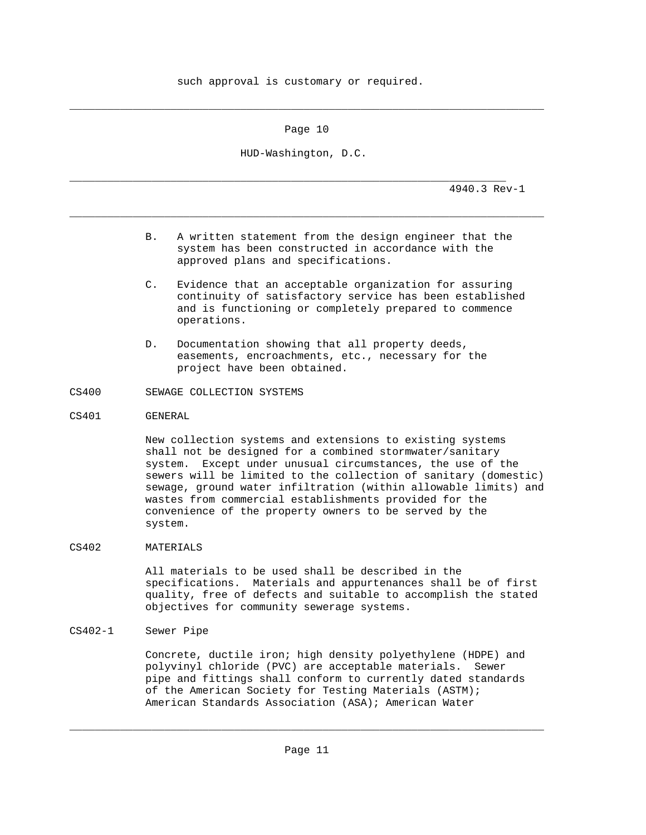such approval is customary or required.

Page 10

\_\_\_\_\_\_\_\_\_\_\_\_\_\_\_\_\_\_\_\_\_\_\_\_\_\_\_\_\_\_\_\_\_\_\_\_\_\_\_\_\_\_\_\_\_\_\_\_\_\_\_\_\_\_\_\_\_\_\_\_\_\_\_\_\_\_\_\_\_\_\_\_\_\_\_

HUD-Washington, D.C.

\_\_\_\_\_\_\_\_\_\_\_\_\_\_\_\_\_\_\_\_\_\_\_\_\_\_\_\_\_\_\_\_\_\_\_\_\_\_\_\_\_\_\_\_\_\_\_\_\_\_\_\_\_\_\_\_\_\_\_\_\_\_\_\_\_\_\_\_\_\_\_\_\_\_\_

\_\_\_\_\_\_\_\_\_\_\_\_\_\_\_\_\_\_\_\_\_\_\_\_\_\_\_\_\_\_\_\_\_\_\_\_\_\_\_\_\_\_\_\_\_\_\_\_\_\_\_\_\_\_\_\_\_\_\_\_\_\_\_\_\_\_\_\_\_

4940.3 Rev-1

- B. A written statement from the design engineer that the system has been constructed in accordance with the approved plans and specifications.
- C. Evidence that an acceptable organization for assuring continuity of satisfactory service has been established and is functioning or completely prepared to commence operations.
- D. Documentation showing that all property deeds, easements, encroachments, etc., necessary for the project have been obtained.
- CS400 SEWAGE COLLECTION SYSTEMS
- CS401 GENERAL

 New collection systems and extensions to existing systems shall not be designed for a combined stormwater/sanitary system. Except under unusual circumstances, the use of the sewers will be limited to the collection of sanitary (domestic) sewage, ground water infiltration (within allowable limits) and wastes from commercial establishments provided for the convenience of the property owners to be served by the system.

CS402 MATERIALS

 All materials to be used shall be described in the specifications. Materials and appurtenances shall be of first quality, free of defects and suitable to accomplish the stated objectives for community sewerage systems.

CS402-1 Sewer Pipe

 Concrete, ductile iron; high density polyethylene (HDPE) and polyvinyl chloride (PVC) are acceptable materials. Sewer pipe and fittings shall conform to currently dated standards of the American Society for Testing Materials (ASTM); American Standards Association (ASA); American Water

\_\_\_\_\_\_\_\_\_\_\_\_\_\_\_\_\_\_\_\_\_\_\_\_\_\_\_\_\_\_\_\_\_\_\_\_\_\_\_\_\_\_\_\_\_\_\_\_\_\_\_\_\_\_\_\_\_\_\_\_\_\_\_\_\_\_\_\_\_\_\_\_\_\_\_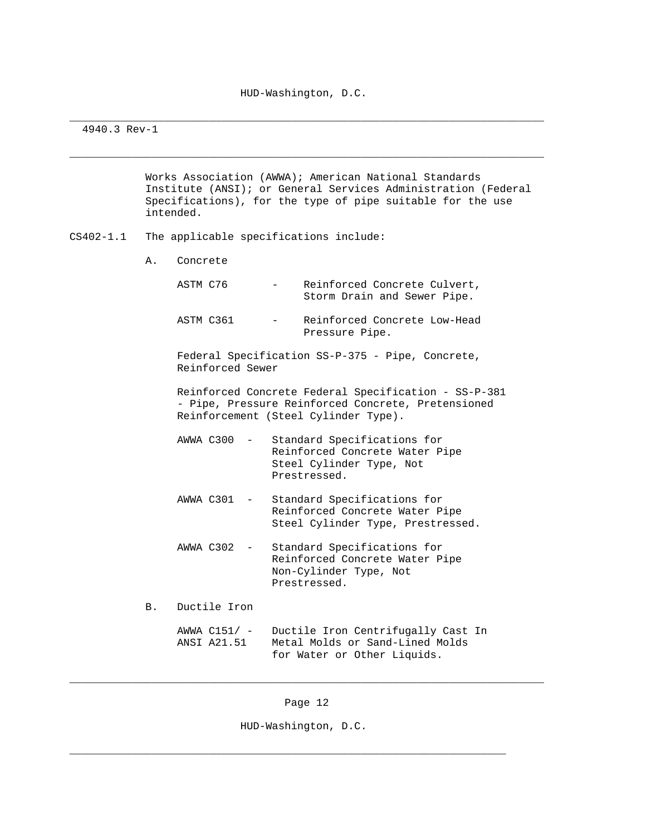\_\_\_\_\_\_\_\_\_\_\_\_\_\_\_\_\_\_\_\_\_\_\_\_\_\_\_\_\_\_\_\_\_\_\_\_\_\_\_\_\_\_\_\_\_\_\_\_\_\_\_\_\_\_\_\_\_\_\_\_\_\_\_\_\_\_\_\_\_\_\_\_\_\_\_

\_\_\_\_\_\_\_\_\_\_\_\_\_\_\_\_\_\_\_\_\_\_\_\_\_\_\_\_\_\_\_\_\_\_\_\_\_\_\_\_\_\_\_\_\_\_\_\_\_\_\_\_\_\_\_\_\_\_\_\_\_\_\_\_\_\_\_\_\_\_\_\_\_\_\_

## 4940.3 Rev-1

 Works Association (AWWA); American National Standards Institute (ANSI); or General Services Administration (Federal Specifications), for the type of pipe suitable for the use intended.

- CS402-1.1 The applicable specifications include:
	- A. Concrete

| ASTM C76  |                  | Reinforced Concrete Culvert,<br>Storm Drain and Sewer Pipe. |
|-----------|------------------|-------------------------------------------------------------|
| ASTM C361 | $\sim$ 100 $\mu$ | Reinforced Concrete Low-Head<br>Pressure Pipe.              |

 Federal Specification SS-P-375 - Pipe, Concrete, Reinforced Sewer

 Reinforced Concrete Federal Specification - SS-P-381 - Pipe, Pressure Reinforced Concrete, Pretensioned Reinforcement (Steel Cylinder Type).

- AWWA C300 Standard Specifications for Reinforced Concrete Water Pipe Steel Cylinder Type, Not Prestressed.
- AWWA C301 Standard Specifications for Reinforced Concrete Water Pipe Steel Cylinder Type, Prestressed.
- AWWA C302 Standard Specifications for Reinforced Concrete Water Pipe Non-Cylinder Type, Not Prestressed.
- B. Ductile Iron

|             | AWWA $C151/ -$ Ductile Iron Centrifugally Cast In |
|-------------|---------------------------------------------------|
| ANSI A21.51 | Metal Molds or Sand-Lined Molds                   |
|             | for Water or Other Liquids.                       |

\_\_\_\_\_\_\_\_\_\_\_\_\_\_\_\_\_\_\_\_\_\_\_\_\_\_\_\_\_\_\_\_\_\_\_\_\_\_\_\_\_\_\_\_\_\_\_\_\_\_\_\_\_\_\_\_\_\_\_\_\_\_\_\_\_\_\_\_\_\_\_\_\_\_\_

HUD-Washington, D.C.

\_\_\_\_\_\_\_\_\_\_\_\_\_\_\_\_\_\_\_\_\_\_\_\_\_\_\_\_\_\_\_\_\_\_\_\_\_\_\_\_\_\_\_\_\_\_\_\_\_\_\_\_\_\_\_\_\_\_\_\_\_\_\_\_\_\_\_\_\_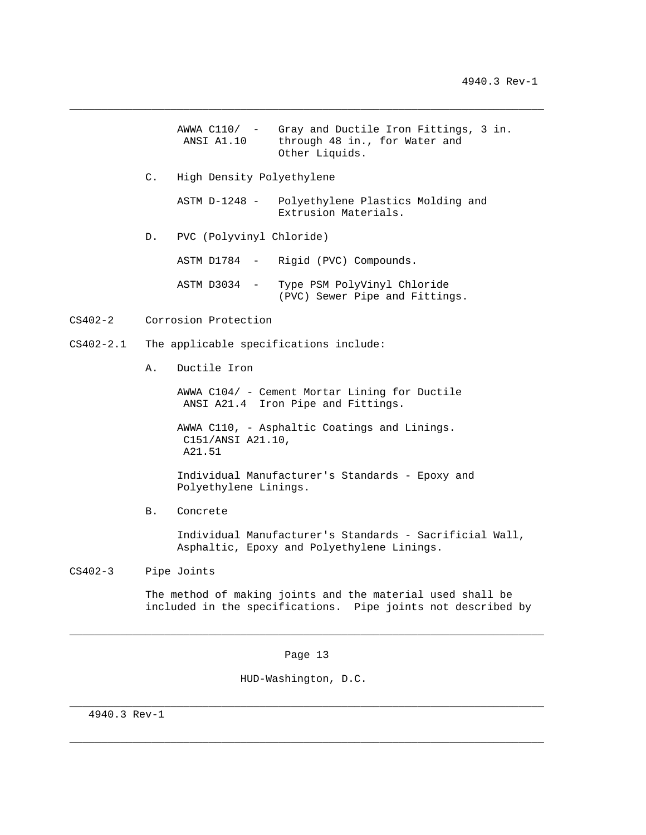|         |                 | ANSI A1.10                  | AWWA $C110/$ - Gray and Ductile Iron Fittings, 3 in.<br>through 48 in., for Water and<br>Other Liquids. |
|---------|-----------------|-----------------------------|---------------------------------------------------------------------------------------------------------|
|         | $\mathcal{C}$ . | High Density Polyethylene   |                                                                                                         |
|         |                 |                             | ASTM D-1248 - Polyethylene Plastics Molding and<br>Extrusion Materials.                                 |
|         |                 | D. PVC (Polyvinyl Chloride) |                                                                                                         |
|         |                 |                             | ASTM D1784 - Rigid (PVC) Compounds.                                                                     |
|         |                 |                             | ASTM D3034 - Type PSM PolyVinyl Chloride<br>(PVC) Sewer Pipe and Fittings.                              |
| CS402-2 |                 | Corrosion Protection        |                                                                                                         |

\_\_\_\_\_\_\_\_\_\_\_\_\_\_\_\_\_\_\_\_\_\_\_\_\_\_\_\_\_\_\_\_\_\_\_\_\_\_\_\_\_\_\_\_\_\_\_\_\_\_\_\_\_\_\_\_\_\_\_\_\_\_\_\_\_\_\_\_\_\_\_\_\_\_\_

CS402-2.1 The applicable specifications include:

A. Ductile Iron

 AWWA C104/ - Cement Mortar Lining for Ductile ANSI A21.4 Iron Pipe and Fittings.

 AWWA C110, - Asphaltic Coatings and Linings. C151/ANSI A21.10, A21.51

 Individual Manufacturer's Standards - Epoxy and Polyethylene Linings.

B. Concrete

 Individual Manufacturer's Standards - Sacrificial Wall, Asphaltic, Epoxy and Polyethylene Linings.

CS402-3 Pipe Joints

 $CS402-2$ 

 The method of making joints and the material used shall be included in the specifications. Pipe joints not described by

Page 13

\_\_\_\_\_\_\_\_\_\_\_\_\_\_\_\_\_\_\_\_\_\_\_\_\_\_\_\_\_\_\_\_\_\_\_\_\_\_\_\_\_\_\_\_\_\_\_\_\_\_\_\_\_\_\_\_\_\_\_\_\_\_\_\_\_\_\_\_\_\_\_\_\_\_\_

\_\_\_\_\_\_\_\_\_\_\_\_\_\_\_\_\_\_\_\_\_\_\_\_\_\_\_\_\_\_\_\_\_\_\_\_\_\_\_\_\_\_\_\_\_\_\_\_\_\_\_\_\_\_\_\_\_\_\_\_\_\_\_\_\_\_\_\_\_\_\_\_\_\_\_

\_\_\_\_\_\_\_\_\_\_\_\_\_\_\_\_\_\_\_\_\_\_\_\_\_\_\_\_\_\_\_\_\_\_\_\_\_\_\_\_\_\_\_\_\_\_\_\_\_\_\_\_\_\_\_\_\_\_\_\_\_\_\_\_\_\_\_\_\_\_\_\_\_\_\_

HUD-Washington, D.C.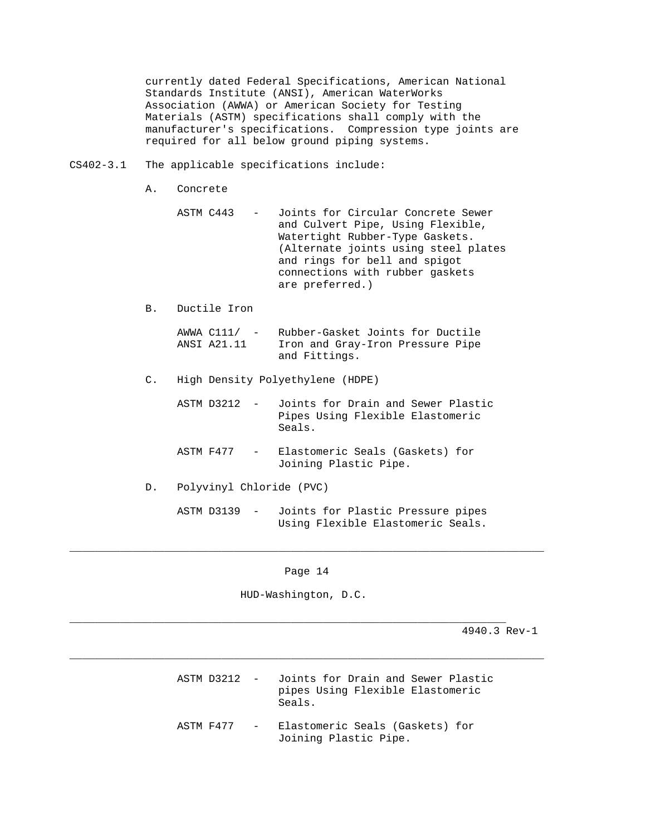currently dated Federal Specifications, American National Standards Institute (ANSI), American WaterWorks Association (AWWA) or American Society for Testing Materials (ASTM) specifications shall comply with the manufacturer's specifications. Compression type joints are required for all below ground piping systems.

## CS402-3.1 The applicable specifications include:

A. Concrete

- ASTM C443 Joints for Circular Concrete Sewer and Culvert Pipe, Using Flexible, Watertight Rubber-Type Gaskets. (Alternate joints using steel plates and rings for bell and spigot connections with rubber gaskets are preferred.)
- B. Ductile Iron

|             | AWWA C111/ - Rubber-Gasket Joints for Ductile |
|-------------|-----------------------------------------------|
| ANSI A21.11 | Iron and Gray-Iron Pressure Pipe              |
|             | and Fittings.                                 |

C. High Density Polyethylene (HDPE)

| ASTM D3212 - Joints for Drain and Sewer Plastic |  |
|-------------------------------------------------|--|
| Pipes Using Flexible Elastomeric<br>Seals.      |  |

- ASTM F477 Elastomeric Seals (Gaskets) for Joining Plastic Pipe.
- D. Polyvinyl Chloride (PVC)

 ASTM D3139 - Joints for Plastic Pressure pipes Using Flexible Elastomeric Seals.

### Page 14

\_\_\_\_\_\_\_\_\_\_\_\_\_\_\_\_\_\_\_\_\_\_\_\_\_\_\_\_\_\_\_\_\_\_\_\_\_\_\_\_\_\_\_\_\_\_\_\_\_\_\_\_\_\_\_\_\_\_\_\_\_\_\_\_\_\_\_\_\_\_\_\_\_\_\_

\_\_\_\_\_\_\_\_\_\_\_\_\_\_\_\_\_\_\_\_\_\_\_\_\_\_\_\_\_\_\_\_\_\_\_\_\_\_\_\_\_\_\_\_\_\_\_\_\_\_\_\_\_\_\_\_\_\_\_\_\_\_\_\_\_\_\_\_\_\_\_\_\_\_\_

HUD-Washington, D.C.

\_\_\_\_\_\_\_\_\_\_\_\_\_\_\_\_\_\_\_\_\_\_\_\_\_\_\_\_\_\_\_\_\_\_\_\_\_\_\_\_\_\_\_\_\_\_\_\_\_\_\_\_\_\_\_\_\_\_\_\_\_\_\_\_\_\_\_\_\_

|           | ASTM D3212 - Joints for Drain and Sewer Plastic<br>pipes Using Flexible Elastomeric<br>Seals. |
|-----------|-----------------------------------------------------------------------------------------------|
| ASTM F477 | - Elastomeric Seals (Gaskets) for<br>Joining Plastic Pipe.                                    |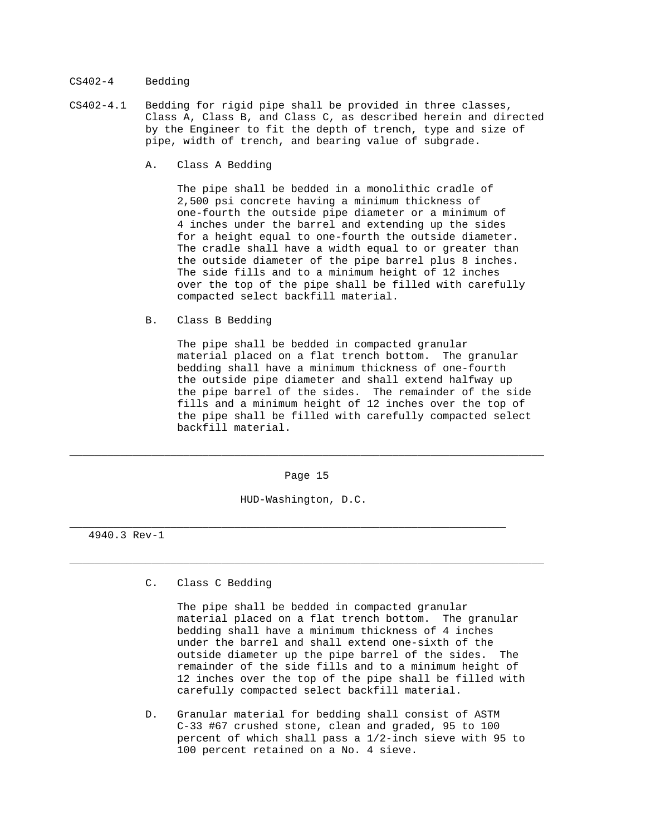## CS402-4 Bedding

- CS402-4.1 Bedding for rigid pipe shall be provided in three classes, Class A, Class B, and Class C, as described herein and directed by the Engineer to fit the depth of trench, type and size of pipe, width of trench, and bearing value of subgrade.
	- A. Class A Bedding

 The pipe shall be bedded in a monolithic cradle of 2,500 psi concrete having a minimum thickness of one-fourth the outside pipe diameter or a minimum of 4 inches under the barrel and extending up the sides for a height equal to one-fourth the outside diameter. The cradle shall have a width equal to or greater than the outside diameter of the pipe barrel plus 8 inches. The side fills and to a minimum height of 12 inches over the top of the pipe shall be filled with carefully compacted select backfill material.

B. Class B Bedding

 The pipe shall be bedded in compacted granular material placed on a flat trench bottom. The granular bedding shall have a minimum thickness of one-fourth the outside pipe diameter and shall extend halfway up the pipe barrel of the sides. The remainder of the side fills and a minimum height of 12 inches over the top of the pipe shall be filled with carefully compacted select backfill material.

Page 15

\_\_\_\_\_\_\_\_\_\_\_\_\_\_\_\_\_\_\_\_\_\_\_\_\_\_\_\_\_\_\_\_\_\_\_\_\_\_\_\_\_\_\_\_\_\_\_\_\_\_\_\_\_\_\_\_\_\_\_\_\_\_\_\_\_\_\_\_\_\_\_\_\_\_\_

\_\_\_\_\_\_\_\_\_\_\_\_\_\_\_\_\_\_\_\_\_\_\_\_\_\_\_\_\_\_\_\_\_\_\_\_\_\_\_\_\_\_\_\_\_\_\_\_\_\_\_\_\_\_\_\_\_\_\_\_\_\_\_\_\_\_\_\_\_\_\_\_\_\_\_

HUD-Washington, D.C.

\_\_\_\_\_\_\_\_\_\_\_\_\_\_\_\_\_\_\_\_\_\_\_\_\_\_\_\_\_\_\_\_\_\_\_\_\_\_\_\_\_\_\_\_\_\_\_\_\_\_\_\_\_\_\_\_\_\_\_\_\_\_\_\_\_\_\_\_\_

4940.3 Rev-1

C. Class C Bedding

 The pipe shall be bedded in compacted granular material placed on a flat trench bottom. The granular bedding shall have a minimum thickness of 4 inches under the barrel and shall extend one-sixth of the outside diameter up the pipe barrel of the sides. The remainder of the side fills and to a minimum height of 12 inches over the top of the pipe shall be filled with carefully compacted select backfill material.

 D. Granular material for bedding shall consist of ASTM C-33 #67 crushed stone, clean and graded, 95 to 100 percent of which shall pass a 1/2-inch sieve with 95 to 100 percent retained on a No. 4 sieve.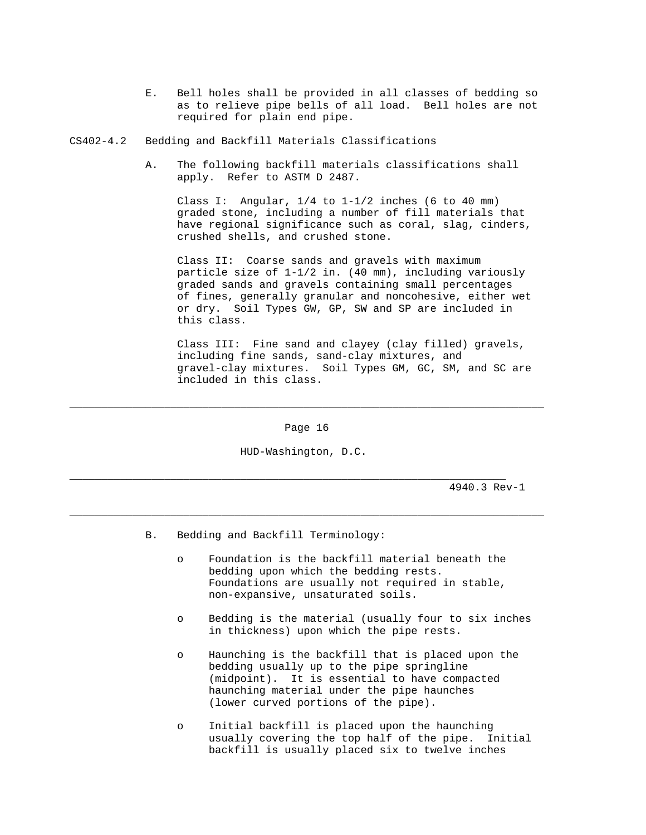E. Bell holes shall be provided in all classes of bedding so as to relieve pipe bells of all load. Bell holes are not required for plain end pipe.

CS402-4.2 Bedding and Backfill Materials Classifications

 A. The following backfill materials classifications shall apply. Refer to ASTM D 2487.

Class I: Angular,  $1/4$  to  $1-1/2$  inches (6 to 40 mm) graded stone, including a number of fill materials that have regional significance such as coral, slag, cinders, crushed shells, and crushed stone.

 Class II: Coarse sands and gravels with maximum particle size of 1-1/2 in. (40 mm), including variously graded sands and gravels containing small percentages of fines, generally granular and noncohesive, either wet or dry. Soil Types GW, GP, SW and SP are included in this class.

 Class III: Fine sand and clayey (clay filled) gravels, including fine sands, sand-clay mixtures, and gravel-clay mixtures. Soil Types GM, GC, SM, and SC are included in this class.

Page 16

\_\_\_\_\_\_\_\_\_\_\_\_\_\_\_\_\_\_\_\_\_\_\_\_\_\_\_\_\_\_\_\_\_\_\_\_\_\_\_\_\_\_\_\_\_\_\_\_\_\_\_\_\_\_\_\_\_\_\_\_\_\_\_\_\_\_\_\_\_\_\_\_\_\_\_

HUD-Washington, D.C.

\_\_\_\_\_\_\_\_\_\_\_\_\_\_\_\_\_\_\_\_\_\_\_\_\_\_\_\_\_\_\_\_\_\_\_\_\_\_\_\_\_\_\_\_\_\_\_\_\_\_\_\_\_\_\_\_\_\_\_\_\_\_\_\_\_\_\_\_\_\_\_\_\_\_\_

\_\_\_\_\_\_\_\_\_\_\_\_\_\_\_\_\_\_\_\_\_\_\_\_\_\_\_\_\_\_\_\_\_\_\_\_\_\_\_\_\_\_\_\_\_\_\_\_\_\_\_\_\_\_\_\_\_\_\_\_\_\_\_\_\_\_\_\_\_

- B. Bedding and Backfill Terminology:
	- o Foundation is the backfill material beneath the bedding upon which the bedding rests. Foundations are usually not required in stable, non-expansive, unsaturated soils.
	- o Bedding is the material (usually four to six inches in thickness) upon which the pipe rests.
	- o Haunching is the backfill that is placed upon the bedding usually up to the pipe springline (midpoint). It is essential to have compacted haunching material under the pipe haunches (lower curved portions of the pipe).
	- o Initial backfill is placed upon the haunching usually covering the top half of the pipe. Initial backfill is usually placed six to twelve inches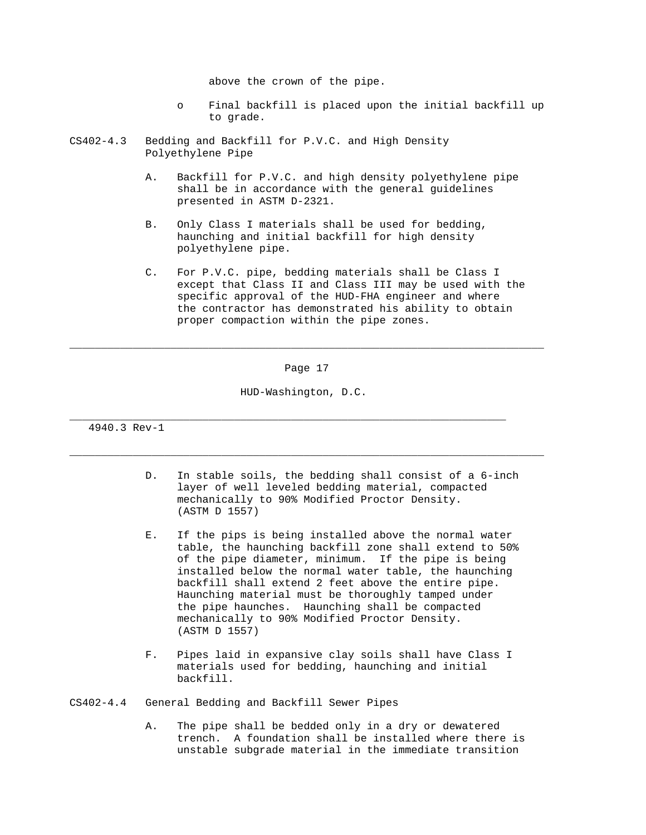above the crown of the pipe.

- o Final backfill is placed upon the initial backfill up to grade.
- CS402-4.3 Bedding and Backfill for P.V.C. and High Density Polyethylene Pipe
	- A. Backfill for P.V.C. and high density polyethylene pipe shall be in accordance with the general guidelines presented in ASTM D-2321.
	- B. Only Class I materials shall be used for bedding, haunching and initial backfill for high density polyethylene pipe.
	- C. For P.V.C. pipe, bedding materials shall be Class I except that Class II and Class III may be used with the specific approval of the HUD-FHA engineer and where the contractor has demonstrated his ability to obtain proper compaction within the pipe zones.

Page 17

\_\_\_\_\_\_\_\_\_\_\_\_\_\_\_\_\_\_\_\_\_\_\_\_\_\_\_\_\_\_\_\_\_\_\_\_\_\_\_\_\_\_\_\_\_\_\_\_\_\_\_\_\_\_\_\_\_\_\_\_\_\_\_\_\_\_\_\_\_\_\_\_\_\_\_

\_\_\_\_\_\_\_\_\_\_\_\_\_\_\_\_\_\_\_\_\_\_\_\_\_\_\_\_\_\_\_\_\_\_\_\_\_\_\_\_\_\_\_\_\_\_\_\_\_\_\_\_\_\_\_\_\_\_\_\_\_\_\_\_\_\_\_\_\_\_\_\_\_\_\_

HUD-Washington, D.C.

\_\_\_\_\_\_\_\_\_\_\_\_\_\_\_\_\_\_\_\_\_\_\_\_\_\_\_\_\_\_\_\_\_\_\_\_\_\_\_\_\_\_\_\_\_\_\_\_\_\_\_\_\_\_\_\_\_\_\_\_\_\_\_\_\_\_\_\_\_

4940.3 Rev-1

- D. In stable soils, the bedding shall consist of a 6-inch layer of well leveled bedding material, compacted mechanically to 90% Modified Proctor Density. (ASTM D 1557)
- E. If the pips is being installed above the normal water table, the haunching backfill zone shall extend to 50% of the pipe diameter, minimum. If the pipe is being installed below the normal water table, the haunching backfill shall extend 2 feet above the entire pipe. Haunching material must be thoroughly tamped under the pipe haunches. Haunching shall be compacted mechanically to 90% Modified Proctor Density. (ASTM D 1557)
- F. Pipes laid in expansive clay soils shall have Class I materials used for bedding, haunching and initial backfill.

CS402-4.4 General Bedding and Backfill Sewer Pipes

 A. The pipe shall be bedded only in a dry or dewatered trench. A foundation shall be installed where there is unstable subgrade material in the immediate transition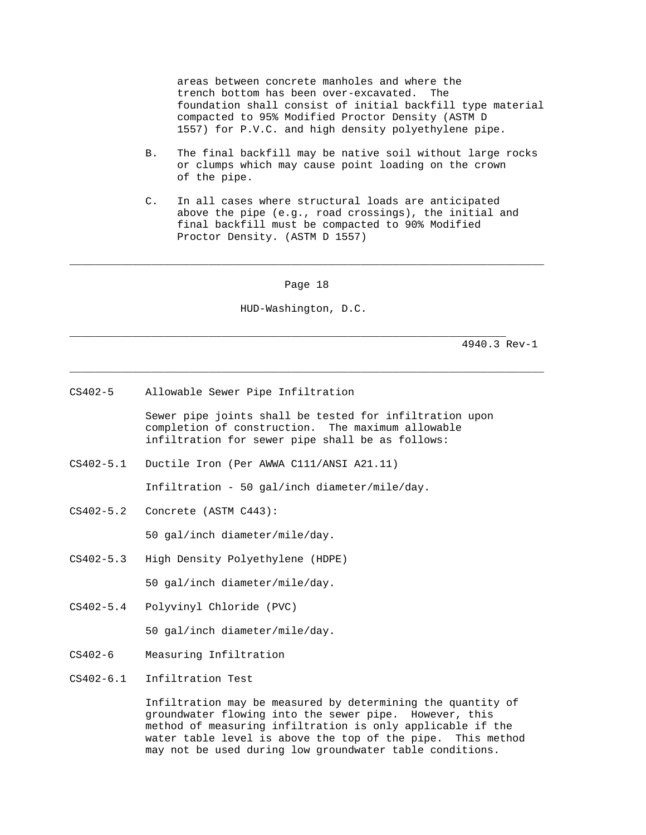areas between concrete manholes and where the trench bottom has been over-excavated. The foundation shall consist of initial backfill type material compacted to 95% Modified Proctor Density (ASTM D 1557) for P.V.C. and high density polyethylene pipe.

- B. The final backfill may be native soil without large rocks or clumps which may cause point loading on the crown of the pipe.
- C. In all cases where structural loads are anticipated above the pipe (e.g., road crossings), the initial and final backfill must be compacted to 90% Modified Proctor Density. (ASTM D 1557)

Page 18

\_\_\_\_\_\_\_\_\_\_\_\_\_\_\_\_\_\_\_\_\_\_\_\_\_\_\_\_\_\_\_\_\_\_\_\_\_\_\_\_\_\_\_\_\_\_\_\_\_\_\_\_\_\_\_\_\_\_\_\_\_\_\_\_\_\_\_\_\_\_\_\_\_\_\_

HUD-Washington, D.C.

\_\_\_\_\_\_\_\_\_\_\_\_\_\_\_\_\_\_\_\_\_\_\_\_\_\_\_\_\_\_\_\_\_\_\_\_\_\_\_\_\_\_\_\_\_\_\_\_\_\_\_\_\_\_\_\_\_\_\_\_\_\_\_\_\_\_\_\_\_\_\_\_\_\_\_

\_\_\_\_\_\_\_\_\_\_\_\_\_\_\_\_\_\_\_\_\_\_\_\_\_\_\_\_\_\_\_\_\_\_\_\_\_\_\_\_\_\_\_\_\_\_\_\_\_\_\_\_\_\_\_\_\_\_\_\_\_\_\_\_\_\_\_\_\_

4940.3 Rev-1

CS402-5 Allowable Sewer Pipe Infiltration

 Sewer pipe joints shall be tested for infiltration upon completion of construction. The maximum allowable infiltration for sewer pipe shall be as follows:

CS402-5.1 Ductile Iron (Per AWWA C111/ANSI A21.11)

Infiltration - 50 gal/inch diameter/mile/day.

CS402-5.2 Concrete (ASTM C443):

50 gal/inch diameter/mile/day.

- CS402-5.3 High Density Polyethylene (HDPE) 50 gal/inch diameter/mile/day.
- CS402-5.4 Polyvinyl Chloride (PVC)

50 gal/inch diameter/mile/day.

- CS402-6 Measuring Infiltration
- CS402-6.1 Infiltration Test

 Infiltration may be measured by determining the quantity of groundwater flowing into the sewer pipe. However, this method of measuring infiltration is only applicable if the water table level is above the top of the pipe. This method may not be used during low groundwater table conditions.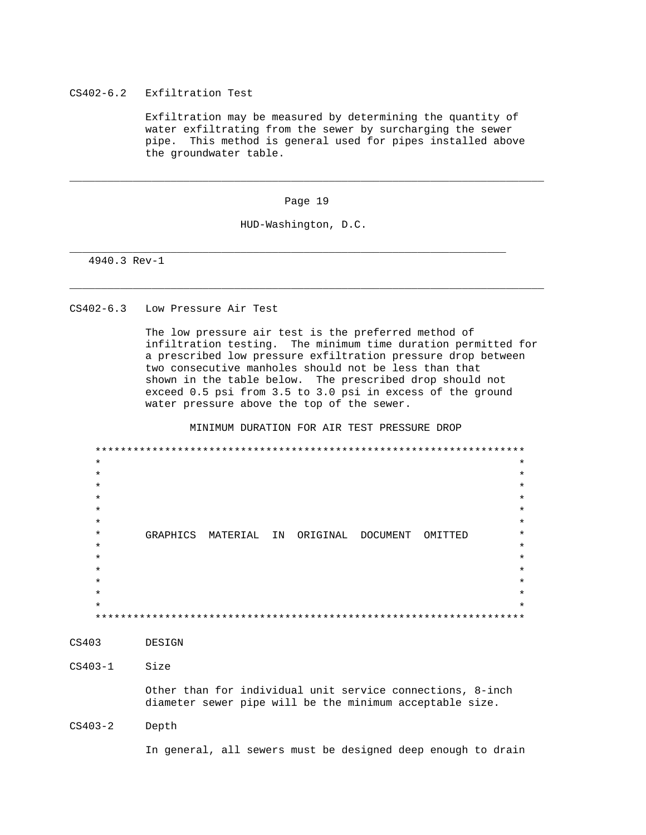# CS402-6.2 Exfiltration Test

 Exfiltration may be measured by determining the quantity of water exfiltrating from the sewer by surcharging the sewer pipe. This method is general used for pipes installed above the groundwater table.

Page 19

\_\_\_\_\_\_\_\_\_\_\_\_\_\_\_\_\_\_\_\_\_\_\_\_\_\_\_\_\_\_\_\_\_\_\_\_\_\_\_\_\_\_\_\_\_\_\_\_\_\_\_\_\_\_\_\_\_\_\_\_\_\_\_\_\_\_\_\_\_\_\_\_\_\_\_

\_\_\_\_\_\_\_\_\_\_\_\_\_\_\_\_\_\_\_\_\_\_\_\_\_\_\_\_\_\_\_\_\_\_\_\_\_\_\_\_\_\_\_\_\_\_\_\_\_\_\_\_\_\_\_\_\_\_\_\_\_\_\_\_\_\_\_\_\_\_\_\_\_\_\_

HUD-Washington, D.C.

\_\_\_\_\_\_\_\_\_\_\_\_\_\_\_\_\_\_\_\_\_\_\_\_\_\_\_\_\_\_\_\_\_\_\_\_\_\_\_\_\_\_\_\_\_\_\_\_\_\_\_\_\_\_\_\_\_\_\_\_\_\_\_\_\_\_\_\_\_

4940.3 Rev-1

## CS402-6.3 Low Pressure Air Test

 The low pressure air test is the preferred method of infiltration testing. The minimum time duration permitted for a prescribed low pressure exfiltration pressure drop between two consecutive manholes should not be less than that shown in the table below. The prescribed drop should not exceed 0.5 psi from 3.5 to 3.0 psi in excess of the ground water pressure above the top of the sewer.

MINIMUM DURATION FOR AIR TEST PRESSURE DROP

 \*\*\*\*\*\*\*\*\*\*\*\*\*\*\*\*\*\*\*\*\*\*\*\*\*\*\*\*\*\*\*\*\*\*\*\*\*\*\*\*\*\*\*\*\*\*\*\*\*\*\*\*\*\*\*\*\*\*\*\*\*\*\*\*\*\*\*\*  $\star$  \*  $\star$  \*  $\star$  \*  $\star$  \*  $\star$  \*  $\star$  \* \* GRAPHICS MATERIAL IN ORIGINAL DOCUMENT OMITTED \*  $\star$  \*  $\star$  \*  $\star$  \*  $\star$  \*  $\star$   $\star$  $\star$  \* \*\*\*\*\*\*\*\*\*\*\*\*\*\*\*\*\*\*\*\*\*\*\*\*\*\*\*\*\*\*\*\*\*\*\*\*\*\*\*\*\*\*\*\*\*\*\*\*\*\*\*\*\*\*\*\*\*\*\*\*\*\*\*\*\*\*\*\*

CS403 DESIGN

CS403-1 Size

 Other than for individual unit service connections, 8-inch diameter sewer pipe will be the minimum acceptable size.

CS403-2 Depth

In general, all sewers must be designed deep enough to drain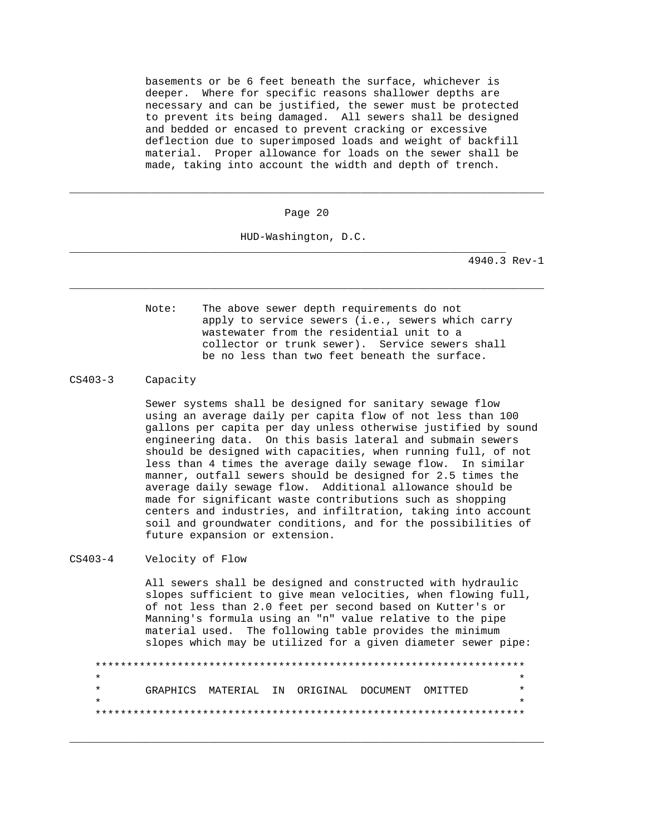basements or be 6 feet beneath the surface, whichever is deeper. Where for specific reasons shallower depths are necessary and can be justified, the sewer must be protected to prevent its being damaged. All sewers shall be designed and bedded or encased to prevent cracking or excessive deflection due to superimposed loads and weight of backfill material. Proper allowance for loads on the sewer shall be made, taking into account the width and depth of trench.

Page 20

\_\_\_\_\_\_\_\_\_\_\_\_\_\_\_\_\_\_\_\_\_\_\_\_\_\_\_\_\_\_\_\_\_\_\_\_\_\_\_\_\_\_\_\_\_\_\_\_\_\_\_\_\_\_\_\_\_\_\_\_\_\_\_\_\_\_\_\_\_\_\_\_\_\_\_

HUD-Washington, D.C.

\_\_\_\_\_\_\_\_\_\_\_\_\_\_\_\_\_\_\_\_\_\_\_\_\_\_\_\_\_\_\_\_\_\_\_\_\_\_\_\_\_\_\_\_\_\_\_\_\_\_\_\_\_\_\_\_\_\_\_\_\_\_\_\_\_\_\_\_\_\_\_\_\_\_\_

\_\_\_\_\_\_\_\_\_\_\_\_\_\_\_\_\_\_\_\_\_\_\_\_\_\_\_\_\_\_\_\_\_\_\_\_\_\_\_\_\_\_\_\_\_\_\_\_\_\_\_\_\_\_\_\_\_\_\_\_\_\_\_\_\_\_\_\_\_

4940.3 Rev-1

 Note: The above sewer depth requirements do not apply to service sewers (i.e., sewers which carry wastewater from the residential unit to a collector or trunk sewer). Service sewers shall be no less than two feet beneath the surface.

CS403-3 Capacity

 Sewer systems shall be designed for sanitary sewage flow using an average daily per capita flow of not less than 100 gallons per capita per day unless otherwise justified by sound engineering data. On this basis lateral and submain sewers should be designed with capacities, when running full, of not less than 4 times the average daily sewage flow. In similar manner, outfall sewers should be designed for 2.5 times the average daily sewage flow. Additional allowance should be made for significant waste contributions such as shopping centers and industries, and infiltration, taking into account soil and groundwater conditions, and for the possibilities of future expansion or extension.

# CS403-4 Velocity of Flow

 All sewers shall be designed and constructed with hydraulic slopes sufficient to give mean velocities, when flowing full, of not less than 2.0 feet per second based on Kutter's or Manning's formula using an "n" value relative to the pipe material used. The following table provides the minimum slopes which may be utilized for a given diameter sewer pipe:

 \*\*\*\*\*\*\*\*\*\*\*\*\*\*\*\*\*\*\*\*\*\*\*\*\*\*\*\*\*\*\*\*\*\*\*\*\*\*\*\*\*\*\*\*\*\*\*\*\*\*\*\*\*\*\*\*\*\*\*\*\*\*\*\*\*\*\*\*  $\star$  \* GRAPHICS MATERIAL IN ORIGINAL DOCUMENT OMITTED \*  $\star$   $\star$ \*\*\*\*\*\*\*\*\*\*\*\*\*\*\*\*\*\*\*\*\*\*\*\*\*\*\*\*\*\*\*\*\*\*\*\*\*\*\*\*\*\*\*\*\*\*\*\*\*\*\*\*\*\*\*\*\*\*\*\*\*\*\*\*\*\*\*\*

\_\_\_\_\_\_\_\_\_\_\_\_\_\_\_\_\_\_\_\_\_\_\_\_\_\_\_\_\_\_\_\_\_\_\_\_\_\_\_\_\_\_\_\_\_\_\_\_\_\_\_\_\_\_\_\_\_\_\_\_\_\_\_\_\_\_\_\_\_\_\_\_\_\_\_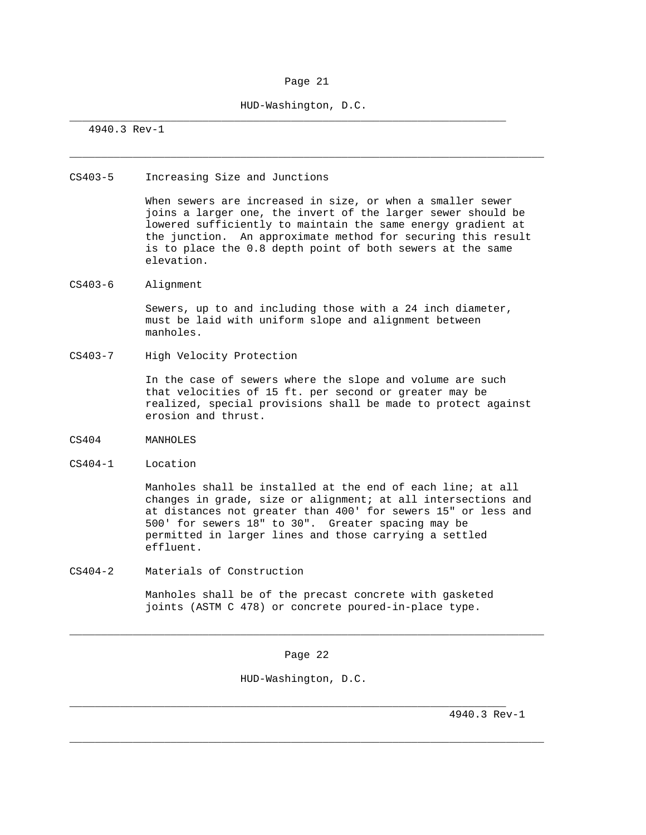## Page 21

\_\_\_\_\_\_\_\_\_\_\_\_\_\_\_\_\_\_\_\_\_\_\_\_\_\_\_\_\_\_\_\_\_\_\_\_\_\_\_\_\_\_\_\_\_\_\_\_\_\_\_\_\_\_\_\_\_\_\_\_\_\_\_\_\_\_\_\_\_\_\_\_\_\_\_

HUD-Washington, D.C.

\_\_\_\_\_\_\_\_\_\_\_\_\_\_\_\_\_\_\_\_\_\_\_\_\_\_\_\_\_\_\_\_\_\_\_\_\_\_\_\_\_\_\_\_\_\_\_\_\_\_\_\_\_\_\_\_\_\_\_\_\_\_\_\_\_\_\_\_\_

4940.3 Rev-1

### CS403-5 Increasing Size and Junctions

 When sewers are increased in size, or when a smaller sewer joins a larger one, the invert of the larger sewer should be lowered sufficiently to maintain the same energy gradient at the junction. An approximate method for securing this result is to place the 0.8 depth point of both sewers at the same elevation.

# CS403-6 Alignment

 Sewers, up to and including those with a 24 inch diameter, must be laid with uniform slope and alignment between manholes.

CS403-7 High Velocity Protection

 In the case of sewers where the slope and volume are such that velocities of 15 ft. per second or greater may be realized, special provisions shall be made to protect against erosion and thrust.

- CS404 MANHOLES
- CS404-1 Location

 Manholes shall be installed at the end of each line; at all changes in grade, size or alignment; at all intersections and at distances not greater than 400' for sewers 15" or less and 500' for sewers 18" to 30". Greater spacing may be permitted in larger lines and those carrying a settled effluent.

CS404-2 Materials of Construction

 Manholes shall be of the precast concrete with gasketed joints (ASTM C 478) or concrete poured-in-place type.

Page 22

\_\_\_\_\_\_\_\_\_\_\_\_\_\_\_\_\_\_\_\_\_\_\_\_\_\_\_\_\_\_\_\_\_\_\_\_\_\_\_\_\_\_\_\_\_\_\_\_\_\_\_\_\_\_\_\_\_\_\_\_\_\_\_\_\_\_\_\_\_\_\_\_\_\_\_

\_\_\_\_\_\_\_\_\_\_\_\_\_\_\_\_\_\_\_\_\_\_\_\_\_\_\_\_\_\_\_\_\_\_\_\_\_\_\_\_\_\_\_\_\_\_\_\_\_\_\_\_\_\_\_\_\_\_\_\_\_\_\_\_\_\_\_\_\_\_\_\_\_\_\_

HUD-Washington, D.C.

\_\_\_\_\_\_\_\_\_\_\_\_\_\_\_\_\_\_\_\_\_\_\_\_\_\_\_\_\_\_\_\_\_\_\_\_\_\_\_\_\_\_\_\_\_\_\_\_\_\_\_\_\_\_\_\_\_\_\_\_\_\_\_\_\_\_\_\_\_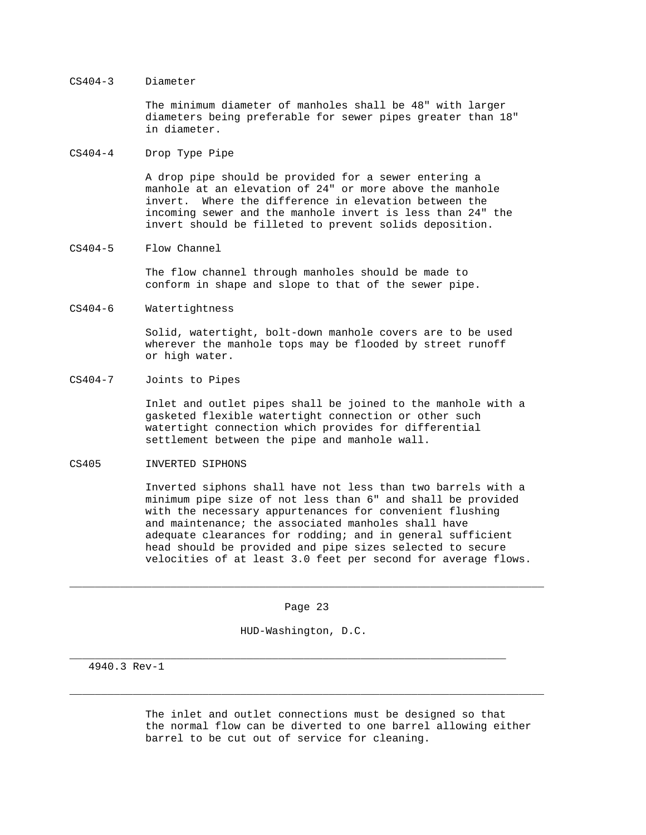## CS404-3 Diameter

 The minimum diameter of manholes shall be 48" with larger diameters being preferable for sewer pipes greater than 18" in diameter.

## CS404-4 Drop Type Pipe

 A drop pipe should be provided for a sewer entering a manhole at an elevation of 24" or more above the manhole invert. Where the difference in elevation between the incoming sewer and the manhole invert is less than 24" the invert should be filleted to prevent solids deposition.

# CS404-5 Flow Channel

 The flow channel through manholes should be made to conform in shape and slope to that of the sewer pipe.

## CS404-6 Watertightness

 Solid, watertight, bolt-down manhole covers are to be used wherever the manhole tops may be flooded by street runoff or high water.

### CS404-7 Joints to Pipes

 Inlet and outlet pipes shall be joined to the manhole with a gasketed flexible watertight connection or other such watertight connection which provides for differential settlement between the pipe and manhole wall.

## CS405 INVERTED SIPHONS

 Inverted siphons shall have not less than two barrels with a minimum pipe size of not less than 6" and shall be provided with the necessary appurtenances for convenient flushing and maintenance; the associated manholes shall have adequate clearances for rodding; and in general sufficient head should be provided and pipe sizes selected to secure velocities of at least 3.0 feet per second for average flows.

Page 23

\_\_\_\_\_\_\_\_\_\_\_\_\_\_\_\_\_\_\_\_\_\_\_\_\_\_\_\_\_\_\_\_\_\_\_\_\_\_\_\_\_\_\_\_\_\_\_\_\_\_\_\_\_\_\_\_\_\_\_\_\_\_\_\_\_\_\_\_\_\_\_\_\_\_\_

\_\_\_\_\_\_\_\_\_\_\_\_\_\_\_\_\_\_\_\_\_\_\_\_\_\_\_\_\_\_\_\_\_\_\_\_\_\_\_\_\_\_\_\_\_\_\_\_\_\_\_\_\_\_\_\_\_\_\_\_\_\_\_\_\_\_\_\_\_\_\_\_\_\_\_

HUD-Washington, D.C.

\_\_\_\_\_\_\_\_\_\_\_\_\_\_\_\_\_\_\_\_\_\_\_\_\_\_\_\_\_\_\_\_\_\_\_\_\_\_\_\_\_\_\_\_\_\_\_\_\_\_\_\_\_\_\_\_\_\_\_\_\_\_\_\_\_\_\_\_\_

4940.3 Rev-1

 The inlet and outlet connections must be designed so that the normal flow can be diverted to one barrel allowing either barrel to be cut out of service for cleaning.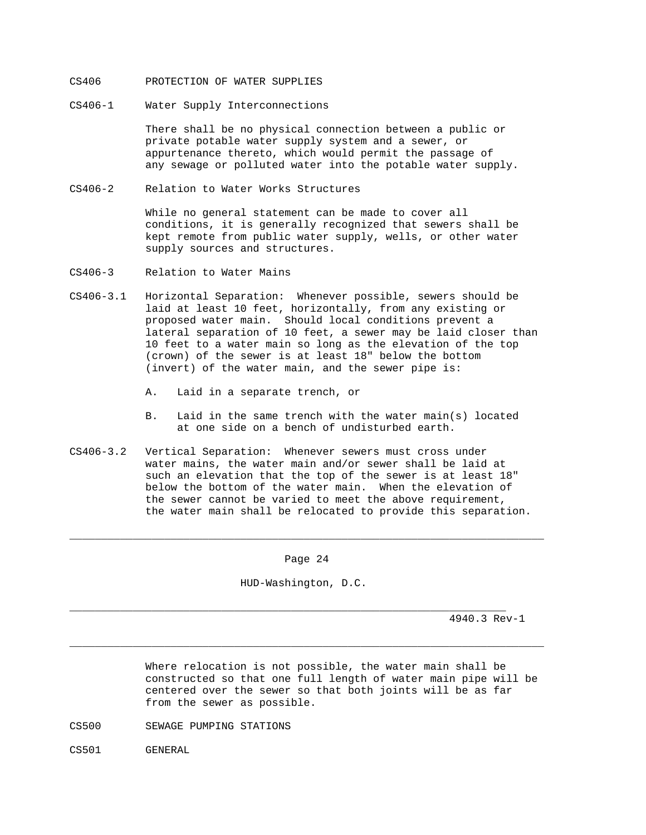## CS406 PROTECTION OF WATER SUPPLIES

CS406-1 Water Supply Interconnections

 There shall be no physical connection between a public or private potable water supply system and a sewer, or appurtenance thereto, which would permit the passage of any sewage or polluted water into the potable water supply.

CS406-2 Relation to Water Works Structures

 While no general statement can be made to cover all conditions, it is generally recognized that sewers shall be kept remote from public water supply, wells, or other water supply sources and structures.

- CS406-3 Relation to Water Mains
- CS406-3.1 Horizontal Separation: Whenever possible, sewers should be laid at least 10 feet, horizontally, from any existing or proposed water main. Should local conditions prevent a lateral separation of 10 feet, a sewer may be laid closer than 10 feet to a water main so long as the elevation of the top (crown) of the sewer is at least 18" below the bottom (invert) of the water main, and the sewer pipe is:
	- A. Laid in a separate trench, or
	- B. Laid in the same trench with the water main(s) located at one side on a bench of undisturbed earth.
- CS406-3.2 Vertical Separation: Whenever sewers must cross under water mains, the water main and/or sewer shall be laid at such an elevation that the top of the sewer is at least 18" below the bottom of the water main. When the elevation of the sewer cannot be varied to meet the above requirement, the water main shall be relocated to provide this separation.

#### Page 24

\_\_\_\_\_\_\_\_\_\_\_\_\_\_\_\_\_\_\_\_\_\_\_\_\_\_\_\_\_\_\_\_\_\_\_\_\_\_\_\_\_\_\_\_\_\_\_\_\_\_\_\_\_\_\_\_\_\_\_\_\_\_\_\_\_\_\_\_\_\_\_\_\_\_\_

HUD-Washington, D.C.

\_\_\_\_\_\_\_\_\_\_\_\_\_\_\_\_\_\_\_\_\_\_\_\_\_\_\_\_\_\_\_\_\_\_\_\_\_\_\_\_\_\_\_\_\_\_\_\_\_\_\_\_\_\_\_\_\_\_\_\_\_\_\_\_\_\_\_\_\_\_\_\_\_\_\_

\_\_\_\_\_\_\_\_\_\_\_\_\_\_\_\_\_\_\_\_\_\_\_\_\_\_\_\_\_\_\_\_\_\_\_\_\_\_\_\_\_\_\_\_\_\_\_\_\_\_\_\_\_\_\_\_\_\_\_\_\_\_\_\_\_\_\_\_\_

4940.3 Rev-1

 Where relocation is not possible, the water main shall be constructed so that one full length of water main pipe will be centered over the sewer so that both joints will be as far from the sewer as possible.

- CS500 SEWAGE PUMPING STATIONS
- CS501 GENERAL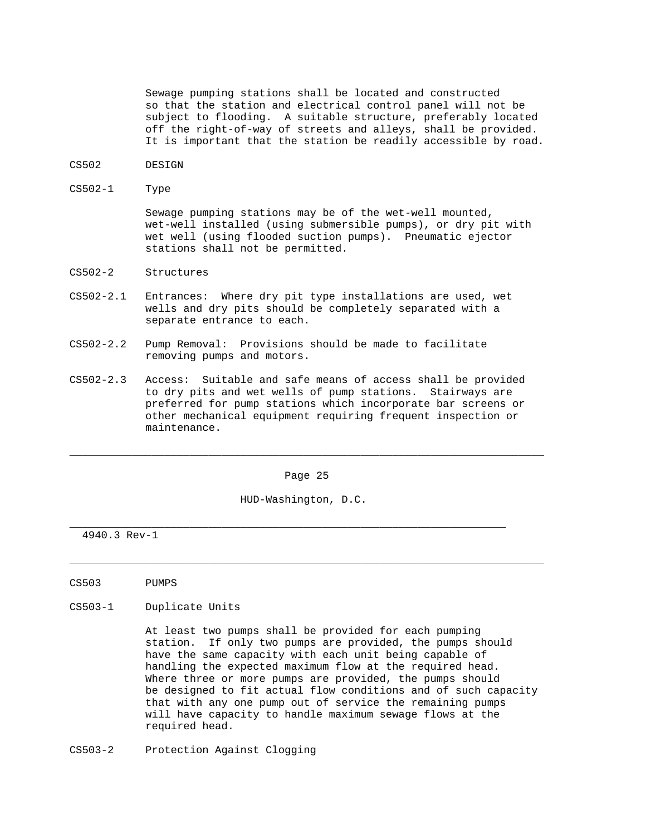Sewage pumping stations shall be located and constructed so that the station and electrical control panel will not be subject to flooding. A suitable structure, preferably located off the right-of-way of streets and alleys, shall be provided. It is important that the station be readily accessible by road.

- CS502 DESIGN
- CS502-1 Type

 Sewage pumping stations may be of the wet-well mounted, wet-well installed (using submersible pumps), or dry pit with wet well (using flooded suction pumps). Pneumatic ejector stations shall not be permitted.

- CS502-2 Structures
- CS502-2.1 Entrances: Where dry pit type installations are used, wet wells and dry pits should be completely separated with a separate entrance to each.
- CS502-2.2 Pump Removal: Provisions should be made to facilitate removing pumps and motors.
- CS502-2.3 Access: Suitable and safe means of access shall be provided to dry pits and wet wells of pump stations. Stairways are preferred for pump stations which incorporate bar screens or other mechanical equipment requiring frequent inspection or maintenance.

Page 25

\_\_\_\_\_\_\_\_\_\_\_\_\_\_\_\_\_\_\_\_\_\_\_\_\_\_\_\_\_\_\_\_\_\_\_\_\_\_\_\_\_\_\_\_\_\_\_\_\_\_\_\_\_\_\_\_\_\_\_\_\_\_\_\_\_\_\_\_\_\_\_\_\_\_\_

\_\_\_\_\_\_\_\_\_\_\_\_\_\_\_\_\_\_\_\_\_\_\_\_\_\_\_\_\_\_\_\_\_\_\_\_\_\_\_\_\_\_\_\_\_\_\_\_\_\_\_\_\_\_\_\_\_\_\_\_\_\_\_\_\_\_\_\_\_\_\_\_\_\_\_

HUD-Washington, D.C.

\_\_\_\_\_\_\_\_\_\_\_\_\_\_\_\_\_\_\_\_\_\_\_\_\_\_\_\_\_\_\_\_\_\_\_\_\_\_\_\_\_\_\_\_\_\_\_\_\_\_\_\_\_\_\_\_\_\_\_\_\_\_\_\_\_\_\_\_\_

4940.3 Rev-1

- CS503 PUMPS
- CS503-1 Duplicate Units

 At least two pumps shall be provided for each pumping station. If only two pumps are provided, the pumps should have the same capacity with each unit being capable of handling the expected maximum flow at the required head. Where three or more pumps are provided, the pumps should be designed to fit actual flow conditions and of such capacity that with any one pump out of service the remaining pumps will have capacity to handle maximum sewage flows at the required head.

CS503-2 Protection Against Clogging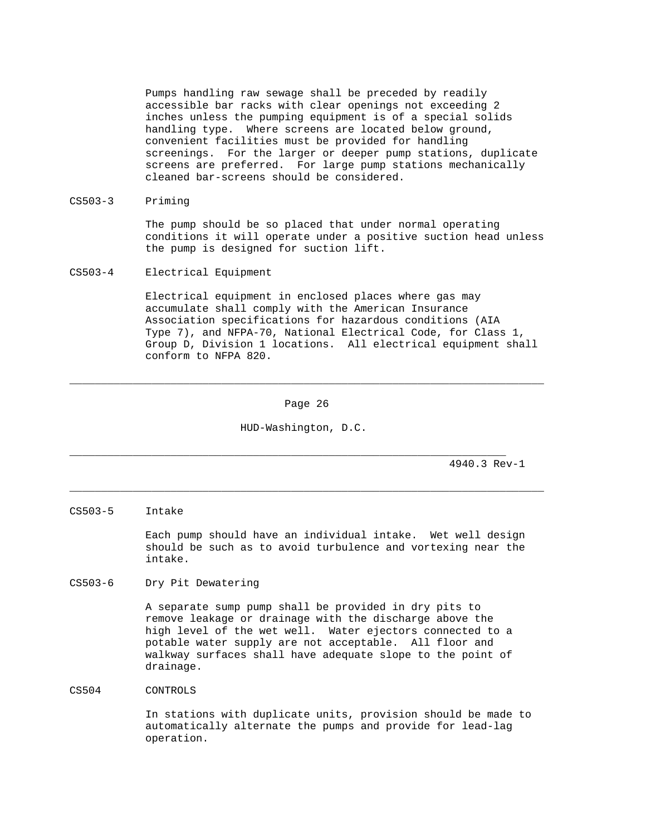Pumps handling raw sewage shall be preceded by readily accessible bar racks with clear openings not exceeding 2 inches unless the pumping equipment is of a special solids handling type. Where screens are located below ground, convenient facilities must be provided for handling screenings. For the larger or deeper pump stations, duplicate screens are preferred. For large pump stations mechanically cleaned bar-screens should be considered.

### CS503-3 Priming

 The pump should be so placed that under normal operating conditions it will operate under a positive suction head unless the pump is designed for suction lift.

CS503-4 Electrical Equipment

 Electrical equipment in enclosed places where gas may accumulate shall comply with the American Insurance Association specifications for hazardous conditions (AIA Type 7), and NFPA-70, National Electrical Code, for Class 1, Group D, Division 1 locations. All electrical equipment shall conform to NFPA 820.

Page 26

\_\_\_\_\_\_\_\_\_\_\_\_\_\_\_\_\_\_\_\_\_\_\_\_\_\_\_\_\_\_\_\_\_\_\_\_\_\_\_\_\_\_\_\_\_\_\_\_\_\_\_\_\_\_\_\_\_\_\_\_\_\_\_\_\_\_\_\_\_\_\_\_\_\_\_

HUD-Washington, D.C.

\_\_\_\_\_\_\_\_\_\_\_\_\_\_\_\_\_\_\_\_\_\_\_\_\_\_\_\_\_\_\_\_\_\_\_\_\_\_\_\_\_\_\_\_\_\_\_\_\_\_\_\_\_\_\_\_\_\_\_\_\_\_\_\_\_\_\_\_\_\_\_\_\_\_\_

\_\_\_\_\_\_\_\_\_\_\_\_\_\_\_\_\_\_\_\_\_\_\_\_\_\_\_\_\_\_\_\_\_\_\_\_\_\_\_\_\_\_\_\_\_\_\_\_\_\_\_\_\_\_\_\_\_\_\_\_\_\_\_\_\_\_\_\_\_

4940.3 Rev-1

#### CS503-5 Intake

 Each pump should have an individual intake. Wet well design should be such as to avoid turbulence and vortexing near the intake.

## CS503-6 Dry Pit Dewatering

 A separate sump pump shall be provided in dry pits to remove leakage or drainage with the discharge above the high level of the wet well. Water ejectors connected to a potable water supply are not acceptable. All floor and walkway surfaces shall have adequate slope to the point of drainage.

CS504 CONTROLS

 In stations with duplicate units, provision should be made to automatically alternate the pumps and provide for lead-lag operation.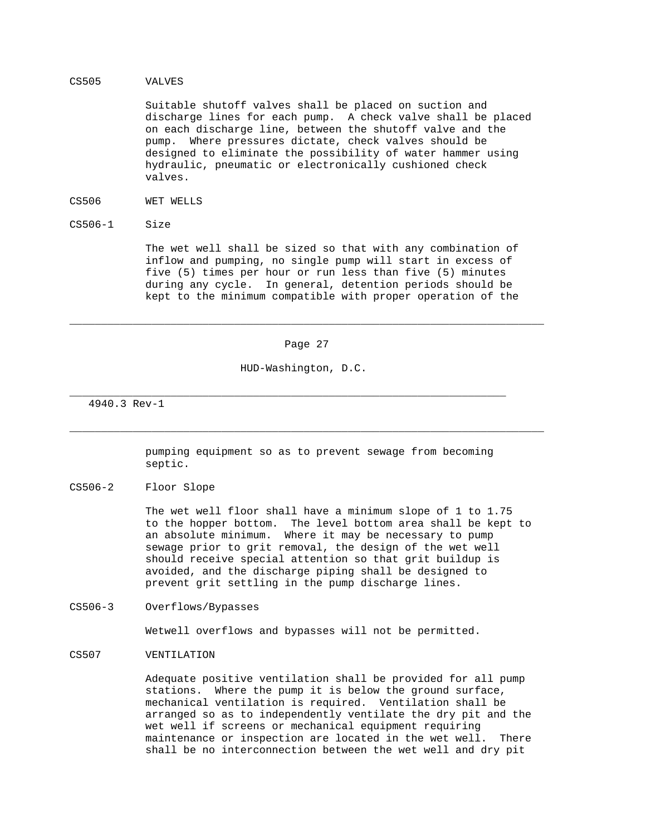#### CS505 VALVES

 Suitable shutoff valves shall be placed on suction and discharge lines for each pump. A check valve shall be placed on each discharge line, between the shutoff valve and the pump. Where pressures dictate, check valves should be designed to eliminate the possibility of water hammer using hydraulic, pneumatic or electronically cushioned check valves.

- CS506 WET WELLS
- CS506-1 Size

 The wet well shall be sized so that with any combination of inflow and pumping, no single pump will start in excess of five (5) times per hour or run less than five (5) minutes during any cycle. In general, detention periods should be kept to the minimum compatible with proper operation of the

#### Page 27

\_\_\_\_\_\_\_\_\_\_\_\_\_\_\_\_\_\_\_\_\_\_\_\_\_\_\_\_\_\_\_\_\_\_\_\_\_\_\_\_\_\_\_\_\_\_\_\_\_\_\_\_\_\_\_\_\_\_\_\_\_\_\_\_\_\_\_\_\_\_\_\_\_\_\_

HUD-Washington, D.C.

\_\_\_\_\_\_\_\_\_\_\_\_\_\_\_\_\_\_\_\_\_\_\_\_\_\_\_\_\_\_\_\_\_\_\_\_\_\_\_\_\_\_\_\_\_\_\_\_\_\_\_\_\_\_\_\_\_\_\_\_\_\_\_\_\_\_\_\_\_

4940.3 Rev-1

 pumping equipment so as to prevent sewage from becoming septic.

\_\_\_\_\_\_\_\_\_\_\_\_\_\_\_\_\_\_\_\_\_\_\_\_\_\_\_\_\_\_\_\_\_\_\_\_\_\_\_\_\_\_\_\_\_\_\_\_\_\_\_\_\_\_\_\_\_\_\_\_\_\_\_\_\_\_\_\_\_\_\_\_\_\_\_

CS506-2 Floor Slope

 The wet well floor shall have a minimum slope of 1 to 1.75 to the hopper bottom. The level bottom area shall be kept to an absolute minimum. Where it may be necessary to pump sewage prior to grit removal, the design of the wet well should receive special attention so that grit buildup is avoided, and the discharge piping shall be designed to prevent grit settling in the pump discharge lines.

CS506-3 Overflows/Bypasses

Wetwell overflows and bypasses will not be permitted.

## CS507 VENTILATION

 Adequate positive ventilation shall be provided for all pump stations. Where the pump it is below the ground surface, mechanical ventilation is required. Ventilation shall be arranged so as to independently ventilate the dry pit and the wet well if screens or mechanical equipment requiring maintenance or inspection are located in the wet well. There shall be no interconnection between the wet well and dry pit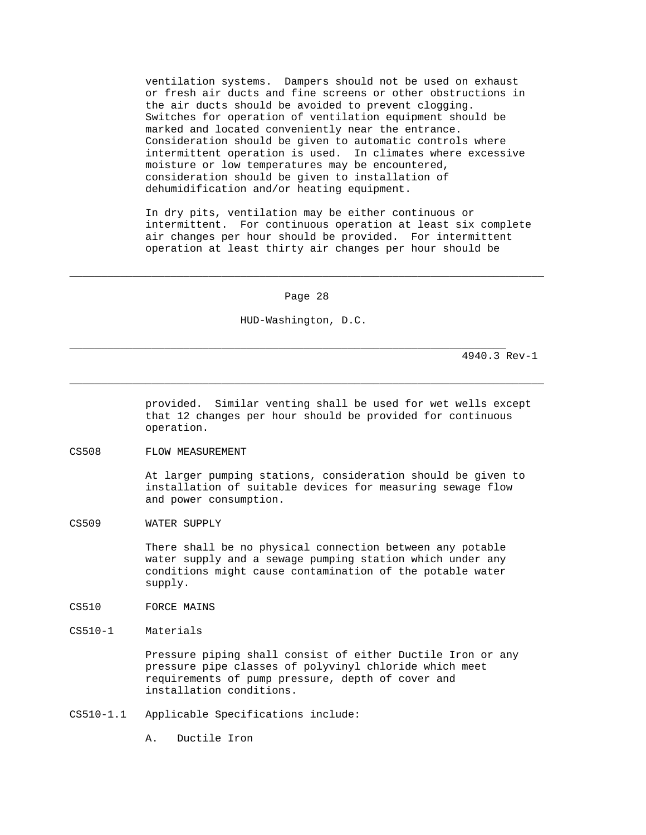ventilation systems. Dampers should not be used on exhaust or fresh air ducts and fine screens or other obstructions in the air ducts should be avoided to prevent clogging. Switches for operation of ventilation equipment should be marked and located conveniently near the entrance. Consideration should be given to automatic controls where intermittent operation is used. In climates where excessive moisture or low temperatures may be encountered, consideration should be given to installation of dehumidification and/or heating equipment.

 In dry pits, ventilation may be either continuous or intermittent. For continuous operation at least six complete air changes per hour should be provided. For intermittent operation at least thirty air changes per hour should be

Page 28

\_\_\_\_\_\_\_\_\_\_\_\_\_\_\_\_\_\_\_\_\_\_\_\_\_\_\_\_\_\_\_\_\_\_\_\_\_\_\_\_\_\_\_\_\_\_\_\_\_\_\_\_\_\_\_\_\_\_\_\_\_\_\_\_\_\_\_\_\_\_\_\_\_\_\_

\_\_\_\_\_\_\_\_\_\_\_\_\_\_\_\_\_\_\_\_\_\_\_\_\_\_\_\_\_\_\_\_\_\_\_\_\_\_\_\_\_\_\_\_\_\_\_\_\_\_\_\_\_\_\_\_\_\_\_\_\_\_\_\_\_\_\_\_\_\_\_\_\_\_\_

HUD-Washington, D.C.

\_\_\_\_\_\_\_\_\_\_\_\_\_\_\_\_\_\_\_\_\_\_\_\_\_\_\_\_\_\_\_\_\_\_\_\_\_\_\_\_\_\_\_\_\_\_\_\_\_\_\_\_\_\_\_\_\_\_\_\_\_\_\_\_\_\_\_\_\_

4940.3 Rev-1

 provided. Similar venting shall be used for wet wells except that 12 changes per hour should be provided for continuous operation.

CS508 FLOW MEASUREMENT

 At larger pumping stations, consideration should be given to installation of suitable devices for measuring sewage flow and power consumption.

CS509 WATER SUPPLY

 There shall be no physical connection between any potable water supply and a sewage pumping station which under any conditions might cause contamination of the potable water supply.

- CS510 FORCE MAINS
- CS510-1 Materials

 Pressure piping shall consist of either Ductile Iron or any pressure pipe classes of polyvinyl chloride which meet requirements of pump pressure, depth of cover and installation conditions.

CS510-1.1 Applicable Specifications include:

A. Ductile Iron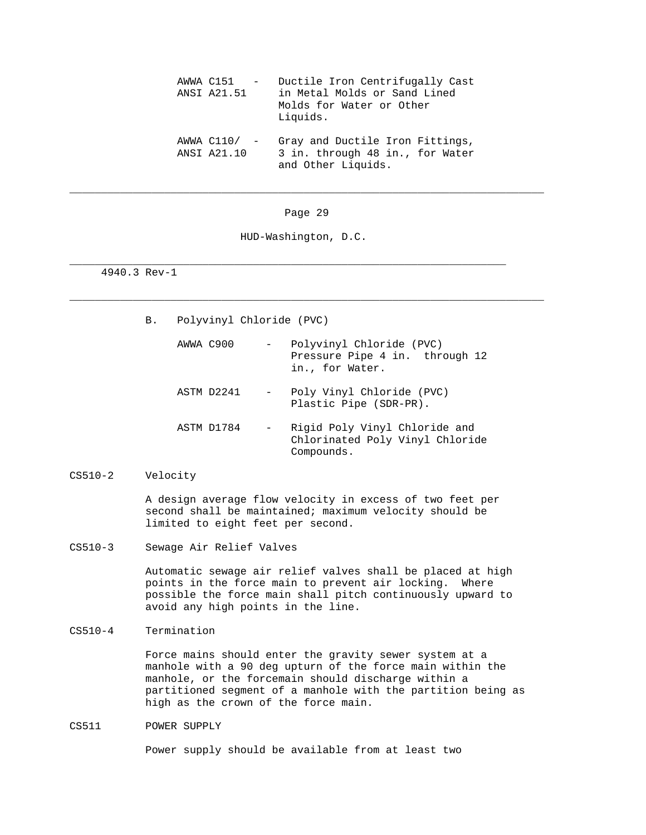| AWWA C151 -<br>ANSI A21.51 | Ductile Iron Centrifugally Cast<br>in Metal Molds or Sand Lined<br>Molds for Water or Other<br>Liquids. |
|----------------------------|---------------------------------------------------------------------------------------------------------|
| ANSI A21.10                | AWWA C110/ - Gray and Ductile Iron Fittings,<br>3 in. through 48 in., for Water<br>and Other Liquids.   |

Page 29

\_\_\_\_\_\_\_\_\_\_\_\_\_\_\_\_\_\_\_\_\_\_\_\_\_\_\_\_\_\_\_\_\_\_\_\_\_\_\_\_\_\_\_\_\_\_\_\_\_\_\_\_\_\_\_\_\_\_\_\_\_\_\_\_\_\_\_\_\_\_\_\_\_\_\_

\_\_\_\_\_\_\_\_\_\_\_\_\_\_\_\_\_\_\_\_\_\_\_\_\_\_\_\_\_\_\_\_\_\_\_\_\_\_\_\_\_\_\_\_\_\_\_\_\_\_\_\_\_\_\_\_\_\_\_\_\_\_\_\_\_\_\_\_\_\_\_\_\_\_\_

HUD-Washington, D.C.

\_\_\_\_\_\_\_\_\_\_\_\_\_\_\_\_\_\_\_\_\_\_\_\_\_\_\_\_\_\_\_\_\_\_\_\_\_\_\_\_\_\_\_\_\_\_\_\_\_\_\_\_\_\_\_\_\_\_\_\_\_\_\_\_\_\_\_\_\_

4940.3 Rev-1

B. Polyvinyl Chloride (PVC)

| AWWA C900  | $\sim$ | Polyvinyl Chloride (PVC)<br>Pressure Pipe 4 in. through 12<br>in., for Water.  |
|------------|--------|--------------------------------------------------------------------------------|
| ASTM D2241 |        | - Poly Vinyl Chloride (PVC)<br>Plastic Pipe (SDR-PR).                          |
| ASTM D1784 | $\sim$ | Rigid Poly Vinyl Chloride and<br>Chlorinated Poly Vinyl Chloride<br>Compounds. |

# CS510-2 Velocity

 A design average flow velocity in excess of two feet per second shall be maintained; maximum velocity should be limited to eight feet per second.

CS510-3 Sewage Air Relief Valves

 Automatic sewage air relief valves shall be placed at high points in the force main to prevent air locking. Where possible the force main shall pitch continuously upward to avoid any high points in the line.

CS510-4 Termination

 Force mains should enter the gravity sewer system at a manhole with a 90 deg upturn of the force main within the manhole, or the forcemain should discharge within a partitioned segment of a manhole with the partition being as high as the crown of the force main.

CS511 POWER SUPPLY

Power supply should be available from at least two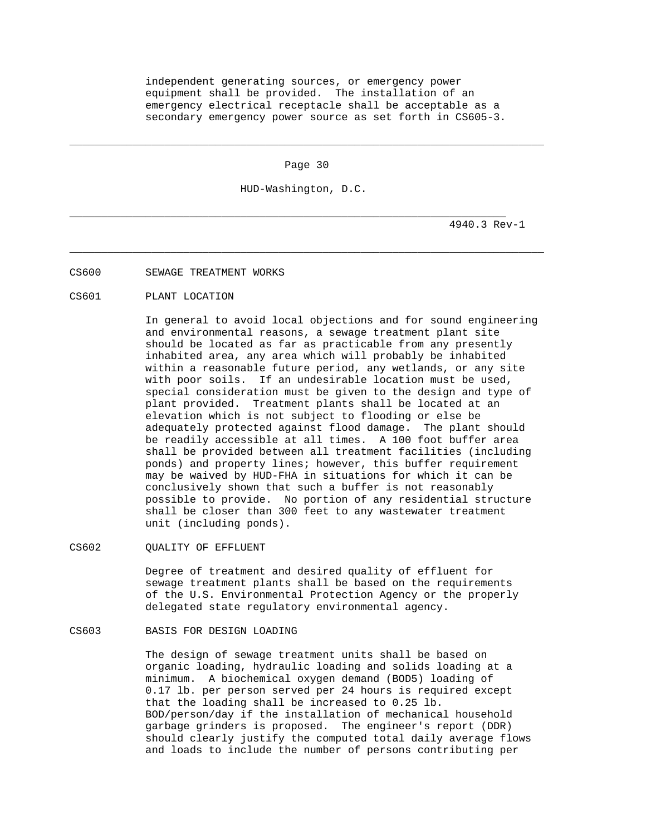independent generating sources, or emergency power equipment shall be provided. The installation of an emergency electrical receptacle shall be acceptable as a secondary emergency power source as set forth in CS605-3.

Page 30

\_\_\_\_\_\_\_\_\_\_\_\_\_\_\_\_\_\_\_\_\_\_\_\_\_\_\_\_\_\_\_\_\_\_\_\_\_\_\_\_\_\_\_\_\_\_\_\_\_\_\_\_\_\_\_\_\_\_\_\_\_\_\_\_\_\_\_\_\_\_\_\_\_\_\_

HUD-Washington, D.C.

\_\_\_\_\_\_\_\_\_\_\_\_\_\_\_\_\_\_\_\_\_\_\_\_\_\_\_\_\_\_\_\_\_\_\_\_\_\_\_\_\_\_\_\_\_\_\_\_\_\_\_\_\_\_\_\_\_\_\_\_\_\_\_\_\_\_\_\_\_\_\_\_\_\_\_

\_\_\_\_\_\_\_\_\_\_\_\_\_\_\_\_\_\_\_\_\_\_\_\_\_\_\_\_\_\_\_\_\_\_\_\_\_\_\_\_\_\_\_\_\_\_\_\_\_\_\_\_\_\_\_\_\_\_\_\_\_\_\_\_\_\_\_\_\_

4940.3 Rev-1

CS600 SEWAGE TREATMENT WORKS

CS601 PLANT LOCATION

 In general to avoid local objections and for sound engineering and environmental reasons, a sewage treatment plant site should be located as far as practicable from any presently inhabited area, any area which will probably be inhabited within a reasonable future period, any wetlands, or any site with poor soils. If an undesirable location must be used, special consideration must be given to the design and type of plant provided. Treatment plants shall be located at an elevation which is not subject to flooding or else be adequately protected against flood damage. The plant should be readily accessible at all times. A 100 foot buffer area shall be provided between all treatment facilities (including ponds) and property lines; however, this buffer requirement may be waived by HUD-FHA in situations for which it can be conclusively shown that such a buffer is not reasonably possible to provide. No portion of any residential structure shall be closer than 300 feet to any wastewater treatment unit (including ponds).

CS602 OUALITY OF EFFLUENT

 Degree of treatment and desired quality of effluent for sewage treatment plants shall be based on the requirements of the U.S. Environmental Protection Agency or the properly delegated state regulatory environmental agency.

CS603 BASIS FOR DESIGN LOADING

 The design of sewage treatment units shall be based on organic loading, hydraulic loading and solids loading at a minimum. A biochemical oxygen demand (BOD5) loading of 0.17 lb. per person served per 24 hours is required except that the loading shall be increased to 0.25 lb. BOD/person/day if the installation of mechanical household garbage grinders is proposed. The engineer's report (DDR) should clearly justify the computed total daily average flows and loads to include the number of persons contributing per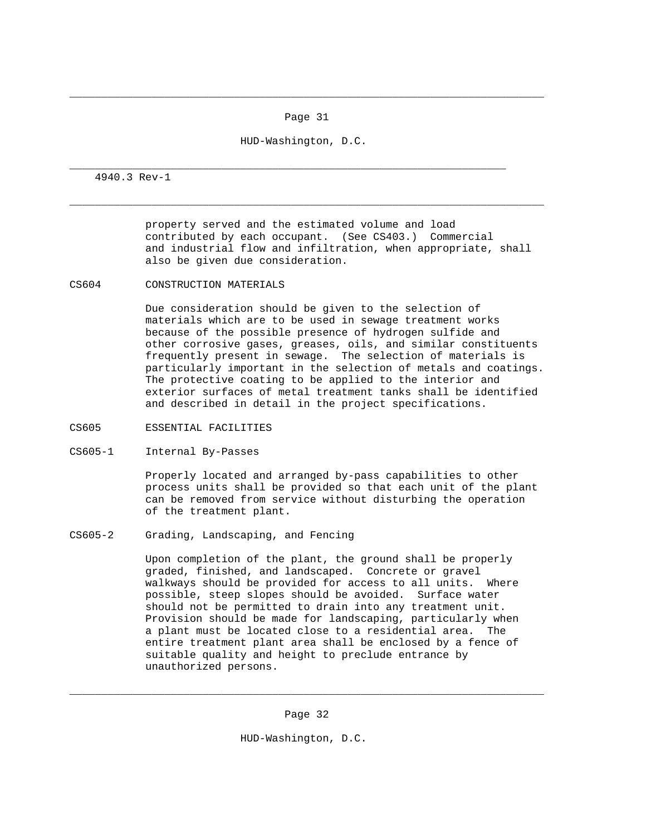Page 31

\_\_\_\_\_\_\_\_\_\_\_\_\_\_\_\_\_\_\_\_\_\_\_\_\_\_\_\_\_\_\_\_\_\_\_\_\_\_\_\_\_\_\_\_\_\_\_\_\_\_\_\_\_\_\_\_\_\_\_\_\_\_\_\_\_\_\_\_\_\_\_\_\_\_\_

\_\_\_\_\_\_\_\_\_\_\_\_\_\_\_\_\_\_\_\_\_\_\_\_\_\_\_\_\_\_\_\_\_\_\_\_\_\_\_\_\_\_\_\_\_\_\_\_\_\_\_\_\_\_\_\_\_\_\_\_\_\_\_\_\_\_\_\_\_\_\_\_\_\_\_

HUD-Washington, D.C.

\_\_\_\_\_\_\_\_\_\_\_\_\_\_\_\_\_\_\_\_\_\_\_\_\_\_\_\_\_\_\_\_\_\_\_\_\_\_\_\_\_\_\_\_\_\_\_\_\_\_\_\_\_\_\_\_\_\_\_\_\_\_\_\_\_\_\_\_\_

4940.3 Rev-1

 property served and the estimated volume and load contributed by each occupant. (See CS403.) Commercial and industrial flow and infiltration, when appropriate, shall also be given due consideration.

CS604 CONSTRUCTION MATERIALS

 Due consideration should be given to the selection of materials which are to be used in sewage treatment works because of the possible presence of hydrogen sulfide and other corrosive gases, greases, oils, and similar constituents frequently present in sewage. The selection of materials is particularly important in the selection of metals and coatings. The protective coating to be applied to the interior and exterior surfaces of metal treatment tanks shall be identified and described in detail in the project specifications.

- CS605 ESSENTIAL FACILITIES
- CS605-1 Internal By-Passes

 Properly located and arranged by-pass capabilities to other process units shall be provided so that each unit of the plant can be removed from service without disturbing the operation of the treatment plant.

CS605-2 Grading, Landscaping, and Fencing

 Upon completion of the plant, the ground shall be properly graded, finished, and landscaped. Concrete or gravel walkways should be provided for access to all units. Where possible, steep slopes should be avoided. Surface water should not be permitted to drain into any treatment unit. Provision should be made for landscaping, particularly when a plant must be located close to a residential area. The entire treatment plant area shall be enclosed by a fence of suitable quality and height to preclude entrance by unauthorized persons.

Page 32

\_\_\_\_\_\_\_\_\_\_\_\_\_\_\_\_\_\_\_\_\_\_\_\_\_\_\_\_\_\_\_\_\_\_\_\_\_\_\_\_\_\_\_\_\_\_\_\_\_\_\_\_\_\_\_\_\_\_\_\_\_\_\_\_\_\_\_\_\_\_\_\_\_\_\_

HUD-Washington, D.C.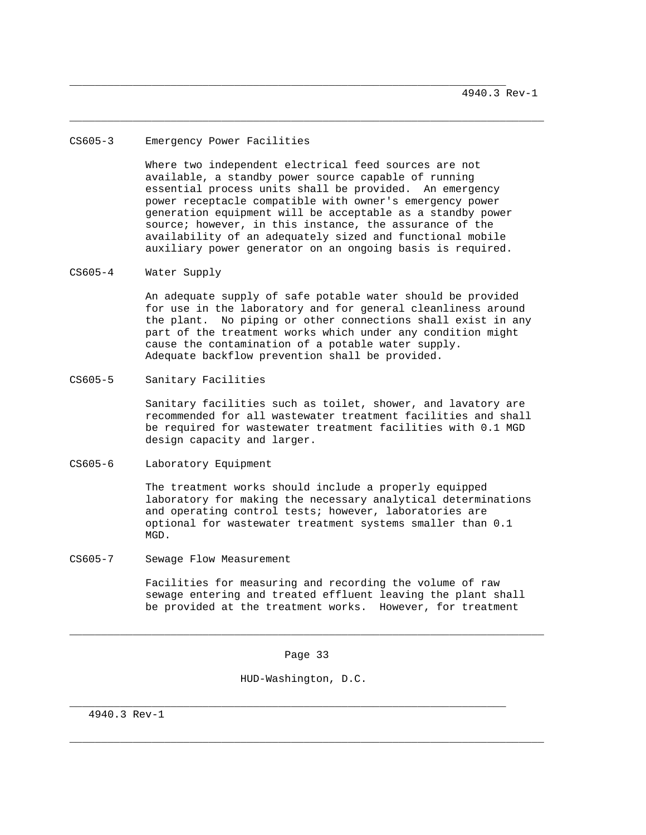#### CS605-3 Emergency Power Facilities

 Where two independent electrical feed sources are not available, a standby power source capable of running essential process units shall be provided. An emergency power receptacle compatible with owner's emergency power generation equipment will be acceptable as a standby power source; however, in this instance, the assurance of the availability of an adequately sized and functional mobile auxiliary power generator on an ongoing basis is required.

\_\_\_\_\_\_\_\_\_\_\_\_\_\_\_\_\_\_\_\_\_\_\_\_\_\_\_\_\_\_\_\_\_\_\_\_\_\_\_\_\_\_\_\_\_\_\_\_\_\_\_\_\_\_\_\_\_\_\_\_\_\_\_\_\_\_\_\_\_

\_\_\_\_\_\_\_\_\_\_\_\_\_\_\_\_\_\_\_\_\_\_\_\_\_\_\_\_\_\_\_\_\_\_\_\_\_\_\_\_\_\_\_\_\_\_\_\_\_\_\_\_\_\_\_\_\_\_\_\_\_\_\_\_\_\_\_\_\_\_\_\_\_\_\_

CS605-4 Water Supply

 An adequate supply of safe potable water should be provided for use in the laboratory and for general cleanliness around the plant. No piping or other connections shall exist in any part of the treatment works which under any condition might cause the contamination of a potable water supply. Adequate backflow prevention shall be provided.

CS605-5 Sanitary Facilities

 Sanitary facilities such as toilet, shower, and lavatory are recommended for all wastewater treatment facilities and shall be required for wastewater treatment facilities with 0.1 MGD design capacity and larger.

CS605-6 Laboratory Equipment

 The treatment works should include a properly equipped laboratory for making the necessary analytical determinations and operating control tests; however, laboratories are optional for wastewater treatment systems smaller than 0.1 MGD.

CS605-7 Sewage Flow Measurement

 Facilities for measuring and recording the volume of raw sewage entering and treated effluent leaving the plant shall be provided at the treatment works. However, for treatment

Page 33

\_\_\_\_\_\_\_\_\_\_\_\_\_\_\_\_\_\_\_\_\_\_\_\_\_\_\_\_\_\_\_\_\_\_\_\_\_\_\_\_\_\_\_\_\_\_\_\_\_\_\_\_\_\_\_\_\_\_\_\_\_\_\_\_\_\_\_\_\_\_\_\_\_\_\_

\_\_\_\_\_\_\_\_\_\_\_\_\_\_\_\_\_\_\_\_\_\_\_\_\_\_\_\_\_\_\_\_\_\_\_\_\_\_\_\_\_\_\_\_\_\_\_\_\_\_\_\_\_\_\_\_\_\_\_\_\_\_\_\_\_\_\_\_\_\_\_\_\_\_\_

HUD-Washington, D.C.

\_\_\_\_\_\_\_\_\_\_\_\_\_\_\_\_\_\_\_\_\_\_\_\_\_\_\_\_\_\_\_\_\_\_\_\_\_\_\_\_\_\_\_\_\_\_\_\_\_\_\_\_\_\_\_\_\_\_\_\_\_\_\_\_\_\_\_\_\_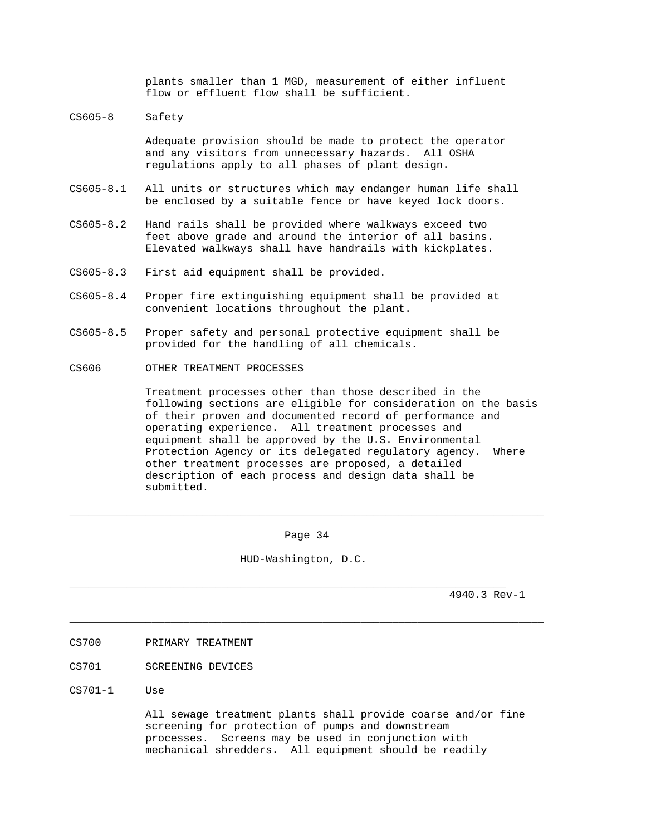plants smaller than 1 MGD, measurement of either influent flow or effluent flow shall be sufficient.

CS605-8 Safety

 Adequate provision should be made to protect the operator and any visitors from unnecessary hazards. All OSHA regulations apply to all phases of plant design.

- CS605-8.1 All units or structures which may endanger human life shall be enclosed by a suitable fence or have keyed lock doors.
- CS605-8.2 Hand rails shall be provided where walkways exceed two feet above grade and around the interior of all basins. Elevated walkways shall have handrails with kickplates.
- CS605-8.3 First aid equipment shall be provided.
- CS605-8.4 Proper fire extinguishing equipment shall be provided at convenient locations throughout the plant.
- CS605-8.5 Proper safety and personal protective equipment shall be provided for the handling of all chemicals.
- CS606 OTHER TREATMENT PROCESSES

 Treatment processes other than those described in the following sections are eligible for consideration on the basis of their proven and documented record of performance and operating experience. All treatment processes and equipment shall be approved by the U.S. Environmental Protection Agency or its delegated regulatory agency. Where other treatment processes are proposed, a detailed description of each process and design data shall be submitted.

Page 34

\_\_\_\_\_\_\_\_\_\_\_\_\_\_\_\_\_\_\_\_\_\_\_\_\_\_\_\_\_\_\_\_\_\_\_\_\_\_\_\_\_\_\_\_\_\_\_\_\_\_\_\_\_\_\_\_\_\_\_\_\_\_\_\_\_\_\_\_\_\_\_\_\_\_\_

\_\_\_\_\_\_\_\_\_\_\_\_\_\_\_\_\_\_\_\_\_\_\_\_\_\_\_\_\_\_\_\_\_\_\_\_\_\_\_\_\_\_\_\_\_\_\_\_\_\_\_\_\_\_\_\_\_\_\_\_\_\_\_\_\_\_\_\_\_\_\_\_\_\_\_

HUD-Washington, D.C.

\_\_\_\_\_\_\_\_\_\_\_\_\_\_\_\_\_\_\_\_\_\_\_\_\_\_\_\_\_\_\_\_\_\_\_\_\_\_\_\_\_\_\_\_\_\_\_\_\_\_\_\_\_\_\_\_\_\_\_\_\_\_\_\_\_\_\_\_\_

4940.3 Rev-1

- CS700 PRIMARY TREATMENT
- CS701 SCREENING DEVICES
- CS701-1 Use

 All sewage treatment plants shall provide coarse and/or fine screening for protection of pumps and downstream processes. Screens may be used in conjunction with mechanical shredders. All equipment should be readily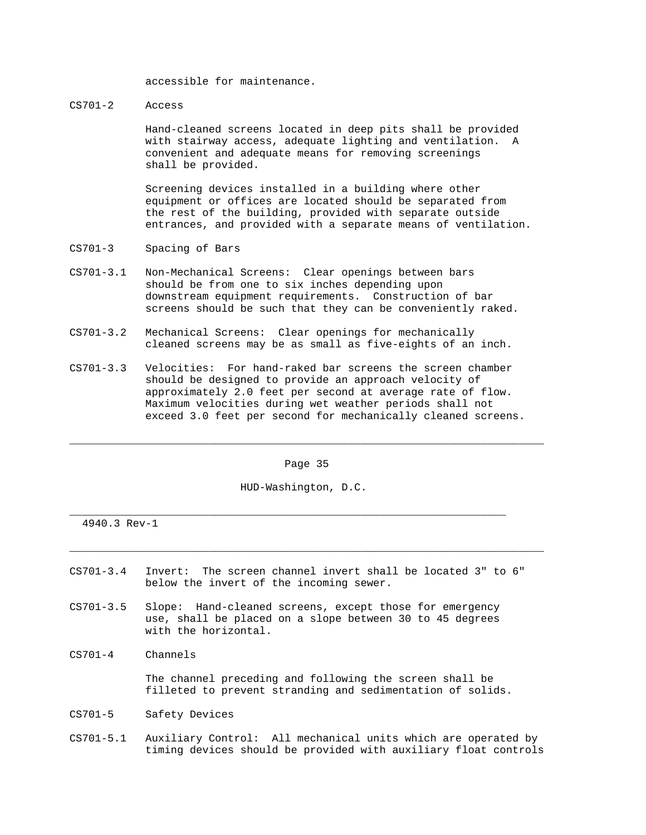accessible for maintenance.

CS701-2 Access

 Hand-cleaned screens located in deep pits shall be provided with stairway access, adequate lighting and ventilation. A convenient and adequate means for removing screenings shall be provided.

 Screening devices installed in a building where other equipment or offices are located should be separated from the rest of the building, provided with separate outside entrances, and provided with a separate means of ventilation.

- CS701-3 Spacing of Bars
- CS701-3.1 Non-Mechanical Screens: Clear openings between bars should be from one to six inches depending upon downstream equipment requirements. Construction of bar screens should be such that they can be conveniently raked.
- CS701-3.2 Mechanical Screens: Clear openings for mechanically cleaned screens may be as small as five-eights of an inch.
- CS701-3.3 Velocities: For hand-raked bar screens the screen chamber should be designed to provide an approach velocity of approximately 2.0 feet per second at average rate of flow. Maximum velocities during wet weather periods shall not exceed 3.0 feet per second for mechanically cleaned screens.

Page 35

\_\_\_\_\_\_\_\_\_\_\_\_\_\_\_\_\_\_\_\_\_\_\_\_\_\_\_\_\_\_\_\_\_\_\_\_\_\_\_\_\_\_\_\_\_\_\_\_\_\_\_\_\_\_\_\_\_\_\_\_\_\_\_\_\_\_\_\_\_\_\_\_\_\_\_

\_\_\_\_\_\_\_\_\_\_\_\_\_\_\_\_\_\_\_\_\_\_\_\_\_\_\_\_\_\_\_\_\_\_\_\_\_\_\_\_\_\_\_\_\_\_\_\_\_\_\_\_\_\_\_\_\_\_\_\_\_\_\_\_\_\_\_\_\_\_\_\_\_\_\_

HUD-Washington, D.C.

\_\_\_\_\_\_\_\_\_\_\_\_\_\_\_\_\_\_\_\_\_\_\_\_\_\_\_\_\_\_\_\_\_\_\_\_\_\_\_\_\_\_\_\_\_\_\_\_\_\_\_\_\_\_\_\_\_\_\_\_\_\_\_\_\_\_\_\_\_

4940.3 Rev-1

- CS701-3.4 Invert: The screen channel invert shall be located 3" to 6" below the invert of the incoming sewer.
- CS701-3.5 Slope: Hand-cleaned screens, except those for emergency use, shall be placed on a slope between 30 to 45 degrees with the horizontal.
- CS701-4 Channels

 The channel preceding and following the screen shall be filleted to prevent stranding and sedimentation of solids.

- CS701-5 Safety Devices
- CS701-5.1 Auxiliary Control: All mechanical units which are operated by timing devices should be provided with auxiliary float controls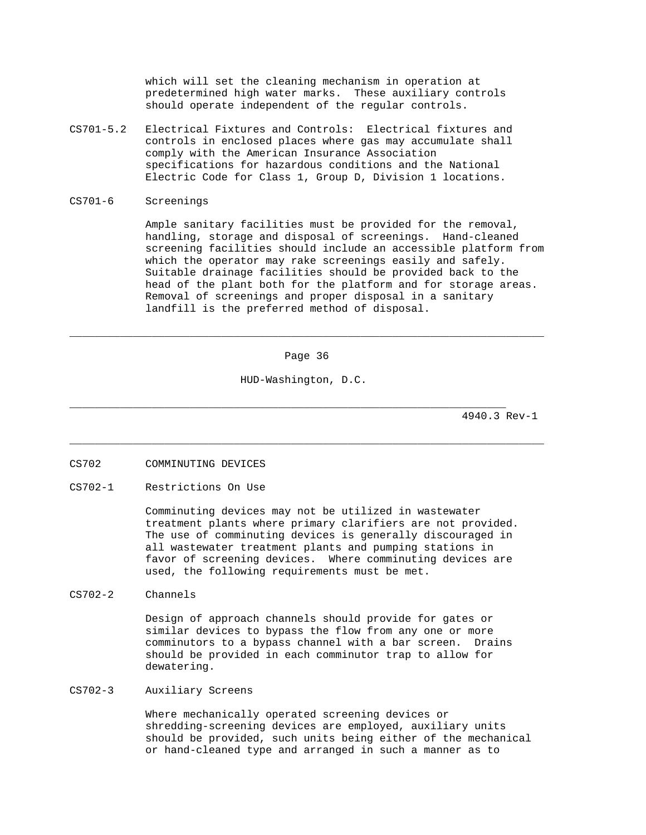which will set the cleaning mechanism in operation at predetermined high water marks. These auxiliary controls should operate independent of the regular controls.

- CS701-5.2 Electrical Fixtures and Controls: Electrical fixtures and controls in enclosed places where gas may accumulate shall comply with the American Insurance Association specifications for hazardous conditions and the National Electric Code for Class 1, Group D, Division 1 locations.
- CS701-6 Screenings

 Ample sanitary facilities must be provided for the removal, handling, storage and disposal of screenings. Hand-cleaned screening facilities should include an accessible platform from which the operator may rake screenings easily and safely. Suitable drainage facilities should be provided back to the head of the plant both for the platform and for storage areas. Removal of screenings and proper disposal in a sanitary landfill is the preferred method of disposal.

Page 36

\_\_\_\_\_\_\_\_\_\_\_\_\_\_\_\_\_\_\_\_\_\_\_\_\_\_\_\_\_\_\_\_\_\_\_\_\_\_\_\_\_\_\_\_\_\_\_\_\_\_\_\_\_\_\_\_\_\_\_\_\_\_\_\_\_\_\_\_\_\_\_\_\_\_\_

\_\_\_\_\_\_\_\_\_\_\_\_\_\_\_\_\_\_\_\_\_\_\_\_\_\_\_\_\_\_\_\_\_\_\_\_\_\_\_\_\_\_\_\_\_\_\_\_\_\_\_\_\_\_\_\_\_\_\_\_\_\_\_\_\_\_\_\_\_\_\_\_\_\_\_

HUD-Washington, D.C.

\_\_\_\_\_\_\_\_\_\_\_\_\_\_\_\_\_\_\_\_\_\_\_\_\_\_\_\_\_\_\_\_\_\_\_\_\_\_\_\_\_\_\_\_\_\_\_\_\_\_\_\_\_\_\_\_\_\_\_\_\_\_\_\_\_\_\_\_\_

4940.3 Rev-1

- CS702 COMMINUTING DEVICES
- CS702-1 Restrictions On Use

 Comminuting devices may not be utilized in wastewater treatment plants where primary clarifiers are not provided. The use of comminuting devices is generally discouraged in all wastewater treatment plants and pumping stations in favor of screening devices. Where comminuting devices are used, the following requirements must be met.

CS702-2 Channels

 Design of approach channels should provide for gates or similar devices to bypass the flow from any one or more comminutors to a bypass channel with a bar screen. Drains should be provided in each comminutor trap to allow for dewatering.

CS702-3 Auxiliary Screens

 Where mechanically operated screening devices or shredding-screening devices are employed, auxiliary units should be provided, such units being either of the mechanical or hand-cleaned type and arranged in such a manner as to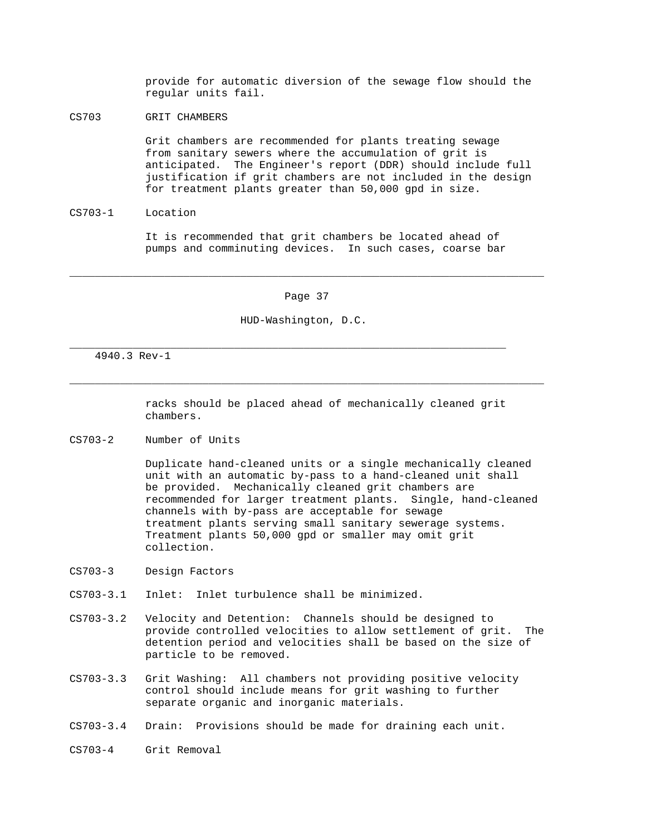provide for automatic diversion of the sewage flow should the regular units fail.

CS703 GRIT CHAMBERS

 Grit chambers are recommended for plants treating sewage from sanitary sewers where the accumulation of grit is anticipated. The Engineer's report (DDR) should include full justification if grit chambers are not included in the design for treatment plants greater than 50,000 gpd in size.

CS703-1 Location

 It is recommended that grit chambers be located ahead of pumps and comminuting devices. In such cases, coarse bar

Page 37

\_\_\_\_\_\_\_\_\_\_\_\_\_\_\_\_\_\_\_\_\_\_\_\_\_\_\_\_\_\_\_\_\_\_\_\_\_\_\_\_\_\_\_\_\_\_\_\_\_\_\_\_\_\_\_\_\_\_\_\_\_\_\_\_\_\_\_\_\_\_\_\_\_\_\_

\_\_\_\_\_\_\_\_\_\_\_\_\_\_\_\_\_\_\_\_\_\_\_\_\_\_\_\_\_\_\_\_\_\_\_\_\_\_\_\_\_\_\_\_\_\_\_\_\_\_\_\_\_\_\_\_\_\_\_\_\_\_\_\_\_\_\_\_\_\_\_\_\_\_\_

HUD-Washington, D.C.

\_\_\_\_\_\_\_\_\_\_\_\_\_\_\_\_\_\_\_\_\_\_\_\_\_\_\_\_\_\_\_\_\_\_\_\_\_\_\_\_\_\_\_\_\_\_\_\_\_\_\_\_\_\_\_\_\_\_\_\_\_\_\_\_\_\_\_\_\_

4940.3 Rev-1

 racks should be placed ahead of mechanically cleaned grit chambers.

CS703-2 Number of Units

 Duplicate hand-cleaned units or a single mechanically cleaned unit with an automatic by-pass to a hand-cleaned unit shall be provided. Mechanically cleaned grit chambers are recommended for larger treatment plants. Single, hand-cleaned channels with by-pass are acceptable for sewage treatment plants serving small sanitary sewerage systems. Treatment plants 50,000 gpd or smaller may omit grit collection.

- CS703-3 Design Factors
- CS703-3.1 Inlet: Inlet turbulence shall be minimized.
- CS703-3.2 Velocity and Detention: Channels should be designed to provide controlled velocities to allow settlement of grit. The detention period and velocities shall be based on the size of particle to be removed.
- CS703-3.3 Grit Washing: All chambers not providing positive velocity control should include means for grit washing to further separate organic and inorganic materials.
- CS703-3.4 Drain: Provisions should be made for draining each unit.
- CS703-4 Grit Removal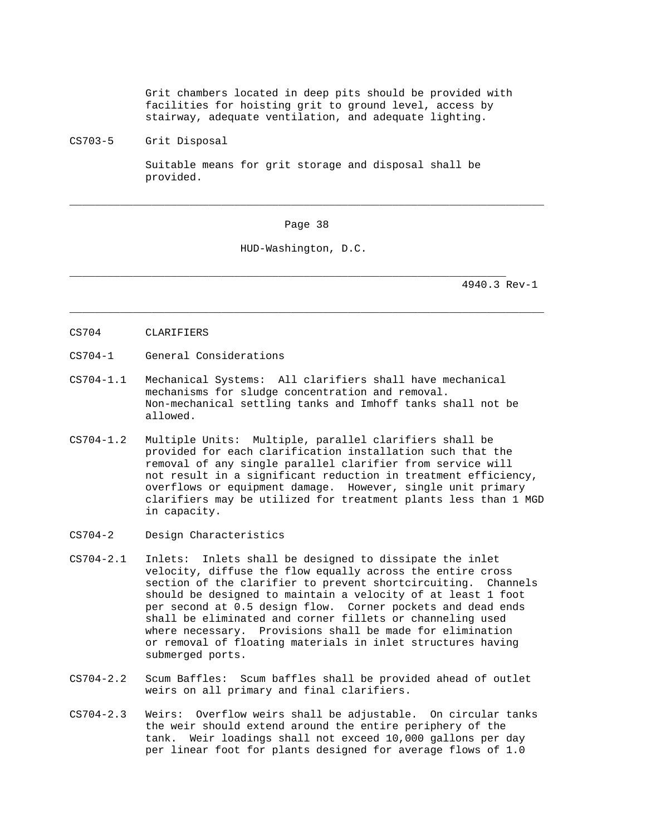Grit chambers located in deep pits should be provided with facilities for hoisting grit to ground level, access by stairway, adequate ventilation, and adequate lighting.

CS703-5 Grit Disposal

 Suitable means for grit storage and disposal shall be provided.

Page 38

\_\_\_\_\_\_\_\_\_\_\_\_\_\_\_\_\_\_\_\_\_\_\_\_\_\_\_\_\_\_\_\_\_\_\_\_\_\_\_\_\_\_\_\_\_\_\_\_\_\_\_\_\_\_\_\_\_\_\_\_\_\_\_\_\_\_\_\_\_\_\_\_\_\_\_

\_\_\_\_\_\_\_\_\_\_\_\_\_\_\_\_\_\_\_\_\_\_\_\_\_\_\_\_\_\_\_\_\_\_\_\_\_\_\_\_\_\_\_\_\_\_\_\_\_\_\_\_\_\_\_\_\_\_\_\_\_\_\_\_\_\_\_\_\_\_\_\_\_\_\_

HUD-Washington, D.C.

\_\_\_\_\_\_\_\_\_\_\_\_\_\_\_\_\_\_\_\_\_\_\_\_\_\_\_\_\_\_\_\_\_\_\_\_\_\_\_\_\_\_\_\_\_\_\_\_\_\_\_\_\_\_\_\_\_\_\_\_\_\_\_\_\_\_\_\_\_

- CS704 CLARIFIERS
- CS704-1 General Considerations
- CS704-1.1 Mechanical Systems: All clarifiers shall have mechanical mechanisms for sludge concentration and removal. Non-mechanical settling tanks and Imhoff tanks shall not be allowed.
- CS704-1.2 Multiple Units: Multiple, parallel clarifiers shall be provided for each clarification installation such that the removal of any single parallel clarifier from service will not result in a significant reduction in treatment efficiency, overflows or equipment damage. However, single unit primary clarifiers may be utilized for treatment plants less than 1 MGD in capacity.
- CS704-2 Design Characteristics
- CS704-2.1 Inlets: Inlets shall be designed to dissipate the inlet velocity, diffuse the flow equally across the entire cross section of the clarifier to prevent shortcircuiting. Channels should be designed to maintain a velocity of at least 1 foot per second at 0.5 design flow. Corner pockets and dead ends shall be eliminated and corner fillets or channeling used where necessary. Provisions shall be made for elimination or removal of floating materials in inlet structures having submerged ports.
- CS704-2.2 Scum Baffles: Scum baffles shall be provided ahead of outlet weirs on all primary and final clarifiers.
- CS704-2.3 Weirs: Overflow weirs shall be adjustable. On circular tanks the weir should extend around the entire periphery of the tank. Weir loadings shall not exceed 10,000 gallons per day per linear foot for plants designed for average flows of 1.0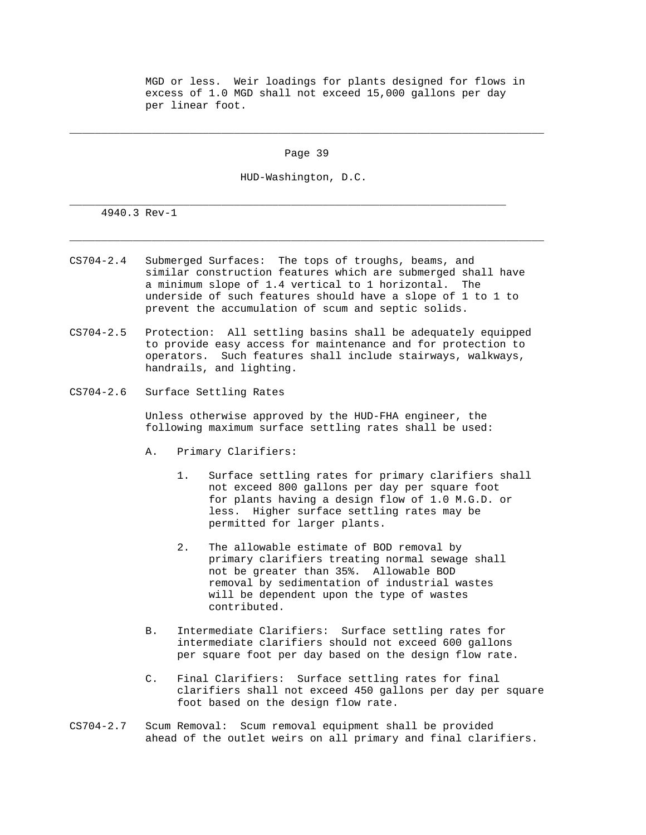MGD or less. Weir loadings for plants designed for flows in excess of 1.0 MGD shall not exceed 15,000 gallons per day per linear foot.

Page 39

\_\_\_\_\_\_\_\_\_\_\_\_\_\_\_\_\_\_\_\_\_\_\_\_\_\_\_\_\_\_\_\_\_\_\_\_\_\_\_\_\_\_\_\_\_\_\_\_\_\_\_\_\_\_\_\_\_\_\_\_\_\_\_\_\_\_\_\_\_\_\_\_\_\_\_

\_\_\_\_\_\_\_\_\_\_\_\_\_\_\_\_\_\_\_\_\_\_\_\_\_\_\_\_\_\_\_\_\_\_\_\_\_\_\_\_\_\_\_\_\_\_\_\_\_\_\_\_\_\_\_\_\_\_\_\_\_\_\_\_\_\_\_\_\_\_\_\_\_\_\_

HUD-Washington, D.C.

\_\_\_\_\_\_\_\_\_\_\_\_\_\_\_\_\_\_\_\_\_\_\_\_\_\_\_\_\_\_\_\_\_\_\_\_\_\_\_\_\_\_\_\_\_\_\_\_\_\_\_\_\_\_\_\_\_\_\_\_\_\_\_\_\_\_\_\_\_

4940.3 Rev-1

- CS704-2.4 Submerged Surfaces: The tops of troughs, beams, and similar construction features which are submerged shall have a minimum slope of 1.4 vertical to 1 horizontal. The underside of such features should have a slope of 1 to 1 to prevent the accumulation of scum and septic solids.
- CS704-2.5 Protection: All settling basins shall be adequately equipped to provide easy access for maintenance and for protection to operators. Such features shall include stairways, walkways, handrails, and lighting.
- CS704-2.6 Surface Settling Rates

 Unless otherwise approved by the HUD-FHA engineer, the following maximum surface settling rates shall be used:

- A. Primary Clarifiers:
	- 1. Surface settling rates for primary clarifiers shall not exceed 800 gallons per day per square foot for plants having a design flow of 1.0 M.G.D. or less. Higher surface settling rates may be permitted for larger plants.
	- 2. The allowable estimate of BOD removal by primary clarifiers treating normal sewage shall not be greater than 35%. Allowable BOD removal by sedimentation of industrial wastes will be dependent upon the type of wastes contributed.
- B. Intermediate Clarifiers: Surface settling rates for intermediate clarifiers should not exceed 600 gallons per square foot per day based on the design flow rate.
- C. Final Clarifiers: Surface settling rates for final clarifiers shall not exceed 450 gallons per day per square foot based on the design flow rate.
- CS704-2.7 Scum Removal: Scum removal equipment shall be provided ahead of the outlet weirs on all primary and final clarifiers.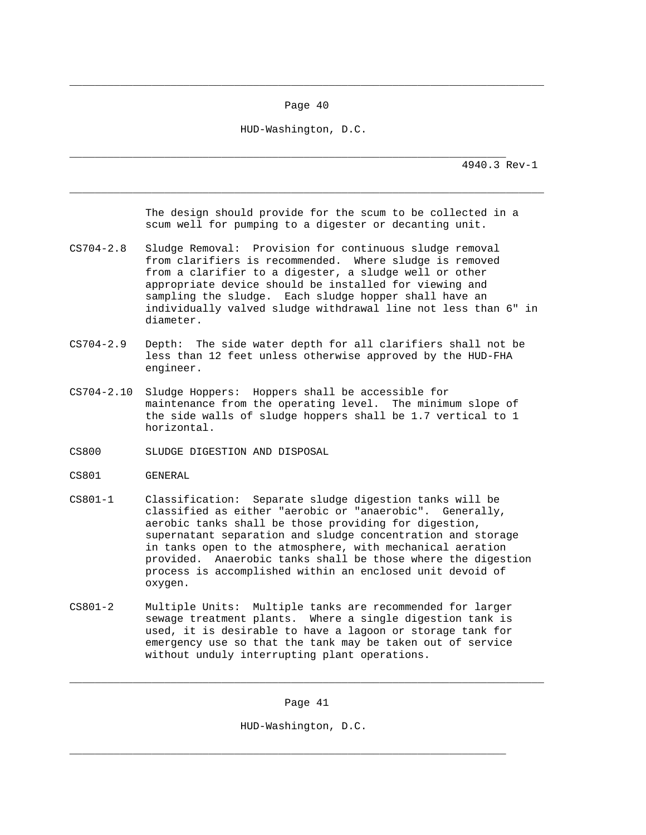Page 40

\_\_\_\_\_\_\_\_\_\_\_\_\_\_\_\_\_\_\_\_\_\_\_\_\_\_\_\_\_\_\_\_\_\_\_\_\_\_\_\_\_\_\_\_\_\_\_\_\_\_\_\_\_\_\_\_\_\_\_\_\_\_\_\_\_\_\_\_\_\_\_\_\_\_\_

HUD-Washington, D.C.

\_\_\_\_\_\_\_\_\_\_\_\_\_\_\_\_\_\_\_\_\_\_\_\_\_\_\_\_\_\_\_\_\_\_\_\_\_\_\_\_\_\_\_\_\_\_\_\_\_\_\_\_\_\_\_\_\_\_\_\_\_\_\_\_\_\_\_\_\_\_\_\_\_\_\_

\_\_\_\_\_\_\_\_\_\_\_\_\_\_\_\_\_\_\_\_\_\_\_\_\_\_\_\_\_\_\_\_\_\_\_\_\_\_\_\_\_\_\_\_\_\_\_\_\_\_\_\_\_\_\_\_\_\_\_\_\_\_\_\_\_\_\_\_\_ 4940.3 Rev-1

> The design should provide for the scum to be collected in a scum well for pumping to a digester or decanting unit.

- CS704-2.8 Sludge Removal: Provision for continuous sludge removal from clarifiers is recommended. Where sludge is removed from a clarifier to a digester, a sludge well or other appropriate device should be installed for viewing and sampling the sludge. Each sludge hopper shall have an individually valved sludge withdrawal line not less than 6" in diameter.
- CS704-2.9 Depth: The side water depth for all clarifiers shall not be less than 12 feet unless otherwise approved by the HUD-FHA engineer.
- CS704-2.10 Sludge Hoppers: Hoppers shall be accessible for maintenance from the operating level. The minimum slope of the side walls of sludge hoppers shall be 1.7 vertical to 1 horizontal.
- CS800 SLUDGE DIGESTION AND DISPOSAL
- CS801 GENERAL
- CS801-1 Classification: Separate sludge digestion tanks will be classified as either "aerobic or "anaerobic". Generally, aerobic tanks shall be those providing for digestion, supernatant separation and sludge concentration and storage in tanks open to the atmosphere, with mechanical aeration provided. Anaerobic tanks shall be those where the digestion process is accomplished within an enclosed unit devoid of oxygen.
- CS801-2 Multiple Units: Multiple tanks are recommended for larger sewage treatment plants. Where a single digestion tank is used, it is desirable to have a lagoon or storage tank for emergency use so that the tank may be taken out of service without unduly interrupting plant operations.

Page 41

\_\_\_\_\_\_\_\_\_\_\_\_\_\_\_\_\_\_\_\_\_\_\_\_\_\_\_\_\_\_\_\_\_\_\_\_\_\_\_\_\_\_\_\_\_\_\_\_\_\_\_\_\_\_\_\_\_\_\_\_\_\_\_\_\_\_\_\_\_\_\_\_\_\_\_

HUD-Washington, D.C.

\_\_\_\_\_\_\_\_\_\_\_\_\_\_\_\_\_\_\_\_\_\_\_\_\_\_\_\_\_\_\_\_\_\_\_\_\_\_\_\_\_\_\_\_\_\_\_\_\_\_\_\_\_\_\_\_\_\_\_\_\_\_\_\_\_\_\_\_\_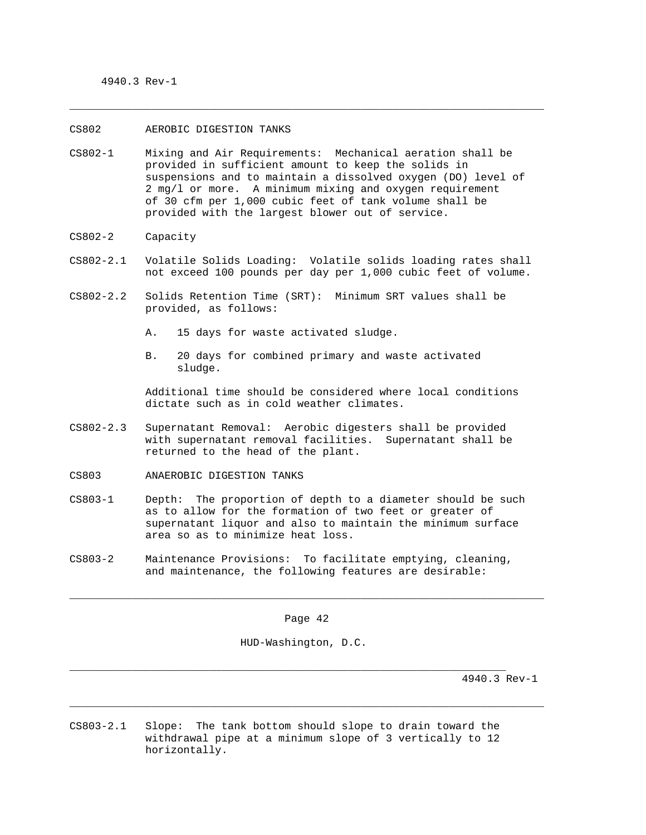### CS802 AEROBIC DIGESTION TANKS

CS802-1 Mixing and Air Requirements: Mechanical aeration shall be provided in sufficient amount to keep the solids in suspensions and to maintain a dissolved oxygen (DO) level of 2 mg/l or more. A minimum mixing and oxygen requirement of 30 cfm per 1,000 cubic feet of tank volume shall be provided with the largest blower out of service.

\_\_\_\_\_\_\_\_\_\_\_\_\_\_\_\_\_\_\_\_\_\_\_\_\_\_\_\_\_\_\_\_\_\_\_\_\_\_\_\_\_\_\_\_\_\_\_\_\_\_\_\_\_\_\_\_\_\_\_\_\_\_\_\_\_\_\_\_\_\_\_\_\_\_\_

- CS802-2 Capacity
- CS802-2.1 Volatile Solids Loading: Volatile solids loading rates shall not exceed 100 pounds per day per 1,000 cubic feet of volume.
- CS802-2.2 Solids Retention Time (SRT): Minimum SRT values shall be provided, as follows:
	- A. 15 days for waste activated sludge.
	- B. 20 days for combined primary and waste activated sludge.

 Additional time should be considered where local conditions dictate such as in cold weather climates.

- CS802-2.3 Supernatant Removal: Aerobic digesters shall be provided with supernatant removal facilities. Supernatant shall be returned to the head of the plant.
- CS803 ANAEROBIC DIGESTION TANKS
- CS803-1 Depth: The proportion of depth to a diameter should be such as to allow for the formation of two feet or greater of supernatant liquor and also to maintain the minimum surface area so as to minimize heat loss.
- CS803-2 Maintenance Provisions: To facilitate emptying, cleaning, and maintenance, the following features are desirable:

Page 42

\_\_\_\_\_\_\_\_\_\_\_\_\_\_\_\_\_\_\_\_\_\_\_\_\_\_\_\_\_\_\_\_\_\_\_\_\_\_\_\_\_\_\_\_\_\_\_\_\_\_\_\_\_\_\_\_\_\_\_\_\_\_\_\_\_\_\_\_\_\_\_\_\_\_\_

\_\_\_\_\_\_\_\_\_\_\_\_\_\_\_\_\_\_\_\_\_\_\_\_\_\_\_\_\_\_\_\_\_\_\_\_\_\_\_\_\_\_\_\_\_\_\_\_\_\_\_\_\_\_\_\_\_\_\_\_\_\_\_\_\_\_\_\_\_\_\_\_\_\_\_

HUD-Washington, D.C.

\_\_\_\_\_\_\_\_\_\_\_\_\_\_\_\_\_\_\_\_\_\_\_\_\_\_\_\_\_\_\_\_\_\_\_\_\_\_\_\_\_\_\_\_\_\_\_\_\_\_\_\_\_\_\_\_\_\_\_\_\_\_\_\_\_\_\_\_\_

4940.3 Rev-1

CS803-2.1 Slope: The tank bottom should slope to drain toward the withdrawal pipe at a minimum slope of 3 vertically to 12 horizontally.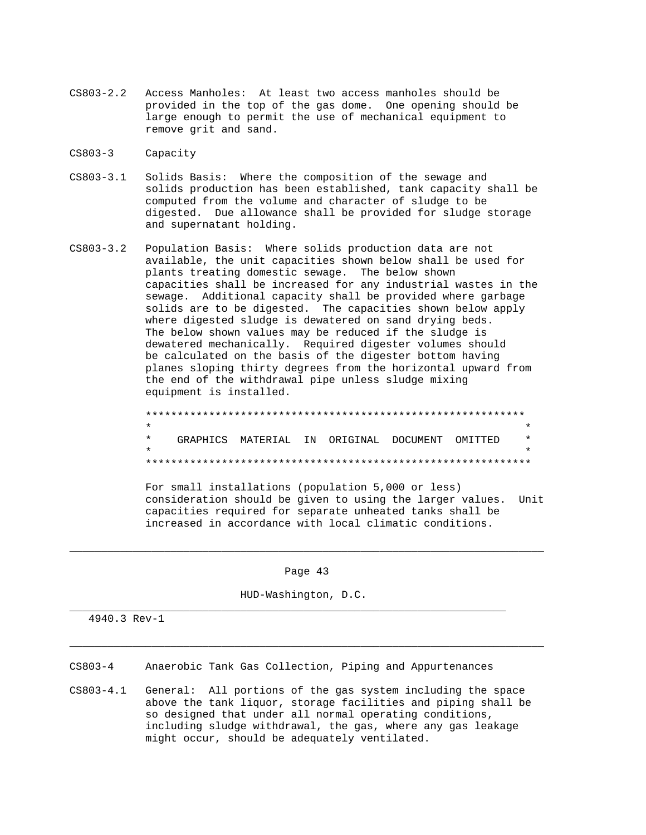- CS803-2.2 Access Manholes: At least two access manholes should be provided in the top of the gas dome. One opening should be large enough to permit the use of mechanical equipment to remove grit and sand.
- CS803-3 Capacity
- CS803-3.1 Solids Basis: Where the composition of the sewage and solids production has been established, tank capacity shall be computed from the volume and character of sludge to be digested. Due allowance shall be provided for sludge storage and supernatant holding.
- CS803-3.2 Population Basis: Where solids production data are not available, the unit capacities shown below shall be used for plants treating domestic sewage. The below shown capacities shall be increased for any industrial wastes in the sewage. Additional capacity shall be provided where garbage solids are to be digested. The capacities shown below apply where digested sludge is dewatered on sand drying beds. The below shown values may be reduced if the sludge is dewatered mechanically. Required digester volumes should be calculated on the basis of the digester bottom having planes sloping thirty degrees from the horizontal upward from the end of the withdrawal pipe unless sludge mixing equipment is installed.
- \*\*\*\*\*\*\*\*\*\*\*\*\*\*\*\*\*\*\*\*\*\*\*\*\*\*\*\*\*\*\*\*\*\*\*\*\*\*\*\*\*\*\*\*\*\*\*\*\*\*\*\*\*\*\*\*\*\*\*\*  $\star$  \* \* GRAPHICS MATERIAL IN ORIGINAL DOCUMENT OMITTED \*  $\star$  \* \*\*\*\*\*\*\*\*\*\*\*\*\*\*\*\*\*\*\*\*\*\*\*\*\*\*\*\*\*\*\*\*\*\*\*\*\*\*\*\*\*\*\*\*\*\*\*\*\*\*\*\*\*\*\*\*\*\*\*\*\*

 For small installations (population 5,000 or less) consideration should be given to using the larger values. Unit capacities required for separate unheated tanks shall be increased in accordance with local climatic conditions.

Page 43

\_\_\_\_\_\_\_\_\_\_\_\_\_\_\_\_\_\_\_\_\_\_\_\_\_\_\_\_\_\_\_\_\_\_\_\_\_\_\_\_\_\_\_\_\_\_\_\_\_\_\_\_\_\_\_\_\_\_\_\_\_\_\_\_\_\_\_\_\_\_\_\_\_\_\_

\_\_\_\_\_\_\_\_\_\_\_\_\_\_\_\_\_\_\_\_\_\_\_\_\_\_\_\_\_\_\_\_\_\_\_\_\_\_\_\_\_\_\_\_\_\_\_\_\_\_\_\_\_\_\_\_\_\_\_\_\_\_\_\_\_\_\_\_\_\_\_\_\_\_\_

HUD-Washington, D.C.

\_\_\_\_\_\_\_\_\_\_\_\_\_\_\_\_\_\_\_\_\_\_\_\_\_\_\_\_\_\_\_\_\_\_\_\_\_\_\_\_\_\_\_\_\_\_\_\_\_\_\_\_\_\_\_\_\_\_\_\_\_\_\_\_\_\_\_\_\_

4940.3 Rev-1

CS803-4 Anaerobic Tank Gas Collection, Piping and Appurtenances

CS803-4.1 General: All portions of the gas system including the space above the tank liquor, storage facilities and piping shall be so designed that under all normal operating conditions, including sludge withdrawal, the gas, where any gas leakage might occur, should be adequately ventilated.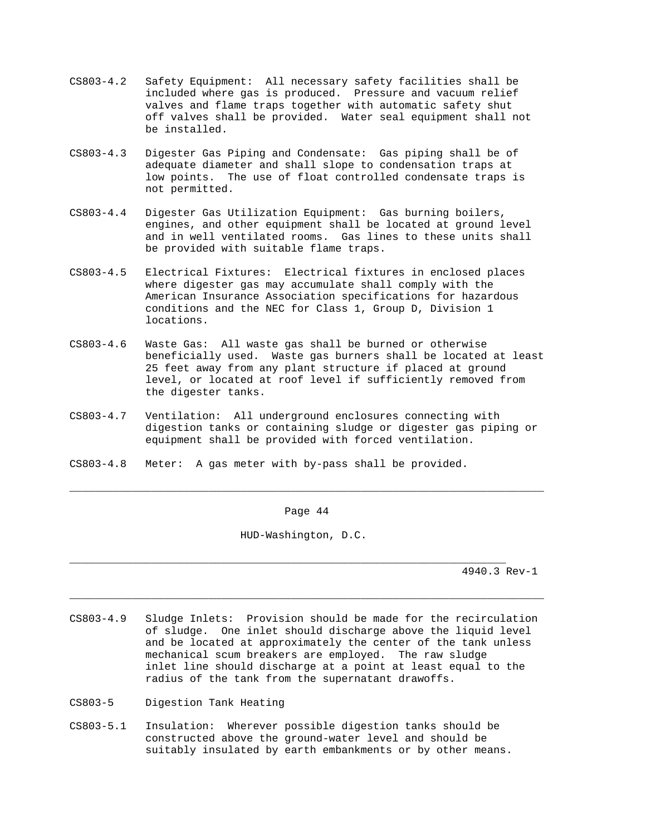- CS803-4.2 Safety Equipment: All necessary safety facilities shall be included where gas is produced. Pressure and vacuum relief valves and flame traps together with automatic safety shut off valves shall be provided. Water seal equipment shall not be installed.
- CS803-4.3 Digester Gas Piping and Condensate: Gas piping shall be of adequate diameter and shall slope to condensation traps at low points. The use of float controlled condensate traps is not permitted.
- CS803-4.4 Digester Gas Utilization Equipment: Gas burning boilers, engines, and other equipment shall be located at ground level and in well ventilated rooms. Gas lines to these units shall be provided with suitable flame traps.
- CS803-4.5 Electrical Fixtures: Electrical fixtures in enclosed places where digester gas may accumulate shall comply with the American Insurance Association specifications for hazardous conditions and the NEC for Class 1, Group D, Division 1 locations.
- CS803-4.6 Waste Gas: All waste gas shall be burned or otherwise beneficially used. Waste gas burners shall be located at least 25 feet away from any plant structure if placed at ground level, or located at roof level if sufficiently removed from the digester tanks.
- CS803-4.7 Ventilation: All underground enclosures connecting with digestion tanks or containing sludge or digester gas piping or equipment shall be provided with forced ventilation.
- CS803-4.8 Meter: A gas meter with by-pass shall be provided.

Page 44

\_\_\_\_\_\_\_\_\_\_\_\_\_\_\_\_\_\_\_\_\_\_\_\_\_\_\_\_\_\_\_\_\_\_\_\_\_\_\_\_\_\_\_\_\_\_\_\_\_\_\_\_\_\_\_\_\_\_\_\_\_\_\_\_\_\_\_\_\_\_\_\_\_\_\_

HUD-Washington, D.C.

\_\_\_\_\_\_\_\_\_\_\_\_\_\_\_\_\_\_\_\_\_\_\_\_\_\_\_\_\_\_\_\_\_\_\_\_\_\_\_\_\_\_\_\_\_\_\_\_\_\_\_\_\_\_\_\_\_\_\_\_\_\_\_\_\_\_\_\_\_

4940.3 Rev-1

CS803-4.9 Sludge Inlets: Provision should be made for the recirculation of sludge. One inlet should discharge above the liquid level and be located at approximately the center of the tank unless mechanical scum breakers are employed. The raw sludge inlet line should discharge at a point at least equal to the radius of the tank from the supernatant drawoffs.

\_\_\_\_\_\_\_\_\_\_\_\_\_\_\_\_\_\_\_\_\_\_\_\_\_\_\_\_\_\_\_\_\_\_\_\_\_\_\_\_\_\_\_\_\_\_\_\_\_\_\_\_\_\_\_\_\_\_\_\_\_\_\_\_\_\_\_\_\_\_\_\_\_\_\_

- CS803-5 Digestion Tank Heating
- CS803-5.1 Insulation: Wherever possible digestion tanks should be constructed above the ground-water level and should be suitably insulated by earth embankments or by other means.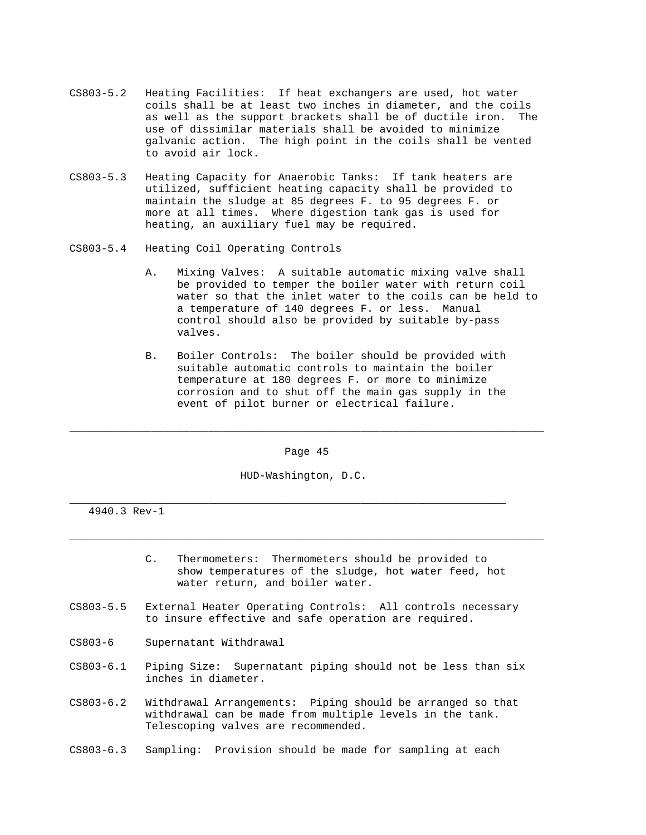- CS803-5.2 Heating Facilities: If heat exchangers are used, hot water coils shall be at least two inches in diameter, and the coils as well as the support brackets shall be of ductile iron. The use of dissimilar materials shall be avoided to minimize galvanic action. The high point in the coils shall be vented to avoid air lock.
- CS803-5.3 Heating Capacity for Anaerobic Tanks: If tank heaters are utilized, sufficient heating capacity shall be provided to maintain the sludge at 85 degrees F. to 95 degrees F. or more at all times. Where digestion tank gas is used for heating, an auxiliary fuel may be required.
- CS803-5.4 Heating Coil Operating Controls
	- A. Mixing Valves: A suitable automatic mixing valve shall be provided to temper the boiler water with return coil water so that the inlet water to the coils can be held to a temperature of 140 degrees F. or less. Manual control should also be provided by suitable by-pass valves.
	- B. Boiler Controls: The boiler should be provided with suitable automatic controls to maintain the boiler temperature at 180 degrees F. or more to minimize corrosion and to shut off the main gas supply in the event of pilot burner or electrical failure.

Page 45

\_\_\_\_\_\_\_\_\_\_\_\_\_\_\_\_\_\_\_\_\_\_\_\_\_\_\_\_\_\_\_\_\_\_\_\_\_\_\_\_\_\_\_\_\_\_\_\_\_\_\_\_\_\_\_\_\_\_\_\_\_\_\_\_\_\_\_\_\_\_\_\_\_\_\_

\_\_\_\_\_\_\_\_\_\_\_\_\_\_\_\_\_\_\_\_\_\_\_\_\_\_\_\_\_\_\_\_\_\_\_\_\_\_\_\_\_\_\_\_\_\_\_\_\_\_\_\_\_\_\_\_\_\_\_\_\_\_\_\_\_\_\_\_\_\_\_\_\_\_\_

HUD-Washington, D.C.

\_\_\_\_\_\_\_\_\_\_\_\_\_\_\_\_\_\_\_\_\_\_\_\_\_\_\_\_\_\_\_\_\_\_\_\_\_\_\_\_\_\_\_\_\_\_\_\_\_\_\_\_\_\_\_\_\_\_\_\_\_\_\_\_\_\_\_\_\_

- C. Thermometers: Thermometers should be provided to show temperatures of the sludge, hot water feed, hot water return, and boiler water.
- CS803-5.5 External Heater Operating Controls: All controls necessary to insure effective and safe operation are required.
- CS803-6 Supernatant Withdrawal
- CS803-6.1 Piping Size: Supernatant piping should not be less than six inches in diameter.
- CS803-6.2 Withdrawal Arrangements: Piping should be arranged so that withdrawal can be made from multiple levels in the tank. Telescoping valves are recommended.
- CS803-6.3 Sampling: Provision should be made for sampling at each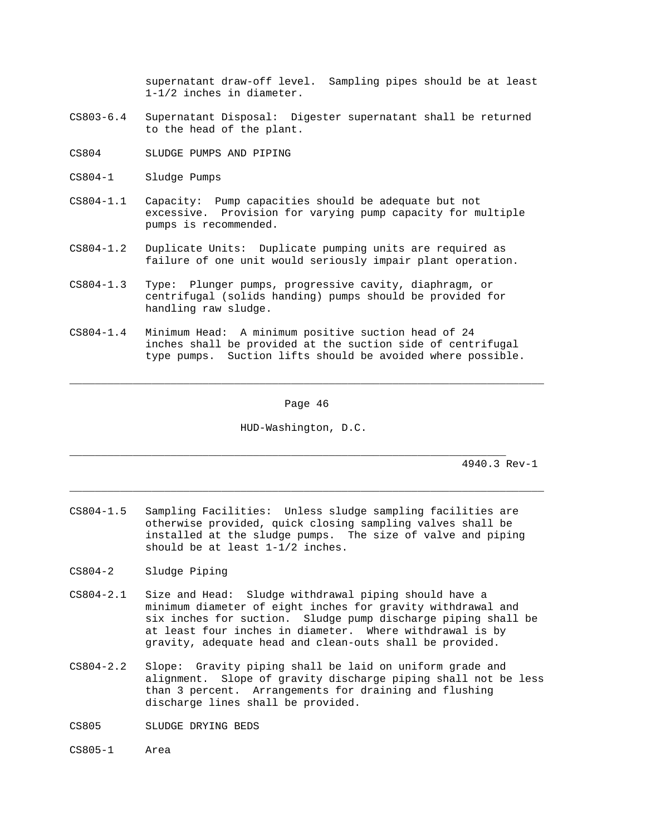supernatant draw-off level. Sampling pipes should be at least 1-1/2 inches in diameter.

- CS803-6.4 Supernatant Disposal: Digester supernatant shall be returned to the head of the plant.
- CS804 SLUDGE PUMPS AND PIPING
- CS804-1 Sludge Pumps
- CS804-1.1 Capacity: Pump capacities should be adequate but not excessive. Provision for varying pump capacity for multiple pumps is recommended.
- CS804-1.2 Duplicate Units: Duplicate pumping units are required as failure of one unit would seriously impair plant operation.
- CS804-1.3 Type: Plunger pumps, progressive cavity, diaphragm, or centrifugal (solids handing) pumps should be provided for handling raw sludge.
- CS804-1.4 Minimum Head: A minimum positive suction head of 24 inches shall be provided at the suction side of centrifugal type pumps. Suction lifts should be avoided where possible.

Page 46

\_\_\_\_\_\_\_\_\_\_\_\_\_\_\_\_\_\_\_\_\_\_\_\_\_\_\_\_\_\_\_\_\_\_\_\_\_\_\_\_\_\_\_\_\_\_\_\_\_\_\_\_\_\_\_\_\_\_\_\_\_\_\_\_\_\_\_\_\_\_\_\_\_\_\_

HUD-Washington, D.C.

\_\_\_\_\_\_\_\_\_\_\_\_\_\_\_\_\_\_\_\_\_\_\_\_\_\_\_\_\_\_\_\_\_\_\_\_\_\_\_\_\_\_\_\_\_\_\_\_\_\_\_\_\_\_\_\_\_\_\_\_\_\_\_\_\_\_\_\_\_\_\_\_\_\_\_

\_\_\_\_\_\_\_\_\_\_\_\_\_\_\_\_\_\_\_\_\_\_\_\_\_\_\_\_\_\_\_\_\_\_\_\_\_\_\_\_\_\_\_\_\_\_\_\_\_\_\_\_\_\_\_\_\_\_\_\_\_\_\_\_\_\_\_\_\_

- CS804-1.5 Sampling Facilities: Unless sludge sampling facilities are otherwise provided, quick closing sampling valves shall be installed at the sludge pumps. The size of valve and piping should be at least 1-1/2 inches.
- CS804-2 Sludge Piping
- CS804-2.1 Size and Head: Sludge withdrawal piping should have a minimum diameter of eight inches for gravity withdrawal and six inches for suction. Sludge pump discharge piping shall be at least four inches in diameter. Where withdrawal is by gravity, adequate head and clean-outs shall be provided.
- CS804-2.2 Slope: Gravity piping shall be laid on uniform grade and alignment. Slope of gravity discharge piping shall not be less than 3 percent. Arrangements for draining and flushing discharge lines shall be provided.
- CS805 SLUDGE DRYING BEDS
- CS805-1 Area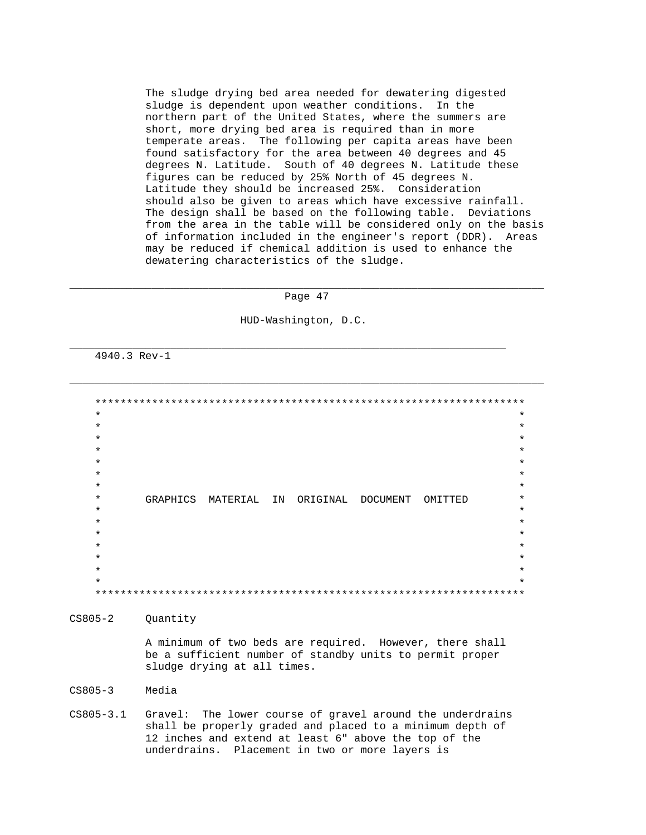The sludge drying bed area needed for dewatering digested sludge is dependent upon weather conditions. In the northern part of the United States, where the summers are short, more drying bed area is required than in more temperate areas. The following per capita areas have been found satisfactory for the area between 40 degrees and 45 degrees N. Latitude. South of 40 degrees N. Latitude these figures can be reduced by 25% North of 45 degrees N. Latitude they should be increased 25%. Consideration should also be given to areas which have excessive rainfall. The design shall be based on the following table. Deviations from the area in the table will be considered only on the basis of information included in the engineer's report (DDR). Areas may be reduced if chemical addition is used to enhance the dewatering characteristics of the sludge.

## \_\_\_\_\_\_\_\_\_\_\_\_\_\_\_\_\_\_\_\_\_\_\_\_\_\_\_\_\_\_\_\_\_\_\_\_\_\_\_\_\_\_\_\_\_\_\_\_\_\_\_\_\_\_\_\_\_\_\_\_\_\_\_\_\_\_\_\_\_\_\_\_\_\_\_ Page 47

\_\_\_\_\_\_\_\_\_\_\_\_\_\_\_\_\_\_\_\_\_\_\_\_\_\_\_\_\_\_\_\_\_\_\_\_\_\_\_\_\_\_\_\_\_\_\_\_\_\_\_\_\_\_\_\_\_\_\_\_\_\_\_\_\_\_\_\_\_\_\_\_\_\_\_

HUD-Washington, D.C.

\_\_\_\_\_\_\_\_\_\_\_\_\_\_\_\_\_\_\_\_\_\_\_\_\_\_\_\_\_\_\_\_\_\_\_\_\_\_\_\_\_\_\_\_\_\_\_\_\_\_\_\_\_\_\_\_\_\_\_\_\_\_\_\_\_\_\_\_\_

4940.3 Rev-1

 \*\*\*\*\*\*\*\*\*\*\*\*\*\*\*\*\*\*\*\*\*\*\*\*\*\*\*\*\*\*\*\*\*\*\*\*\*\*\*\*\*\*\*\*\*\*\*\*\*\*\*\*\*\*\*\*\*\*\*\*\*\*\*\*\*\*\*\*  $\star$  \*  $\star$  \*  $\star$  \*  $\star$  \*  $\star$  \*  $\star$  \*  $\star$  \* \* GRAPHICS MATERIAL IN ORIGINAL DOCUMENT OMITTED \*  $\star$  \*  $\star$  \*  $\star$   $\star$  $\star$  \*  $\star$  \*  $\star$  \*  $\star$  \* \*\*\*\*\*\*\*\*\*\*\*\*\*\*\*\*\*\*\*\*\*\*\*\*\*\*\*\*\*\*\*\*\*\*\*\*\*\*\*\*\*\*\*\*\*\*\*\*\*\*\*\*\*\*\*\*\*\*\*\*\*\*\*\*\*\*\*\*

CS805-2 Quantity

 A minimum of two beds are required. However, there shall be a sufficient number of standby units to permit proper sludge drying at all times.

CS805-3 Media

CS805-3.1 Gravel: The lower course of gravel around the underdrains shall be properly graded and placed to a minimum depth of 12 inches and extend at least 6" above the top of the underdrains. Placement in two or more layers is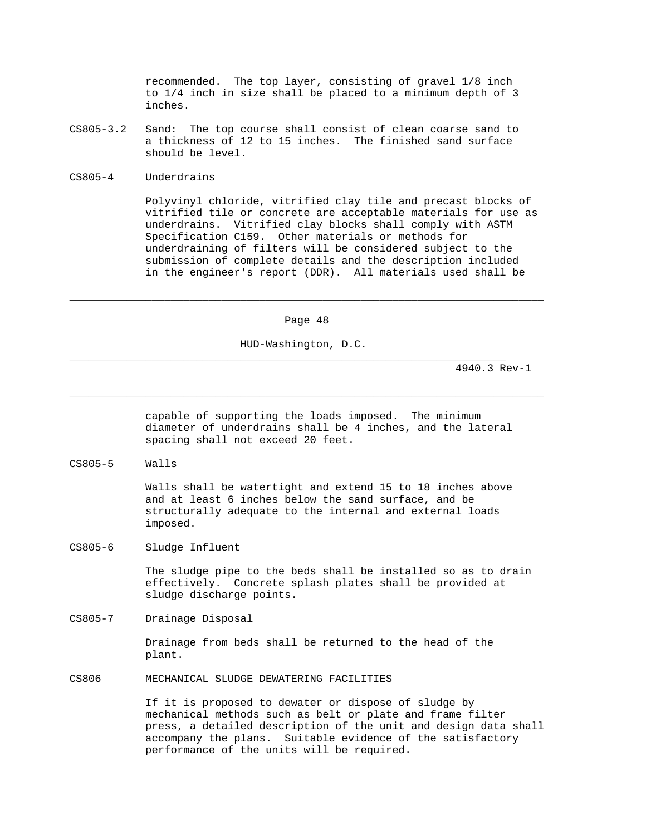recommended. The top layer, consisting of gravel 1/8 inch to 1/4 inch in size shall be placed to a minimum depth of 3 inches.

- CS805-3.2 Sand: The top course shall consist of clean coarse sand to a thickness of 12 to 15 inches. The finished sand surface should be level.
- CS805-4 Underdrains

 Polyvinyl chloride, vitrified clay tile and precast blocks of vitrified tile or concrete are acceptable materials for use as underdrains. Vitrified clay blocks shall comply with ASTM Specification C159. Other materials or methods for underdraining of filters will be considered subject to the submission of complete details and the description included in the engineer's report (DDR). All materials used shall be

Page 48

\_\_\_\_\_\_\_\_\_\_\_\_\_\_\_\_\_\_\_\_\_\_\_\_\_\_\_\_\_\_\_\_\_\_\_\_\_\_\_\_\_\_\_\_\_\_\_\_\_\_\_\_\_\_\_\_\_\_\_\_\_\_\_\_\_\_\_\_\_\_\_\_\_\_\_

\_\_\_\_\_\_\_\_\_\_\_\_\_\_\_\_\_\_\_\_\_\_\_\_\_\_\_\_\_\_\_\_\_\_\_\_\_\_\_\_\_\_\_\_\_\_\_\_\_\_\_\_\_\_\_\_\_\_\_\_\_\_\_\_\_\_\_\_\_\_\_\_\_\_\_

HUD-Washington, D.C.

\_\_\_\_\_\_\_\_\_\_\_\_\_\_\_\_\_\_\_\_\_\_\_\_\_\_\_\_\_\_\_\_\_\_\_\_\_\_\_\_\_\_\_\_\_\_\_\_\_\_\_\_\_\_\_\_\_\_\_\_\_\_\_\_\_\_\_\_\_

4940.3 Rev-1

 capable of supporting the loads imposed. The minimum diameter of underdrains shall be 4 inches, and the lateral spacing shall not exceed 20 feet.

CS805-5 Walls

 Walls shall be watertight and extend 15 to 18 inches above and at least 6 inches below the sand surface, and be structurally adequate to the internal and external loads imposed.

CS805-6 Sludge Influent

 The sludge pipe to the beds shall be installed so as to drain effectively. Concrete splash plates shall be provided at sludge discharge points.

CS805-7 Drainage Disposal

 Drainage from beds shall be returned to the head of the plant.

CS806 MECHANICAL SLUDGE DEWATERING FACILITIES

 If it is proposed to dewater or dispose of sludge by mechanical methods such as belt or plate and frame filter press, a detailed description of the unit and design data shall accompany the plans. Suitable evidence of the satisfactory performance of the units will be required.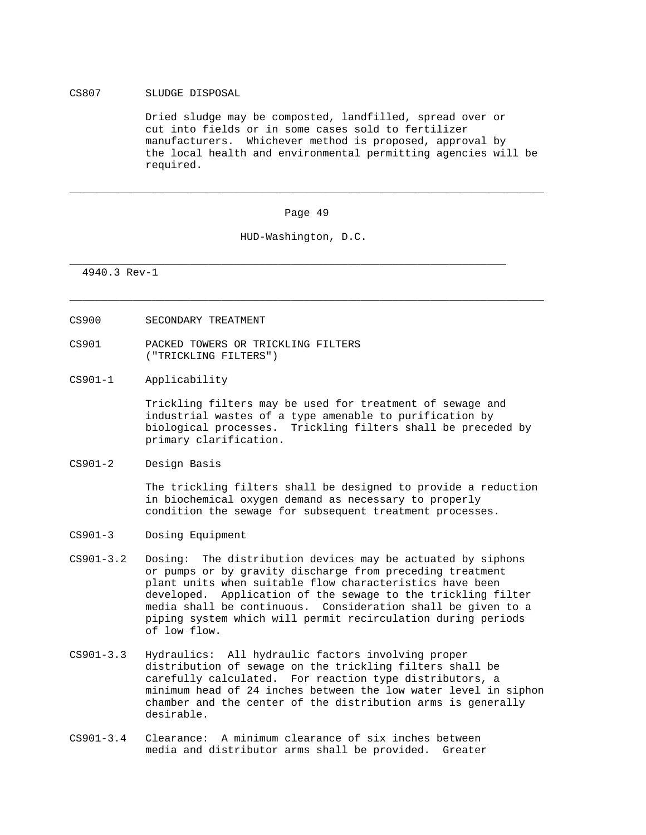# CS807 SLUDGE DISPOSAL

 Dried sludge may be composted, landfilled, spread over or cut into fields or in some cases sold to fertilizer manufacturers. Whichever method is proposed, approval by the local health and environmental permitting agencies will be required.

#### Page 49

\_\_\_\_\_\_\_\_\_\_\_\_\_\_\_\_\_\_\_\_\_\_\_\_\_\_\_\_\_\_\_\_\_\_\_\_\_\_\_\_\_\_\_\_\_\_\_\_\_\_\_\_\_\_\_\_\_\_\_\_\_\_\_\_\_\_\_\_\_\_\_\_\_\_\_

\_\_\_\_\_\_\_\_\_\_\_\_\_\_\_\_\_\_\_\_\_\_\_\_\_\_\_\_\_\_\_\_\_\_\_\_\_\_\_\_\_\_\_\_\_\_\_\_\_\_\_\_\_\_\_\_\_\_\_\_\_\_\_\_\_\_\_\_\_\_\_\_\_\_\_

HUD-Washington, D.C.

\_\_\_\_\_\_\_\_\_\_\_\_\_\_\_\_\_\_\_\_\_\_\_\_\_\_\_\_\_\_\_\_\_\_\_\_\_\_\_\_\_\_\_\_\_\_\_\_\_\_\_\_\_\_\_\_\_\_\_\_\_\_\_\_\_\_\_\_\_

4940.3 Rev-1

- CS900 SECONDARY TREATMENT
- CS901 PACKED TOWERS OR TRICKLING FILTERS ("TRICKLING FILTERS")
- CS901-1 Applicability

 Trickling filters may be used for treatment of sewage and industrial wastes of a type amenable to purification by biological processes. Trickling filters shall be preceded by primary clarification.

CS901-2 Design Basis

 The trickling filters shall be designed to provide a reduction in biochemical oxygen demand as necessary to properly condition the sewage for subsequent treatment processes.

- CS901-3 Dosing Equipment
- CS901-3.2 Dosing: The distribution devices may be actuated by siphons or pumps or by gravity discharge from preceding treatment plant units when suitable flow characteristics have been developed. Application of the sewage to the trickling filter media shall be continuous. Consideration shall be given to a piping system which will permit recirculation during periods of low flow.
- CS901-3.3 Hydraulics: All hydraulic factors involving proper distribution of sewage on the trickling filters shall be carefully calculated. For reaction type distributors, a minimum head of 24 inches between the low water level in siphon chamber and the center of the distribution arms is generally desirable.
- CS901-3.4 Clearance: A minimum clearance of six inches between media and distributor arms shall be provided. Greater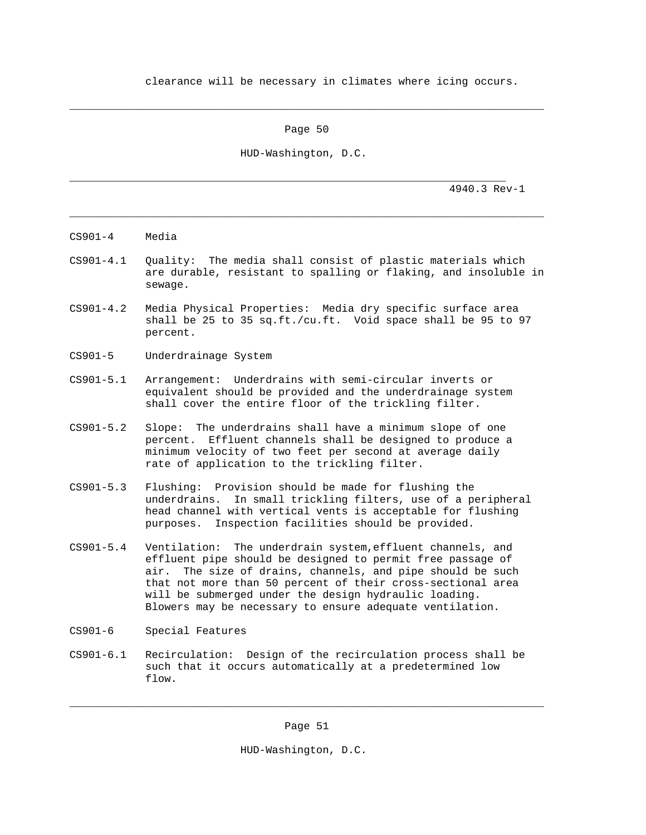clearance will be necessary in climates where icing occurs.

Page 50

\_\_\_\_\_\_\_\_\_\_\_\_\_\_\_\_\_\_\_\_\_\_\_\_\_\_\_\_\_\_\_\_\_\_\_\_\_\_\_\_\_\_\_\_\_\_\_\_\_\_\_\_\_\_\_\_\_\_\_\_\_\_\_\_\_\_\_\_\_\_\_\_\_\_\_

HUD-Washington, D.C.

\_\_\_\_\_\_\_\_\_\_\_\_\_\_\_\_\_\_\_\_\_\_\_\_\_\_\_\_\_\_\_\_\_\_\_\_\_\_\_\_\_\_\_\_\_\_\_\_\_\_\_\_\_\_\_\_\_\_\_\_\_\_\_\_\_\_\_\_\_

4940.3 Rev-1

- CS901-4 Media
- CS901-4.1 Quality: The media shall consist of plastic materials which are durable, resistant to spalling or flaking, and insoluble in sewage.

\_\_\_\_\_\_\_\_\_\_\_\_\_\_\_\_\_\_\_\_\_\_\_\_\_\_\_\_\_\_\_\_\_\_\_\_\_\_\_\_\_\_\_\_\_\_\_\_\_\_\_\_\_\_\_\_\_\_\_\_\_\_\_\_\_\_\_\_\_\_\_\_\_\_\_

- CS901-4.2 Media Physical Properties: Media dry specific surface area shall be 25 to 35 sq.ft./cu.ft. Void space shall be 95 to 97 percent.
- CS901-5 Underdrainage System
- CS901-5.1 Arrangement: Underdrains with semi-circular inverts or equivalent should be provided and the underdrainage system shall cover the entire floor of the trickling filter.
- CS901-5.2 Slope: The underdrains shall have a minimum slope of one percent. Effluent channels shall be designed to produce a minimum velocity of two feet per second at average daily rate of application to the trickling filter.
- CS901-5.3 Flushing: Provision should be made for flushing the underdrains. In small trickling filters, use of a peripheral head channel with vertical vents is acceptable for flushing purposes. Inspection facilities should be provided.
- CS901-5.4 Ventilation: The underdrain system,effluent channels, and effluent pipe should be designed to permit free passage of air. The size of drains, channels, and pipe should be such that not more than 50 percent of their cross-sectional area will be submerged under the design hydraulic loading. Blowers may be necessary to ensure adequate ventilation.
- CS901-6 Special Features
- CS901-6.1 Recirculation: Design of the recirculation process shall be such that it occurs automatically at a predetermined low flow.

\_\_\_\_\_\_\_\_\_\_\_\_\_\_\_\_\_\_\_\_\_\_\_\_\_\_\_\_\_\_\_\_\_\_\_\_\_\_\_\_\_\_\_\_\_\_\_\_\_\_\_\_\_\_\_\_\_\_\_\_\_\_\_\_\_\_\_\_\_\_\_\_\_\_\_

HUD-Washington, D.C.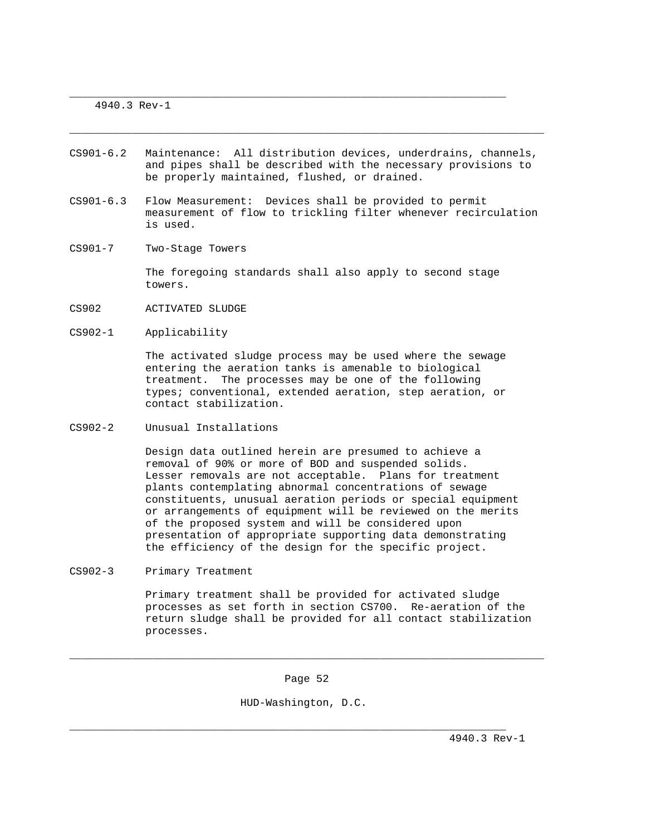4940.3 Rev-1

CS901-6.2 Maintenance: All distribution devices, underdrains, channels, and pipes shall be described with the necessary provisions to be properly maintained, flushed, or drained.

\_\_\_\_\_\_\_\_\_\_\_\_\_\_\_\_\_\_\_\_\_\_\_\_\_\_\_\_\_\_\_\_\_\_\_\_\_\_\_\_\_\_\_\_\_\_\_\_\_\_\_\_\_\_\_\_\_\_\_\_\_\_\_\_\_\_\_\_\_\_\_\_\_\_\_

\_\_\_\_\_\_\_\_\_\_\_\_\_\_\_\_\_\_\_\_\_\_\_\_\_\_\_\_\_\_\_\_\_\_\_\_\_\_\_\_\_\_\_\_\_\_\_\_\_\_\_\_\_\_\_\_\_\_\_\_\_\_\_\_\_\_\_\_\_

- CS901-6.3 Flow Measurement: Devices shall be provided to permit measurement of flow to trickling filter whenever recirculation is used.
- CS901-7 Two-Stage Towers

 The foregoing standards shall also apply to second stage towers.

- CS902 ACTIVATED SLUDGE
- CS902-1 Applicability

 The activated sludge process may be used where the sewage entering the aeration tanks is amenable to biological treatment. The processes may be one of the following types; conventional, extended aeration, step aeration, or contact stabilization.

CS902-2 Unusual Installations

 Design data outlined herein are presumed to achieve a removal of 90% or more of BOD and suspended solids. Lesser removals are not acceptable. Plans for treatment plants contemplating abnormal concentrations of sewage constituents, unusual aeration periods or special equipment or arrangements of equipment will be reviewed on the merits of the proposed system and will be considered upon presentation of appropriate supporting data demonstrating the efficiency of the design for the specific project.

CS902-3 Primary Treatment

 Primary treatment shall be provided for activated sludge processes as set forth in section CS700. Re-aeration of the return sludge shall be provided for all contact stabilization processes.

Page 52

\_\_\_\_\_\_\_\_\_\_\_\_\_\_\_\_\_\_\_\_\_\_\_\_\_\_\_\_\_\_\_\_\_\_\_\_\_\_\_\_\_\_\_\_\_\_\_\_\_\_\_\_\_\_\_\_\_\_\_\_\_\_\_\_\_\_\_\_\_\_\_\_\_\_\_

HUD-Washington, D.C.

\_\_\_\_\_\_\_\_\_\_\_\_\_\_\_\_\_\_\_\_\_\_\_\_\_\_\_\_\_\_\_\_\_\_\_\_\_\_\_\_\_\_\_\_\_\_\_\_\_\_\_\_\_\_\_\_\_\_\_\_\_\_\_\_\_\_\_\_\_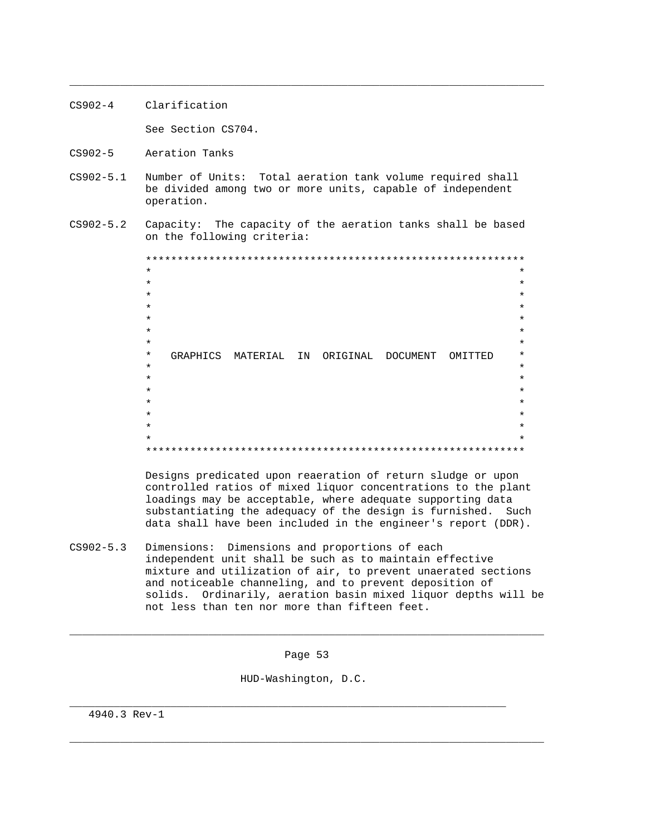- CS902-4 Clarification See Section CS704.
- CS902-5 Aeration Tanks
- CS902-5.1 Number of Units: Total aeration tank volume required shall be divided among two or more units, capable of independent operation.

\_\_\_\_\_\_\_\_\_\_\_\_\_\_\_\_\_\_\_\_\_\_\_\_\_\_\_\_\_\_\_\_\_\_\_\_\_\_\_\_\_\_\_\_\_\_\_\_\_\_\_\_\_\_\_\_\_\_\_\_\_\_\_\_\_\_\_\_\_\_\_\_\_\_\_

CS902-5.2 Capacity: The capacity of the aeration tanks shall be based on the following criteria:

 \*\*\*\*\*\*\*\*\*\*\*\*\*\*\*\*\*\*\*\*\*\*\*\*\*\*\*\*\*\*\*\*\*\*\*\*\*\*\*\*\*\*\*\*\*\*\*\*\*\*\*\*\*\*\*\*\*\*\*\*  $\star$  \*  $\star$  \*  $\star$  \*  $\star$   $\star$  $\star$  \*  $\star$  \*  $\star$  \* \* GRAPHICS MATERIAL IN ORIGINAL DOCUMENT OMITTED \*  $\star$  \*  $\star$  \*  $\star$  \*  $\star$  \*  $\star$  \*  $\star$  \*  $\star$  \* \*\*\*\*\*\*\*\*\*\*\*\*\*\*\*\*\*\*\*\*\*\*\*\*\*\*\*\*\*\*\*\*\*\*\*\*\*\*\*\*\*\*\*\*\*\*\*\*\*\*\*\*\*\*\*\*\*\*\*\*

> Designs predicated upon reaeration of return sludge or upon controlled ratios of mixed liquor concentrations to the plant loadings may be acceptable, where adequate supporting data substantiating the adequacy of the design is furnished. Such data shall have been included in the engineer's report (DDR).

CS902-5.3 Dimensions: Dimensions and proportions of each independent unit shall be such as to maintain effective mixture and utilization of air, to prevent unaerated sections and noticeable channeling, and to prevent deposition of solids. Ordinarily, aeration basin mixed liquor depths will be not less than ten nor more than fifteen feet.

Page 53

\_\_\_\_\_\_\_\_\_\_\_\_\_\_\_\_\_\_\_\_\_\_\_\_\_\_\_\_\_\_\_\_\_\_\_\_\_\_\_\_\_\_\_\_\_\_\_\_\_\_\_\_\_\_\_\_\_\_\_\_\_\_\_\_\_\_\_\_\_\_\_\_\_\_\_

\_\_\_\_\_\_\_\_\_\_\_\_\_\_\_\_\_\_\_\_\_\_\_\_\_\_\_\_\_\_\_\_\_\_\_\_\_\_\_\_\_\_\_\_\_\_\_\_\_\_\_\_\_\_\_\_\_\_\_\_\_\_\_\_\_\_\_\_\_\_\_\_\_\_\_

HUD-Washington, D.C.

\_\_\_\_\_\_\_\_\_\_\_\_\_\_\_\_\_\_\_\_\_\_\_\_\_\_\_\_\_\_\_\_\_\_\_\_\_\_\_\_\_\_\_\_\_\_\_\_\_\_\_\_\_\_\_\_\_\_\_\_\_\_\_\_\_\_\_\_\_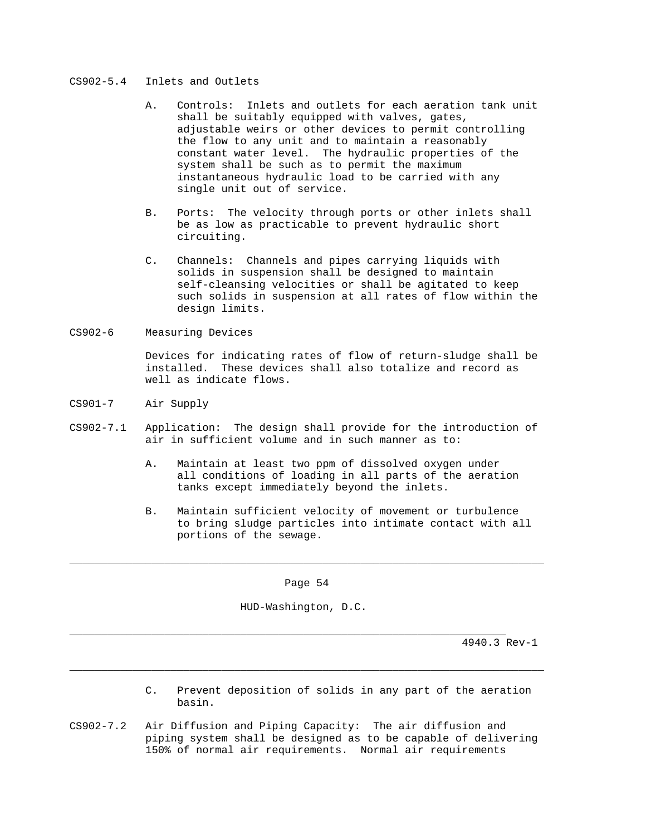# CS902-5.4 Inlets and Outlets

- A. Controls: Inlets and outlets for each aeration tank unit shall be suitably equipped with valves, gates, adjustable weirs or other devices to permit controlling the flow to any unit and to maintain a reasonably constant water level. The hydraulic properties of the system shall be such as to permit the maximum instantaneous hydraulic load to be carried with any single unit out of service.
- B. Ports: The velocity through ports or other inlets shall be as low as practicable to prevent hydraulic short circuiting.
- C. Channels: Channels and pipes carrying liquids with solids in suspension shall be designed to maintain self-cleansing velocities or shall be agitated to keep such solids in suspension at all rates of flow within the design limits.
- CS902-6 Measuring Devices

 Devices for indicating rates of flow of return-sludge shall be installed. These devices shall also totalize and record as well as indicate flows.

- CS901-7 Air Supply
- CS902-7.1 Application: The design shall provide for the introduction of air in sufficient volume and in such manner as to:
	- A. Maintain at least two ppm of dissolved oxygen under all conditions of loading in all parts of the aeration tanks except immediately beyond the inlets.
	- B. Maintain sufficient velocity of movement or turbulence to bring sludge particles into intimate contact with all portions of the sewage.

Page 54

\_\_\_\_\_\_\_\_\_\_\_\_\_\_\_\_\_\_\_\_\_\_\_\_\_\_\_\_\_\_\_\_\_\_\_\_\_\_\_\_\_\_\_\_\_\_\_\_\_\_\_\_\_\_\_\_\_\_\_\_\_\_\_\_\_\_\_\_\_\_\_\_\_\_\_

HUD-Washington, D.C.

\_\_\_\_\_\_\_\_\_\_\_\_\_\_\_\_\_\_\_\_\_\_\_\_\_\_\_\_\_\_\_\_\_\_\_\_\_\_\_\_\_\_\_\_\_\_\_\_\_\_\_\_\_\_\_\_\_\_\_\_\_\_\_\_\_\_\_\_\_\_\_\_\_\_\_

\_\_\_\_\_\_\_\_\_\_\_\_\_\_\_\_\_\_\_\_\_\_\_\_\_\_\_\_\_\_\_\_\_\_\_\_\_\_\_\_\_\_\_\_\_\_\_\_\_\_\_\_\_\_\_\_\_\_\_\_\_\_\_\_\_\_\_\_\_

- C. Prevent deposition of solids in any part of the aeration basin.
- CS902-7.2 Air Diffusion and Piping Capacity: The air diffusion and piping system shall be designed as to be capable of delivering 150% of normal air requirements. Normal air requirements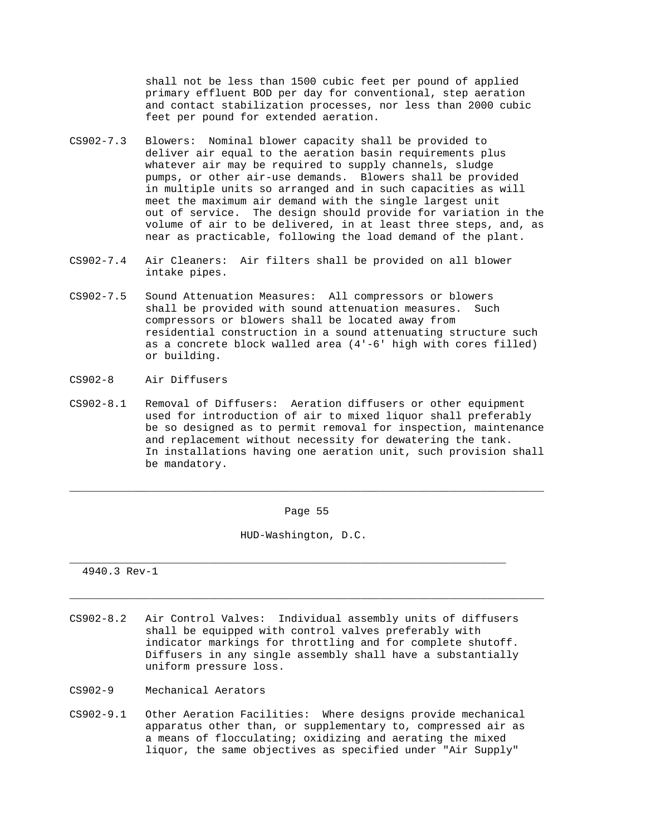shall not be less than 1500 cubic feet per pound of applied primary effluent BOD per day for conventional, step aeration and contact stabilization processes, nor less than 2000 cubic feet per pound for extended aeration.

- CS902-7.3 Blowers: Nominal blower capacity shall be provided to deliver air equal to the aeration basin requirements plus whatever air may be required to supply channels, sludge pumps, or other air-use demands. Blowers shall be provided in multiple units so arranged and in such capacities as will meet the maximum air demand with the single largest unit out of service. The design should provide for variation in the volume of air to be delivered, in at least three steps, and, as near as practicable, following the load demand of the plant.
- CS902-7.4 Air Cleaners: Air filters shall be provided on all blower intake pipes.
- CS902-7.5 Sound Attenuation Measures: All compressors or blowers shall be provided with sound attenuation measures. Such compressors or blowers shall be located away from residential construction in a sound attenuating structure such as a concrete block walled area (4'-6' high with cores filled) or building.
- CS902-8 Air Diffusers
- CS902-8.1 Removal of Diffusers: Aeration diffusers or other equipment used for introduction of air to mixed liquor shall preferably be so designed as to permit removal for inspection, maintenance and replacement without necessity for dewatering the tank. In installations having one aeration unit, such provision shall be mandatory.

Page 55

\_\_\_\_\_\_\_\_\_\_\_\_\_\_\_\_\_\_\_\_\_\_\_\_\_\_\_\_\_\_\_\_\_\_\_\_\_\_\_\_\_\_\_\_\_\_\_\_\_\_\_\_\_\_\_\_\_\_\_\_\_\_\_\_\_\_\_\_\_\_\_\_\_\_\_

\_\_\_\_\_\_\_\_\_\_\_\_\_\_\_\_\_\_\_\_\_\_\_\_\_\_\_\_\_\_\_\_\_\_\_\_\_\_\_\_\_\_\_\_\_\_\_\_\_\_\_\_\_\_\_\_\_\_\_\_\_\_\_\_\_\_\_\_\_\_\_\_\_\_\_

HUD-Washington, D.C.

\_\_\_\_\_\_\_\_\_\_\_\_\_\_\_\_\_\_\_\_\_\_\_\_\_\_\_\_\_\_\_\_\_\_\_\_\_\_\_\_\_\_\_\_\_\_\_\_\_\_\_\_\_\_\_\_\_\_\_\_\_\_\_\_\_\_\_\_\_

- CS902-8.2 Air Control Valves: Individual assembly units of diffusers shall be equipped with control valves preferably with indicator markings for throttling and for complete shutoff. Diffusers in any single assembly shall have a substantially uniform pressure loss.
- CS902-9 Mechanical Aerators
- CS902-9.1 Other Aeration Facilities: Where designs provide mechanical apparatus other than, or supplementary to, compressed air as a means of flocculating; oxidizing and aerating the mixed liquor, the same objectives as specified under "Air Supply"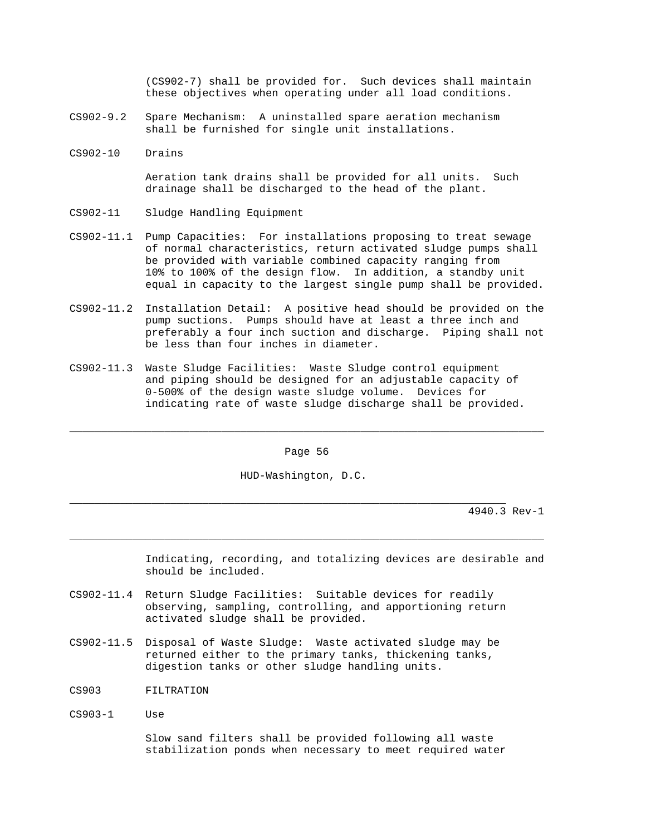(CS902-7) shall be provided for. Such devices shall maintain these objectives when operating under all load conditions.

- CS902-9.2 Spare Mechanism: A uninstalled spare aeration mechanism shall be furnished for single unit installations.
- CS902-10 Drains

 Aeration tank drains shall be provided for all units. Such drainage shall be discharged to the head of the plant.

- CS902-11 Sludge Handling Equipment
- CS902-11.1 Pump Capacities: For installations proposing to treat sewage of normal characteristics, return activated sludge pumps shall be provided with variable combined capacity ranging from 10% to 100% of the design flow. In addition, a standby unit equal in capacity to the largest single pump shall be provided.
- CS902-11.2 Installation Detail: A positive head should be provided on the pump suctions. Pumps should have at least a three inch and preferably a four inch suction and discharge. Piping shall not be less than four inches in diameter.
- CS902-11.3 Waste Sludge Facilities: Waste Sludge control equipment and piping should be designed for an adjustable capacity of 0-500% of the design waste sludge volume. Devices for indicating rate of waste sludge discharge shall be provided.

Page 56

\_\_\_\_\_\_\_\_\_\_\_\_\_\_\_\_\_\_\_\_\_\_\_\_\_\_\_\_\_\_\_\_\_\_\_\_\_\_\_\_\_\_\_\_\_\_\_\_\_\_\_\_\_\_\_\_\_\_\_\_\_\_\_\_\_\_\_\_\_\_\_\_\_\_\_

\_\_\_\_\_\_\_\_\_\_\_\_\_\_\_\_\_\_\_\_\_\_\_\_\_\_\_\_\_\_\_\_\_\_\_\_\_\_\_\_\_\_\_\_\_\_\_\_\_\_\_\_\_\_\_\_\_\_\_\_\_\_\_\_\_\_\_\_\_\_\_\_\_\_\_

HUD-Washington, D.C.

\_\_\_\_\_\_\_\_\_\_\_\_\_\_\_\_\_\_\_\_\_\_\_\_\_\_\_\_\_\_\_\_\_\_\_\_\_\_\_\_\_\_\_\_\_\_\_\_\_\_\_\_\_\_\_\_\_\_\_\_\_\_\_\_\_\_\_\_\_

4940.3 Rev-1

 Indicating, recording, and totalizing devices are desirable and should be included.

- CS902-11.4 Return Sludge Facilities: Suitable devices for readily observing, sampling, controlling, and apportioning return activated sludge shall be provided.
- CS902-11.5 Disposal of Waste Sludge: Waste activated sludge may be returned either to the primary tanks, thickening tanks, digestion tanks or other sludge handling units.
- CS903 FILTRATION
- CS903-1 Use

 Slow sand filters shall be provided following all waste stabilization ponds when necessary to meet required water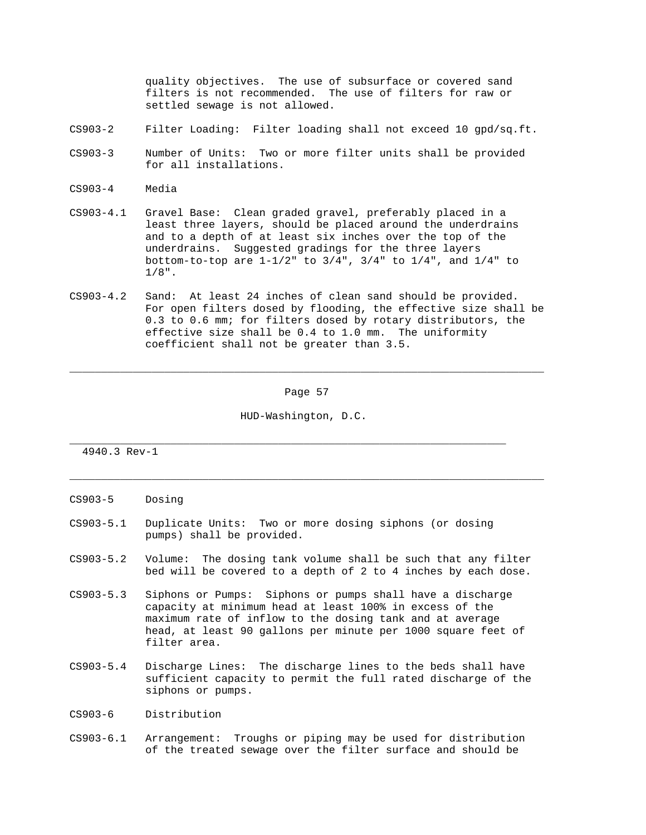quality objectives. The use of subsurface or covered sand filters is not recommended. The use of filters for raw or settled sewage is not allowed.

- CS903-2 Filter Loading: Filter loading shall not exceed 10 gpd/sq.ft.
- CS903-3 Number of Units: Two or more filter units shall be provided for all installations.
- CS903-4 Media
- CS903-4.1 Gravel Base: Clean graded gravel, preferably placed in a least three layers, should be placed around the underdrains and to a depth of at least six inches over the top of the underdrains. Suggested gradings for the three layers bottom-to-top are 1-1/2" to 3/4", 3/4" to 1/4", and 1/4" to  $1/8$ ".
- CS903-4.2 Sand: At least 24 inches of clean sand should be provided. For open filters dosed by flooding, the effective size shall be 0.3 to 0.6 mm; for filters dosed by rotary distributors, the effective size shall be 0.4 to 1.0 mm. The uniformity coefficient shall not be greater than 3.5.

Page 57

\_\_\_\_\_\_\_\_\_\_\_\_\_\_\_\_\_\_\_\_\_\_\_\_\_\_\_\_\_\_\_\_\_\_\_\_\_\_\_\_\_\_\_\_\_\_\_\_\_\_\_\_\_\_\_\_\_\_\_\_\_\_\_\_\_\_\_\_\_\_\_\_\_\_\_

\_\_\_\_\_\_\_\_\_\_\_\_\_\_\_\_\_\_\_\_\_\_\_\_\_\_\_\_\_\_\_\_\_\_\_\_\_\_\_\_\_\_\_\_\_\_\_\_\_\_\_\_\_\_\_\_\_\_\_\_\_\_\_\_\_\_\_\_\_\_\_\_\_\_\_

HUD-Washington, D.C.

\_\_\_\_\_\_\_\_\_\_\_\_\_\_\_\_\_\_\_\_\_\_\_\_\_\_\_\_\_\_\_\_\_\_\_\_\_\_\_\_\_\_\_\_\_\_\_\_\_\_\_\_\_\_\_\_\_\_\_\_\_\_\_\_\_\_\_\_\_

- CS903-5 Dosing
- CS903-5.1 Duplicate Units: Two or more dosing siphons (or dosing pumps) shall be provided.
- CS903-5.2 Volume: The dosing tank volume shall be such that any filter bed will be covered to a depth of 2 to 4 inches by each dose.
- CS903-5.3 Siphons or Pumps: Siphons or pumps shall have a discharge capacity at minimum head at least 100% in excess of the maximum rate of inflow to the dosing tank and at average head, at least 90 gallons per minute per 1000 square feet of filter area.
- CS903-5.4 Discharge Lines: The discharge lines to the beds shall have sufficient capacity to permit the full rated discharge of the siphons or pumps.
- CS903-6 Distribution
- CS903-6.1 Arrangement: Troughs or piping may be used for distribution of the treated sewage over the filter surface and should be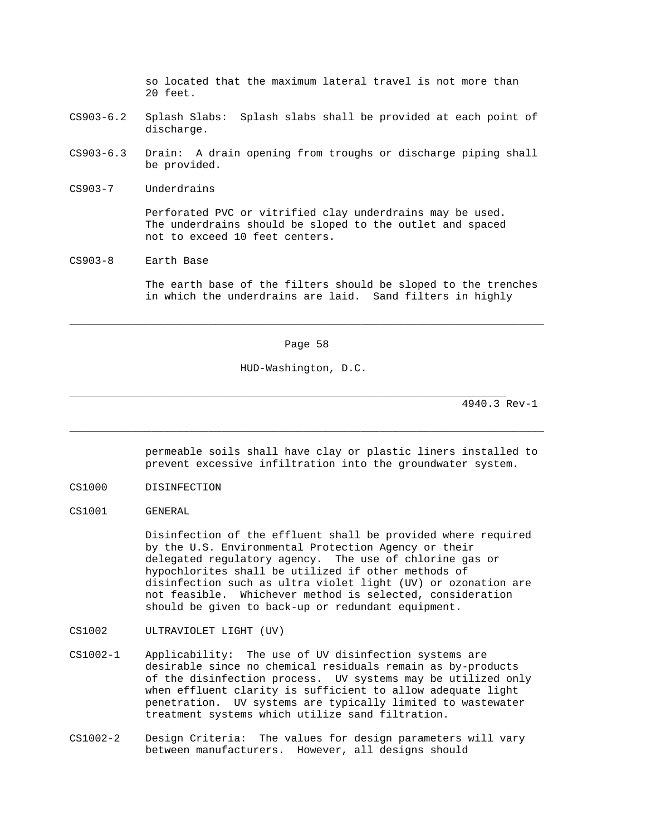so located that the maximum lateral travel is not more than 20 feet.

- CS903-6.2 Splash Slabs: Splash slabs shall be provided at each point of discharge.
- CS903-6.3 Drain: A drain opening from troughs or discharge piping shall be provided.
- CS903-7 Underdrains

 Perforated PVC or vitrified clay underdrains may be used. The underdrains should be sloped to the outlet and spaced not to exceed 10 feet centers.

CS903-8 Earth Base

 The earth base of the filters should be sloped to the trenches in which the underdrains are laid. Sand filters in highly

Page 58

\_\_\_\_\_\_\_\_\_\_\_\_\_\_\_\_\_\_\_\_\_\_\_\_\_\_\_\_\_\_\_\_\_\_\_\_\_\_\_\_\_\_\_\_\_\_\_\_\_\_\_\_\_\_\_\_\_\_\_\_\_\_\_\_\_\_\_\_\_\_\_\_\_\_\_

\_\_\_\_\_\_\_\_\_\_\_\_\_\_\_\_\_\_\_\_\_\_\_\_\_\_\_\_\_\_\_\_\_\_\_\_\_\_\_\_\_\_\_\_\_\_\_\_\_\_\_\_\_\_\_\_\_\_\_\_\_\_\_\_\_\_\_\_\_\_\_\_\_\_\_

HUD-Washington, D.C.

\_\_\_\_\_\_\_\_\_\_\_\_\_\_\_\_\_\_\_\_\_\_\_\_\_\_\_\_\_\_\_\_\_\_\_\_\_\_\_\_\_\_\_\_\_\_\_\_\_\_\_\_\_\_\_\_\_\_\_\_\_\_\_\_\_\_\_\_\_

4940.3 Rev-1

 permeable soils shall have clay or plastic liners installed to prevent excessive infiltration into the groundwater system.

- CS1000 DISINFECTION
- CS1001 GENERAL

 Disinfection of the effluent shall be provided where required by the U.S. Environmental Protection Agency or their delegated regulatory agency. The use of chlorine gas or hypochlorites shall be utilized if other methods of disinfection such as ultra violet light (UV) or ozonation are not feasible. Whichever method is selected, consideration should be given to back-up or redundant equipment.

- CS1002 ULTRAVIOLET LIGHT (UV)
- CS1002-1 Applicability: The use of UV disinfection systems are desirable since no chemical residuals remain as by-products of the disinfection process. UV systems may be utilized only when effluent clarity is sufficient to allow adequate light penetration. UV systems are typically limited to wastewater treatment systems which utilize sand filtration.
- CS1002-2 Design Criteria: The values for design parameters will vary between manufacturers. However, all designs should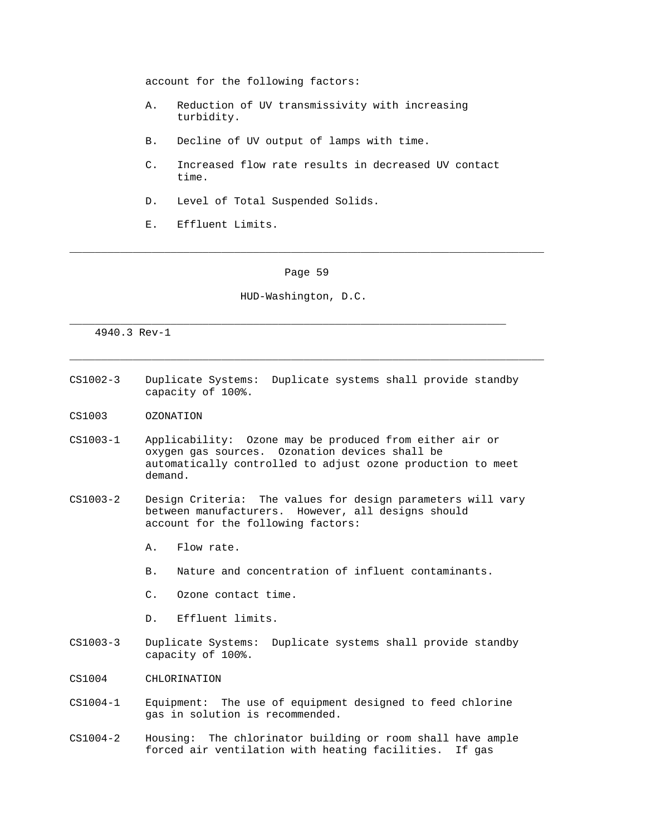account for the following factors:

- A. Reduction of UV transmissivity with increasing turbidity.
- B. Decline of UV output of lamps with time.
- C. Increased flow rate results in decreased UV contact time.
- D. Level of Total Suspended Solids.
- E. Effluent Limits.

### Page 59

\_\_\_\_\_\_\_\_\_\_\_\_\_\_\_\_\_\_\_\_\_\_\_\_\_\_\_\_\_\_\_\_\_\_\_\_\_\_\_\_\_\_\_\_\_\_\_\_\_\_\_\_\_\_\_\_\_\_\_\_\_\_\_\_\_\_\_\_\_\_\_\_\_\_\_

\_\_\_\_\_\_\_\_\_\_\_\_\_\_\_\_\_\_\_\_\_\_\_\_\_\_\_\_\_\_\_\_\_\_\_\_\_\_\_\_\_\_\_\_\_\_\_\_\_\_\_\_\_\_\_\_\_\_\_\_\_\_\_\_\_\_\_\_\_\_\_\_\_\_\_

HUD-Washington, D.C.

\_\_\_\_\_\_\_\_\_\_\_\_\_\_\_\_\_\_\_\_\_\_\_\_\_\_\_\_\_\_\_\_\_\_\_\_\_\_\_\_\_\_\_\_\_\_\_\_\_\_\_\_\_\_\_\_\_\_\_\_\_\_\_\_\_\_\_\_\_

- CS1002-3 Duplicate Systems: Duplicate systems shall provide standby capacity of 100%.
- CS1003 OZONATION
- CS1003-1 Applicability: Ozone may be produced from either air or oxygen gas sources. Ozonation devices shall be automatically controlled to adjust ozone production to meet demand.
- CS1003-2 Design Criteria: The values for design parameters will vary between manufacturers. However, all designs should account for the following factors:
	- A. Flow rate.
	- B. Nature and concentration of influent contaminants.
	- C. Ozone contact time.
	- D. Effluent limits.
- CS1003-3 Duplicate Systems: Duplicate systems shall provide standby capacity of 100%.
- CS1004 CHLORINATION
- CS1004-1 Equipment: The use of equipment designed to feed chlorine gas in solution is recommended.
- CS1004-2 Housing: The chlorinator building or room shall have ample forced air ventilation with heating facilities. If gas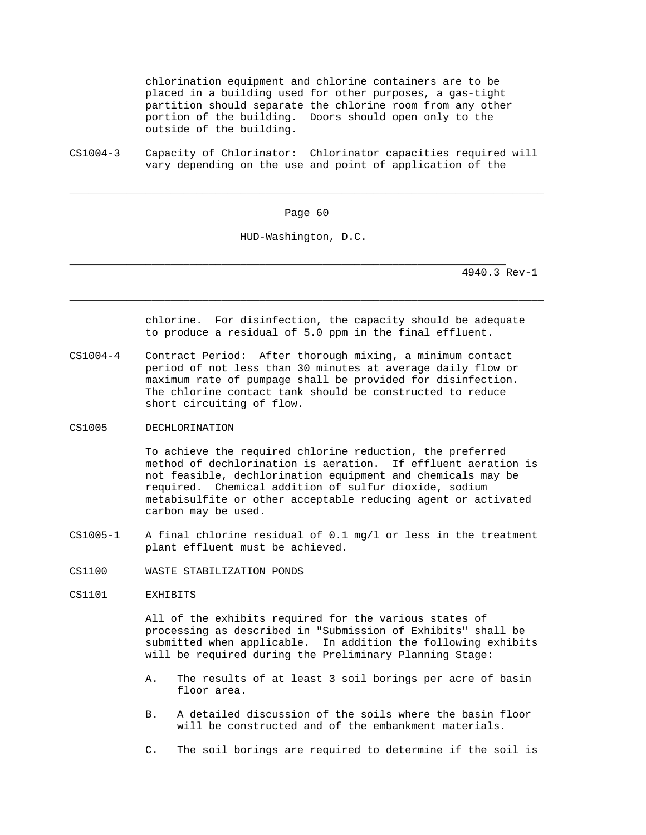chlorination equipment and chlorine containers are to be placed in a building used for other purposes, a gas-tight partition should separate the chlorine room from any other portion of the building. Doors should open only to the outside of the building.

CS1004-3 Capacity of Chlorinator: Chlorinator capacities required will vary depending on the use and point of application of the

Page 60

\_\_\_\_\_\_\_\_\_\_\_\_\_\_\_\_\_\_\_\_\_\_\_\_\_\_\_\_\_\_\_\_\_\_\_\_\_\_\_\_\_\_\_\_\_\_\_\_\_\_\_\_\_\_\_\_\_\_\_\_\_\_\_\_\_\_\_\_\_\_\_\_\_\_\_

\_\_\_\_\_\_\_\_\_\_\_\_\_\_\_\_\_\_\_\_\_\_\_\_\_\_\_\_\_\_\_\_\_\_\_\_\_\_\_\_\_\_\_\_\_\_\_\_\_\_\_\_\_\_\_\_\_\_\_\_\_\_\_\_\_\_\_\_\_\_\_\_\_\_\_

HUD-Washington, D.C.

\_\_\_\_\_\_\_\_\_\_\_\_\_\_\_\_\_\_\_\_\_\_\_\_\_\_\_\_\_\_\_\_\_\_\_\_\_\_\_\_\_\_\_\_\_\_\_\_\_\_\_\_\_\_\_\_\_\_\_\_\_\_\_\_\_\_\_\_\_

4940.3 Rev-1

 chlorine. For disinfection, the capacity should be adequate to produce a residual of 5.0 ppm in the final effluent.

- CS1004-4 Contract Period: After thorough mixing, a minimum contact period of not less than 30 minutes at average daily flow or maximum rate of pumpage shall be provided for disinfection. The chlorine contact tank should be constructed to reduce short circuiting of flow.
- CS1005 DECHLORINATION

 To achieve the required chlorine reduction, the preferred method of dechlorination is aeration. If effluent aeration is not feasible, dechlorination equipment and chemicals may be required. Chemical addition of sulfur dioxide, sodium metabisulfite or other acceptable reducing agent or activated carbon may be used.

- CS1005-1 A final chlorine residual of 0.1 mg/l or less in the treatment plant effluent must be achieved.
- CS1100 WASTE STABILIZATION PONDS
- CS1101 EXHIBITS

 All of the exhibits required for the various states of processing as described in "Submission of Exhibits" shall be submitted when applicable. In addition the following exhibits will be required during the Preliminary Planning Stage:

- A. The results of at least 3 soil borings per acre of basin floor area.
- B. A detailed discussion of the soils where the basin floor will be constructed and of the embankment materials.
- C. The soil borings are required to determine if the soil is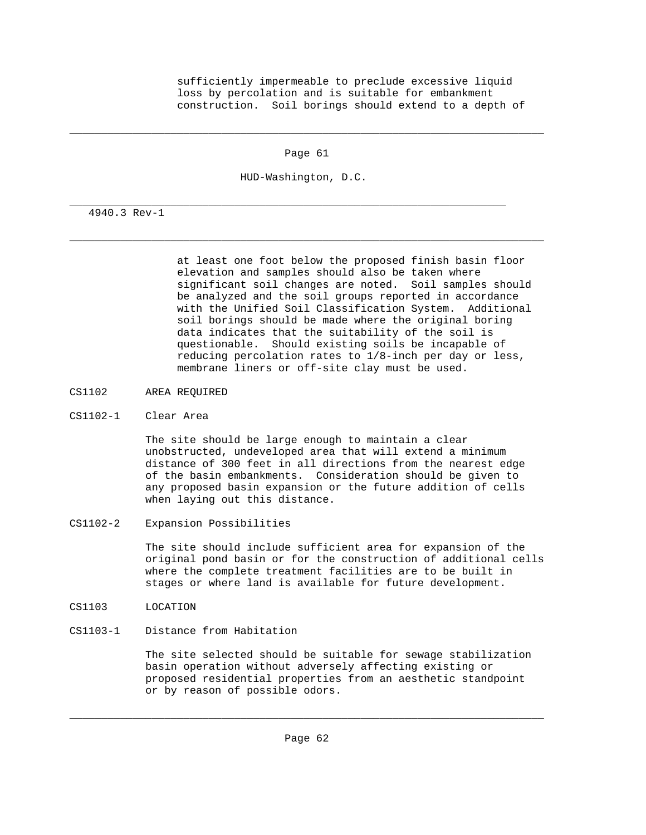sufficiently impermeable to preclude excessive liquid loss by percolation and is suitable for embankment construction. Soil borings should extend to a depth of

Page 61

\_\_\_\_\_\_\_\_\_\_\_\_\_\_\_\_\_\_\_\_\_\_\_\_\_\_\_\_\_\_\_\_\_\_\_\_\_\_\_\_\_\_\_\_\_\_\_\_\_\_\_\_\_\_\_\_\_\_\_\_\_\_\_\_\_\_\_\_\_\_\_\_\_\_\_

\_\_\_\_\_\_\_\_\_\_\_\_\_\_\_\_\_\_\_\_\_\_\_\_\_\_\_\_\_\_\_\_\_\_\_\_\_\_\_\_\_\_\_\_\_\_\_\_\_\_\_\_\_\_\_\_\_\_\_\_\_\_\_\_\_\_\_\_\_\_\_\_\_\_\_

HUD-Washington, D.C.

\_\_\_\_\_\_\_\_\_\_\_\_\_\_\_\_\_\_\_\_\_\_\_\_\_\_\_\_\_\_\_\_\_\_\_\_\_\_\_\_\_\_\_\_\_\_\_\_\_\_\_\_\_\_\_\_\_\_\_\_\_\_\_\_\_\_\_\_\_

4940.3 Rev-1

 at least one foot below the proposed finish basin floor elevation and samples should also be taken where significant soil changes are noted. Soil samples should be analyzed and the soil groups reported in accordance with the Unified Soil Classification System. Additional soil borings should be made where the original boring data indicates that the suitability of the soil is questionable. Should existing soils be incapable of reducing percolation rates to 1/8-inch per day or less, membrane liners or off-site clay must be used.

- CS1102 AREA REQUIRED
- CS1102-1 Clear Area

 The site should be large enough to maintain a clear unobstructed, undeveloped area that will extend a minimum distance of 300 feet in all directions from the nearest edge of the basin embankments. Consideration should be given to any proposed basin expansion or the future addition of cells when laying out this distance.

CS1102-2 Expansion Possibilities

 The site should include sufficient area for expansion of the original pond basin or for the construction of additional cells where the complete treatment facilities are to be built in stages or where land is available for future development.

- CS1103 LOCATION
- CS1103-1 Distance from Habitation

 The site selected should be suitable for sewage stabilization basin operation without adversely affecting existing or proposed residential properties from an aesthetic standpoint or by reason of possible odors.

\_\_\_\_\_\_\_\_\_\_\_\_\_\_\_\_\_\_\_\_\_\_\_\_\_\_\_\_\_\_\_\_\_\_\_\_\_\_\_\_\_\_\_\_\_\_\_\_\_\_\_\_\_\_\_\_\_\_\_\_\_\_\_\_\_\_\_\_\_\_\_\_\_\_\_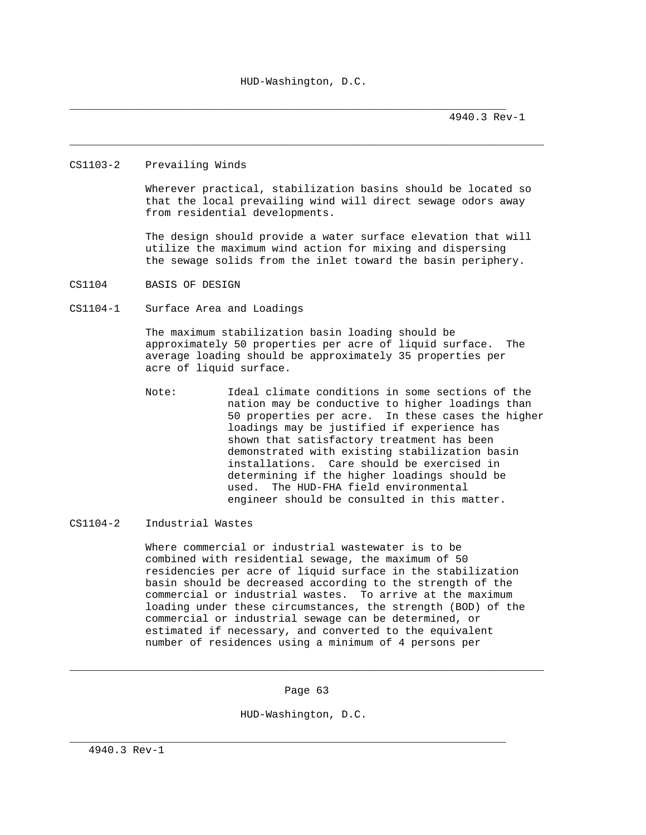\_\_\_\_\_\_\_\_\_\_\_\_\_\_\_\_\_\_\_\_\_\_\_\_\_\_\_\_\_\_\_\_\_\_\_\_\_\_\_\_\_\_\_\_\_\_\_\_\_\_\_\_\_\_\_\_\_\_\_\_\_\_\_\_\_\_\_\_\_\_\_\_\_\_\_

\_\_\_\_\_\_\_\_\_\_\_\_\_\_\_\_\_\_\_\_\_\_\_\_\_\_\_\_\_\_\_\_\_\_\_\_\_\_\_\_\_\_\_\_\_\_\_\_\_\_\_\_\_\_\_\_\_\_\_\_\_\_\_\_\_\_\_\_\_

4940.3 Rev-1

### CS1103-2 Prevailing Winds

 Wherever practical, stabilization basins should be located so that the local prevailing wind will direct sewage odors away from residential developments.

 The design should provide a water surface elevation that will utilize the maximum wind action for mixing and dispersing the sewage solids from the inlet toward the basin periphery.

- CS1104 BASIS OF DESIGN
- CS1104-1 Surface Area and Loadings

 The maximum stabilization basin loading should be approximately 50 properties per acre of liquid surface. The average loading should be approximately 35 properties per acre of liquid surface.

 Note: Ideal climate conditions in some sections of the nation may be conductive to higher loadings than 50 properties per acre. In these cases the higher loadings may be justified if experience has shown that satisfactory treatment has been demonstrated with existing stabilization basin installations. Care should be exercised in determining if the higher loadings should be used. The HUD-FHA field environmental engineer should be consulted in this matter.

# CS1104-2 Industrial Wastes

 Where commercial or industrial wastewater is to be combined with residential sewage, the maximum of 50 residencies per acre of liquid surface in the stabilization basin should be decreased according to the strength of the commercial or industrial wastes. To arrive at the maximum loading under these circumstances, the strength (BOD) of the commercial or industrial sewage can be determined, or estimated if necessary, and converted to the equivalent number of residences using a minimum of 4 persons per

Page 63

\_\_\_\_\_\_\_\_\_\_\_\_\_\_\_\_\_\_\_\_\_\_\_\_\_\_\_\_\_\_\_\_\_\_\_\_\_\_\_\_\_\_\_\_\_\_\_\_\_\_\_\_\_\_\_\_\_\_\_\_\_\_\_\_\_\_\_\_\_\_\_\_\_\_\_

HUD-Washington, D.C.

\_\_\_\_\_\_\_\_\_\_\_\_\_\_\_\_\_\_\_\_\_\_\_\_\_\_\_\_\_\_\_\_\_\_\_\_\_\_\_\_\_\_\_\_\_\_\_\_\_\_\_\_\_\_\_\_\_\_\_\_\_\_\_\_\_\_\_\_\_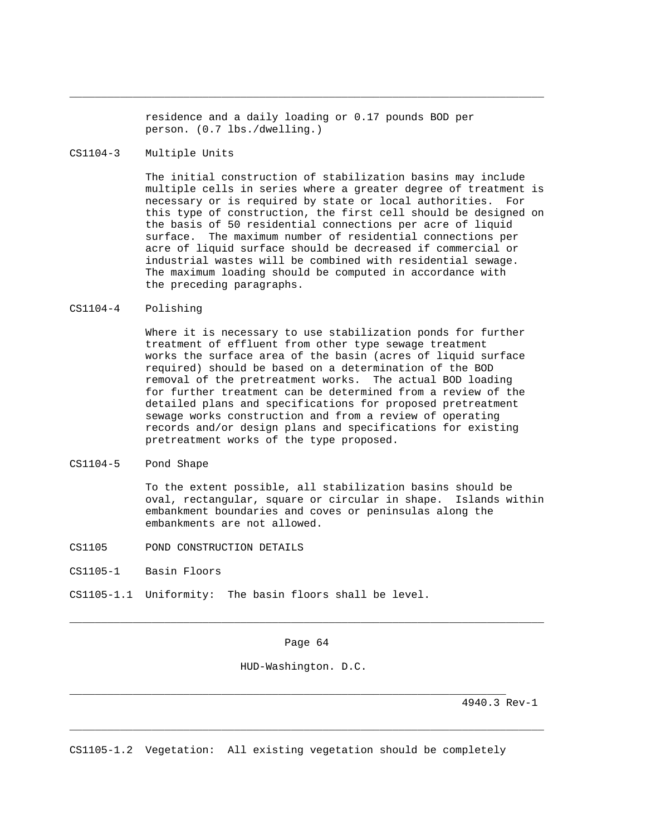residence and a daily loading or 0.17 pounds BOD per person. (0.7 lbs./dwelling.)

\_\_\_\_\_\_\_\_\_\_\_\_\_\_\_\_\_\_\_\_\_\_\_\_\_\_\_\_\_\_\_\_\_\_\_\_\_\_\_\_\_\_\_\_\_\_\_\_\_\_\_\_\_\_\_\_\_\_\_\_\_\_\_\_\_\_\_\_\_\_\_\_\_\_\_

## CS1104-3 Multiple Units

 The initial construction of stabilization basins may include multiple cells in series where a greater degree of treatment is necessary or is required by state or local authorities. For this type of construction, the first cell should be designed on the basis of 50 residential connections per acre of liquid surface. The maximum number of residential connections per acre of liquid surface should be decreased if commercial or industrial wastes will be combined with residential sewage. The maximum loading should be computed in accordance with the preceding paragraphs.

## CS1104-4 Polishing

 Where it is necessary to use stabilization ponds for further treatment of effluent from other type sewage treatment works the surface area of the basin (acres of liquid surface required) should be based on a determination of the BOD removal of the pretreatment works. The actual BOD loading for further treatment can be determined from a review of the detailed plans and specifications for proposed pretreatment sewage works construction and from a review of operating records and/or design plans and specifications for existing pretreatment works of the type proposed.

## CS1104-5 Pond Shape

 To the extent possible, all stabilization basins should be oval, rectangular, square or circular in shape. Islands within embankment boundaries and coves or peninsulas along the embankments are not allowed.

- CS1105 POND CONSTRUCTION DETAILS
- CS1105-1 Basin Floors

CS1105-1.1 Uniformity: The basin floors shall be level.

Page 64

\_\_\_\_\_\_\_\_\_\_\_\_\_\_\_\_\_\_\_\_\_\_\_\_\_\_\_\_\_\_\_\_\_\_\_\_\_\_\_\_\_\_\_\_\_\_\_\_\_\_\_\_\_\_\_\_\_\_\_\_\_\_\_\_\_\_\_\_\_\_\_\_\_\_\_

\_\_\_\_\_\_\_\_\_\_\_\_\_\_\_\_\_\_\_\_\_\_\_\_\_\_\_\_\_\_\_\_\_\_\_\_\_\_\_\_\_\_\_\_\_\_\_\_\_\_\_\_\_\_\_\_\_\_\_\_\_\_\_\_\_\_\_\_\_\_\_\_\_\_\_

HUD-Washington. D.C.

4940.3 Rev-1

CS1105-1.2 Vegetation: All existing vegetation should be completely

\_\_\_\_\_\_\_\_\_\_\_\_\_\_\_\_\_\_\_\_\_\_\_\_\_\_\_\_\_\_\_\_\_\_\_\_\_\_\_\_\_\_\_\_\_\_\_\_\_\_\_\_\_\_\_\_\_\_\_\_\_\_\_\_\_\_\_\_\_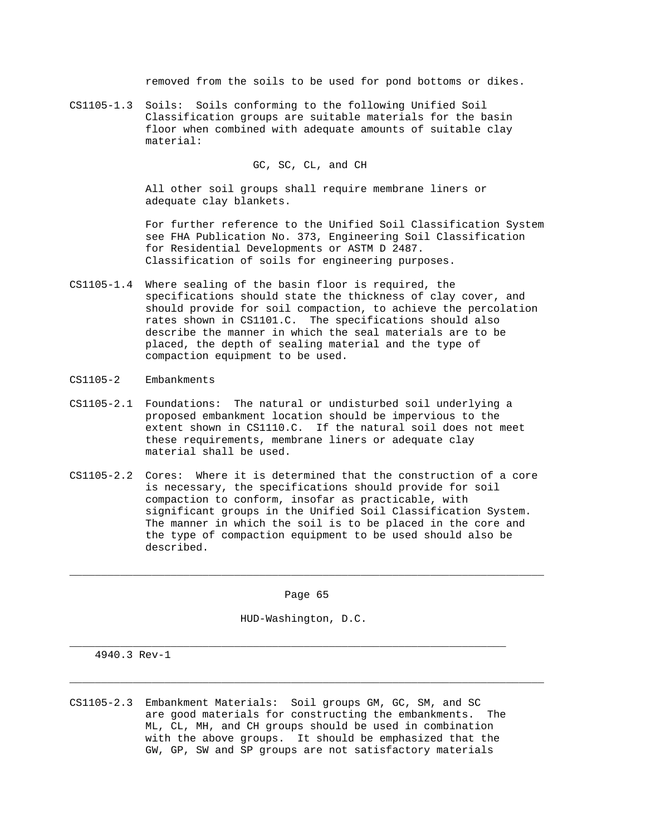removed from the soils to be used for pond bottoms or dikes.

CS1105-1.3 Soils: Soils conforming to the following Unified Soil Classification groups are suitable materials for the basin floor when combined with adequate amounts of suitable clay material:

# GC, SC, CL, and CH

 All other soil groups shall require membrane liners or adequate clay blankets.

 For further reference to the Unified Soil Classification System see FHA Publication No. 373, Engineering Soil Classification for Residential Developments or ASTM D 2487. Classification of soils for engineering purposes.

- CS1105-1.4 Where sealing of the basin floor is required, the specifications should state the thickness of clay cover, and should provide for soil compaction, to achieve the percolation rates shown in CS1101.C. The specifications should also describe the manner in which the seal materials are to be placed, the depth of sealing material and the type of compaction equipment to be used.
- CS1105-2 Embankments
- CS1105-2.1 Foundations: The natural or undisturbed soil underlying a proposed embankment location should be impervious to the extent shown in CS1110.C. If the natural soil does not meet these requirements, membrane liners or adequate clay material shall be used.
- CS1105-2.2 Cores: Where it is determined that the construction of a core is necessary, the specifications should provide for soil compaction to conform, insofar as practicable, with significant groups in the Unified Soil Classification System. The manner in which the soil is to be placed in the core and the type of compaction equipment to be used should also be described.

Page 65

\_\_\_\_\_\_\_\_\_\_\_\_\_\_\_\_\_\_\_\_\_\_\_\_\_\_\_\_\_\_\_\_\_\_\_\_\_\_\_\_\_\_\_\_\_\_\_\_\_\_\_\_\_\_\_\_\_\_\_\_\_\_\_\_\_\_\_\_\_\_\_\_\_\_\_

HUD-Washington, D.C.

\_\_\_\_\_\_\_\_\_\_\_\_\_\_\_\_\_\_\_\_\_\_\_\_\_\_\_\_\_\_\_\_\_\_\_\_\_\_\_\_\_\_\_\_\_\_\_\_\_\_\_\_\_\_\_\_\_\_\_\_\_\_\_\_\_\_\_\_\_\_\_\_\_\_\_

\_\_\_\_\_\_\_\_\_\_\_\_\_\_\_\_\_\_\_\_\_\_\_\_\_\_\_\_\_\_\_\_\_\_\_\_\_\_\_\_\_\_\_\_\_\_\_\_\_\_\_\_\_\_\_\_\_\_\_\_\_\_\_\_\_\_\_\_\_

4940.3 Rev-1

CS1105-2.3 Embankment Materials: Soil groups GM, GC, SM, and SC are good materials for constructing the embankments. The ML, CL, MH, and CH groups should be used in combination with the above groups. It should be emphasized that the GW, GP, SW and SP groups are not satisfactory materials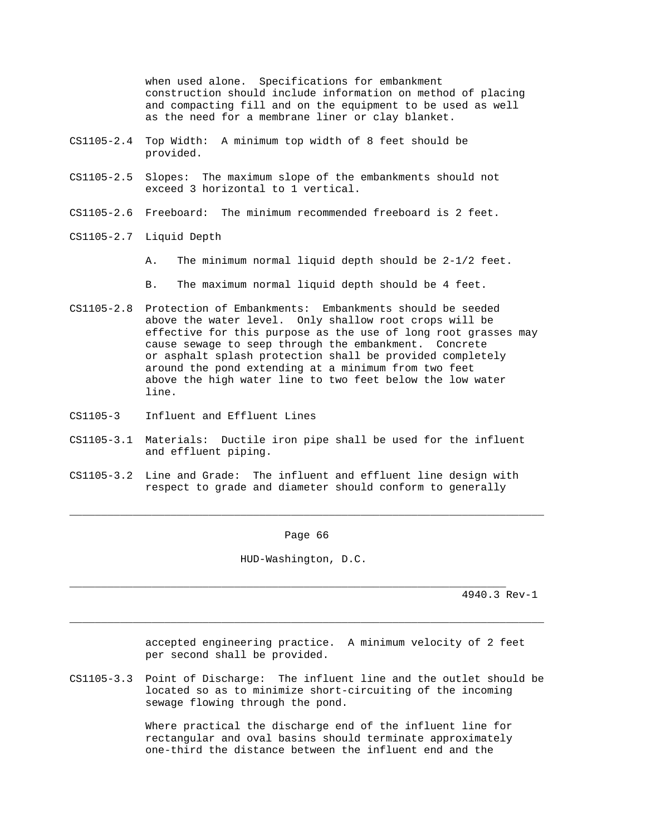when used alone. Specifications for embankment construction should include information on method of placing and compacting fill and on the equipment to be used as well as the need for a membrane liner or clay blanket.

- CS1105-2.4 Top Width: A minimum top width of 8 feet should be provided.
- CS1105-2.5 Slopes: The maximum slope of the embankments should not exceed 3 horizontal to 1 vertical.
- CS1105-2.6 Freeboard: The minimum recommended freeboard is 2 feet.
- CS1105-2.7 Liquid Depth
	- A. The minimum normal liquid depth should be 2-1/2 feet.
	- B. The maximum normal liquid depth should be 4 feet.
- CS1105-2.8 Protection of Embankments: Embankments should be seeded above the water level. Only shallow root crops will be effective for this purpose as the use of long root grasses may cause sewage to seep through the embankment. Concrete or asphalt splash protection shall be provided completely around the pond extending at a minimum from two feet above the high water line to two feet below the low water line.
- CS1105-3 Influent and Effluent Lines
- CS1105-3.1 Materials: Ductile iron pipe shall be used for the influent and effluent piping.
- CS1105-3.2 Line and Grade: The influent and effluent line design with respect to grade and diameter should conform to generally

Page 66

\_\_\_\_\_\_\_\_\_\_\_\_\_\_\_\_\_\_\_\_\_\_\_\_\_\_\_\_\_\_\_\_\_\_\_\_\_\_\_\_\_\_\_\_\_\_\_\_\_\_\_\_\_\_\_\_\_\_\_\_\_\_\_\_\_\_\_\_\_\_\_\_\_\_\_

HUD-Washington, D.C.

\_\_\_\_\_\_\_\_\_\_\_\_\_\_\_\_\_\_\_\_\_\_\_\_\_\_\_\_\_\_\_\_\_\_\_\_\_\_\_\_\_\_\_\_\_\_\_\_\_\_\_\_\_\_\_\_\_\_\_\_\_\_\_\_\_\_\_\_\_

4940.3 Rev-1

 accepted engineering practice. A minimum velocity of 2 feet per second shall be provided.

CS1105-3.3 Point of Discharge: The influent line and the outlet should be located so as to minimize short-circuiting of the incoming sewage flowing through the pond.

\_\_\_\_\_\_\_\_\_\_\_\_\_\_\_\_\_\_\_\_\_\_\_\_\_\_\_\_\_\_\_\_\_\_\_\_\_\_\_\_\_\_\_\_\_\_\_\_\_\_\_\_\_\_\_\_\_\_\_\_\_\_\_\_\_\_\_\_\_\_\_\_\_\_\_

 Where practical the discharge end of the influent line for rectangular and oval basins should terminate approximately one-third the distance between the influent end and the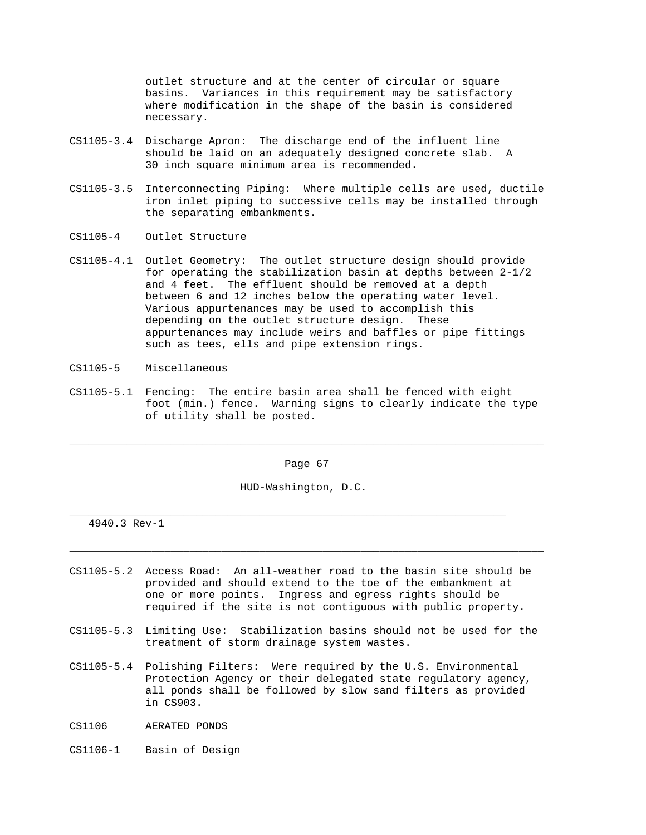outlet structure and at the center of circular or square basins. Variances in this requirement may be satisfactory where modification in the shape of the basin is considered necessary.

- CS1105-3.4 Discharge Apron: The discharge end of the influent line should be laid on an adequately designed concrete slab. A 30 inch square minimum area is recommended.
- CS1105-3.5 Interconnecting Piping: Where multiple cells are used, ductile iron inlet piping to successive cells may be installed through the separating embankments.
- CS1105-4 Outlet Structure
- CS1105-4.1 Outlet Geometry: The outlet structure design should provide for operating the stabilization basin at depths between 2-1/2 and 4 feet. The effluent should be removed at a depth between 6 and 12 inches below the operating water level. Various appurtenances may be used to accomplish this depending on the outlet structure design. These appurtenances may include weirs and baffles or pipe fittings such as tees, ells and pipe extension rings.
- CS1105-5 Miscellaneous
- CS1105-5.1 Fencing: The entire basin area shall be fenced with eight foot (min.) fence. Warning signs to clearly indicate the type of utility shall be posted.

Page 67

\_\_\_\_\_\_\_\_\_\_\_\_\_\_\_\_\_\_\_\_\_\_\_\_\_\_\_\_\_\_\_\_\_\_\_\_\_\_\_\_\_\_\_\_\_\_\_\_\_\_\_\_\_\_\_\_\_\_\_\_\_\_\_\_\_\_\_\_\_\_\_\_\_\_\_

HUD-Washington, D.C.

\_\_\_\_\_\_\_\_\_\_\_\_\_\_\_\_\_\_\_\_\_\_\_\_\_\_\_\_\_\_\_\_\_\_\_\_\_\_\_\_\_\_\_\_\_\_\_\_\_\_\_\_\_\_\_\_\_\_\_\_\_\_\_\_\_\_\_\_\_

4940.3 Rev-1

CS1105-5.2 Access Road: An all-weather road to the basin site should be provided and should extend to the toe of the embankment at one or more points. Ingress and egress rights should be required if the site is not contiguous with public property.

\_\_\_\_\_\_\_\_\_\_\_\_\_\_\_\_\_\_\_\_\_\_\_\_\_\_\_\_\_\_\_\_\_\_\_\_\_\_\_\_\_\_\_\_\_\_\_\_\_\_\_\_\_\_\_\_\_\_\_\_\_\_\_\_\_\_\_\_\_\_\_\_\_\_\_

- CS1105-5.3 Limiting Use: Stabilization basins should not be used for the treatment of storm drainage system wastes.
- CS1105-5.4 Polishing Filters: Were required by the U.S. Environmental Protection Agency or their delegated state regulatory agency, all ponds shall be followed by slow sand filters as provided in CS903.
- CS1106 AERATED PONDS
- CS1106-1 Basin of Design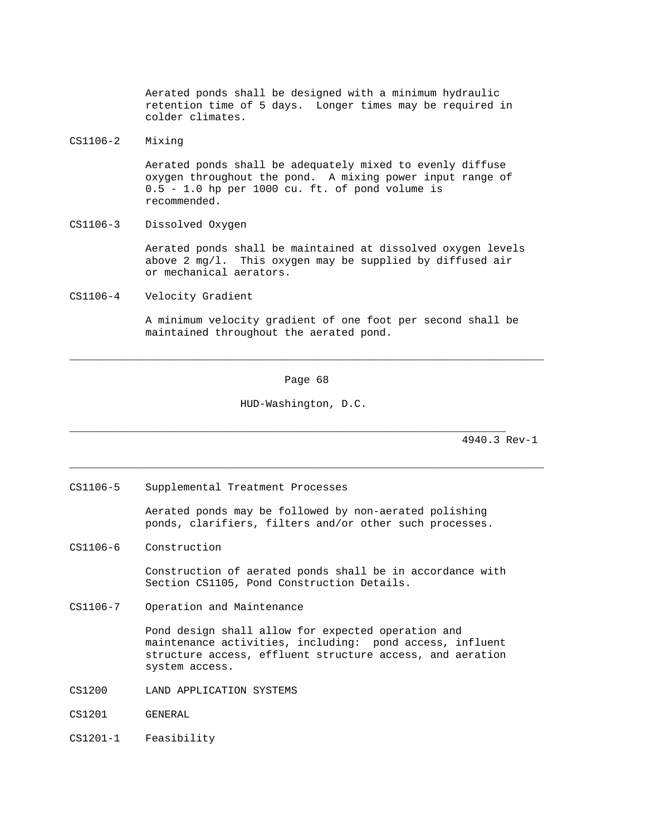Aerated ponds shall be designed with a minimum hydraulic retention time of 5 days. Longer times may be required in colder climates.

# CS1106-2 Mixing

 Aerated ponds shall be adequately mixed to evenly diffuse oxygen throughout the pond. A mixing power input range of 0.5 - 1.0 hp per 1000 cu. ft. of pond volume is recommended.

CS1106-3 Dissolved Oxygen

 Aerated ponds shall be maintained at dissolved oxygen levels above 2 mg/l. This oxygen may be supplied by diffused air or mechanical aerators.

CS1106-4 Velocity Gradient

 A minimum velocity gradient of one foot per second shall be maintained throughout the aerated pond.

Page 68

\_\_\_\_\_\_\_\_\_\_\_\_\_\_\_\_\_\_\_\_\_\_\_\_\_\_\_\_\_\_\_\_\_\_\_\_\_\_\_\_\_\_\_\_\_\_\_\_\_\_\_\_\_\_\_\_\_\_\_\_\_\_\_\_\_\_\_\_\_\_\_\_\_\_\_

\_\_\_\_\_\_\_\_\_\_\_\_\_\_\_\_\_\_\_\_\_\_\_\_\_\_\_\_\_\_\_\_\_\_\_\_\_\_\_\_\_\_\_\_\_\_\_\_\_\_\_\_\_\_\_\_\_\_\_\_\_\_\_\_\_\_\_\_\_\_\_\_\_\_\_

HUD-Washington, D.C.

\_\_\_\_\_\_\_\_\_\_\_\_\_\_\_\_\_\_\_\_\_\_\_\_\_\_\_\_\_\_\_\_\_\_\_\_\_\_\_\_\_\_\_\_\_\_\_\_\_\_\_\_\_\_\_\_\_\_\_\_\_\_\_\_\_\_\_\_\_

4940.3 Rev-1

CS1106-5 Supplemental Treatment Processes

 Aerated ponds may be followed by non-aerated polishing ponds, clarifiers, filters and/or other such processes.

CS1106-6 Construction

 Construction of aerated ponds shall be in accordance with Section CS1105, Pond Construction Details.

CS1106-7 Operation and Maintenance

 Pond design shall allow for expected operation and maintenance activities, including: pond access, influent structure access, effluent structure access, and aeration system access.

- CS1200 LAND APPLICATION SYSTEMS
- CS1201 GENERAL
- CS1201-1 Feasibility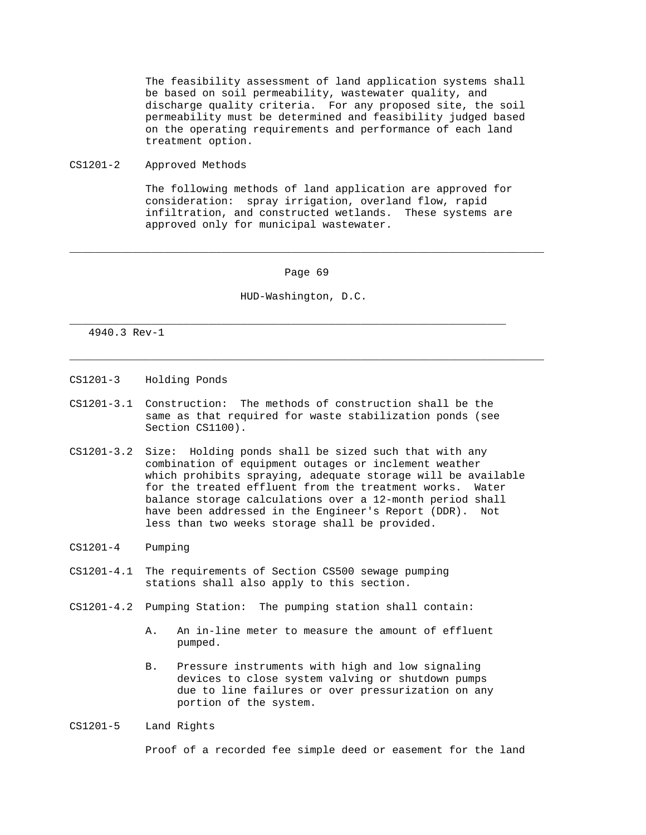The feasibility assessment of land application systems shall be based on soil permeability, wastewater quality, and discharge quality criteria. For any proposed site, the soil permeability must be determined and feasibility judged based on the operating requirements and performance of each land treatment option.

CS1201-2 Approved Methods

 The following methods of land application are approved for consideration: spray irrigation, overland flow, rapid infiltration, and constructed wetlands. These systems are approved only for municipal wastewater.

### Page 69

\_\_\_\_\_\_\_\_\_\_\_\_\_\_\_\_\_\_\_\_\_\_\_\_\_\_\_\_\_\_\_\_\_\_\_\_\_\_\_\_\_\_\_\_\_\_\_\_\_\_\_\_\_\_\_\_\_\_\_\_\_\_\_\_\_\_\_\_\_\_\_\_\_\_\_

\_\_\_\_\_\_\_\_\_\_\_\_\_\_\_\_\_\_\_\_\_\_\_\_\_\_\_\_\_\_\_\_\_\_\_\_\_\_\_\_\_\_\_\_\_\_\_\_\_\_\_\_\_\_\_\_\_\_\_\_\_\_\_\_\_\_\_\_\_\_\_\_\_\_\_

### HUD-Washington, D.C.

\_\_\_\_\_\_\_\_\_\_\_\_\_\_\_\_\_\_\_\_\_\_\_\_\_\_\_\_\_\_\_\_\_\_\_\_\_\_\_\_\_\_\_\_\_\_\_\_\_\_\_\_\_\_\_\_\_\_\_\_\_\_\_\_\_\_\_\_\_

### 4940.3 Rev-1

- CS1201-3 Holding Ponds
- CS1201-3.1 Construction: The methods of construction shall be the same as that required for waste stabilization ponds (see Section CS1100).
- CS1201-3.2 Size: Holding ponds shall be sized such that with any combination of equipment outages or inclement weather which prohibits spraying, adequate storage will be available for the treated effluent from the treatment works. Water balance storage calculations over a 12-month period shall have been addressed in the Engineer's Report (DDR). Not less than two weeks storage shall be provided.
- CS1201-4 Pumping
- CS1201-4.1 The requirements of Section CS500 sewage pumping stations shall also apply to this section.
- CS1201-4.2 Pumping Station: The pumping station shall contain:
	- A. An in-line meter to measure the amount of effluent pumped.
	- B. Pressure instruments with high and low signaling devices to close system valving or shutdown pumps due to line failures or over pressurization on any portion of the system.
- CS1201-5 Land Rights

Proof of a recorded fee simple deed or easement for the land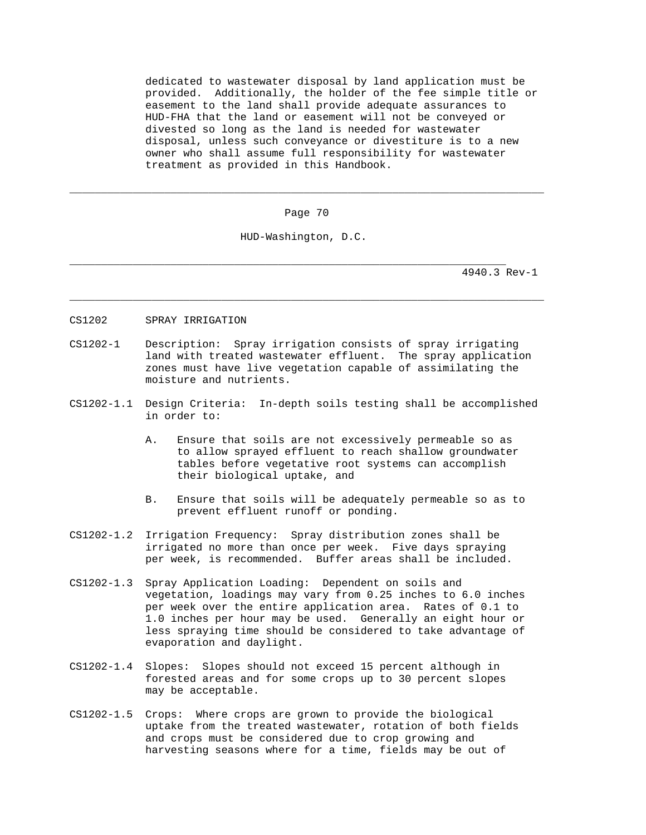dedicated to wastewater disposal by land application must be provided. Additionally, the holder of the fee simple title or easement to the land shall provide adequate assurances to HUD-FHA that the land or easement will not be conveyed or divested so long as the land is needed for wastewater disposal, unless such conveyance or divestiture is to a new owner who shall assume full responsibility for wastewater treatment as provided in this Handbook.

Page 70

\_\_\_\_\_\_\_\_\_\_\_\_\_\_\_\_\_\_\_\_\_\_\_\_\_\_\_\_\_\_\_\_\_\_\_\_\_\_\_\_\_\_\_\_\_\_\_\_\_\_\_\_\_\_\_\_\_\_\_\_\_\_\_\_\_\_\_\_\_\_\_\_\_\_\_

\_\_\_\_\_\_\_\_\_\_\_\_\_\_\_\_\_\_\_\_\_\_\_\_\_\_\_\_\_\_\_\_\_\_\_\_\_\_\_\_\_\_\_\_\_\_\_\_\_\_\_\_\_\_\_\_\_\_\_\_\_\_\_\_\_\_\_\_\_\_\_\_\_\_\_

HUD-Washington, D.C.

\_\_\_\_\_\_\_\_\_\_\_\_\_\_\_\_\_\_\_\_\_\_\_\_\_\_\_\_\_\_\_\_\_\_\_\_\_\_\_\_\_\_\_\_\_\_\_\_\_\_\_\_\_\_\_\_\_\_\_\_\_\_\_\_\_\_\_\_\_

- CS1202 SPRAY IRRIGATION
- CS1202-1 Description: Spray irrigation consists of spray irrigating land with treated wastewater effluent. The spray application zones must have live vegetation capable of assimilating the moisture and nutrients.
- CS1202-1.1 Design Criteria: In-depth soils testing shall be accomplished in order to:
	- A. Ensure that soils are not excessively permeable so as to allow sprayed effluent to reach shallow groundwater tables before vegetative root systems can accomplish their biological uptake, and
	- B. Ensure that soils will be adequately permeable so as to prevent effluent runoff or ponding.
- CS1202-1.2 Irrigation Frequency: Spray distribution zones shall be irrigated no more than once per week. Five days spraying per week, is recommended. Buffer areas shall be included.
- CS1202-1.3 Spray Application Loading: Dependent on soils and vegetation, loadings may vary from 0.25 inches to 6.0 inches per week over the entire application area. Rates of 0.1 to 1.0 inches per hour may be used. Generally an eight hour or less spraying time should be considered to take advantage of evaporation and daylight.
- CS1202-1.4 Slopes: Slopes should not exceed 15 percent although in forested areas and for some crops up to 30 percent slopes may be acceptable.
- CS1202-1.5 Crops: Where crops are grown to provide the biological uptake from the treated wastewater, rotation of both fields and crops must be considered due to crop growing and harvesting seasons where for a time, fields may be out of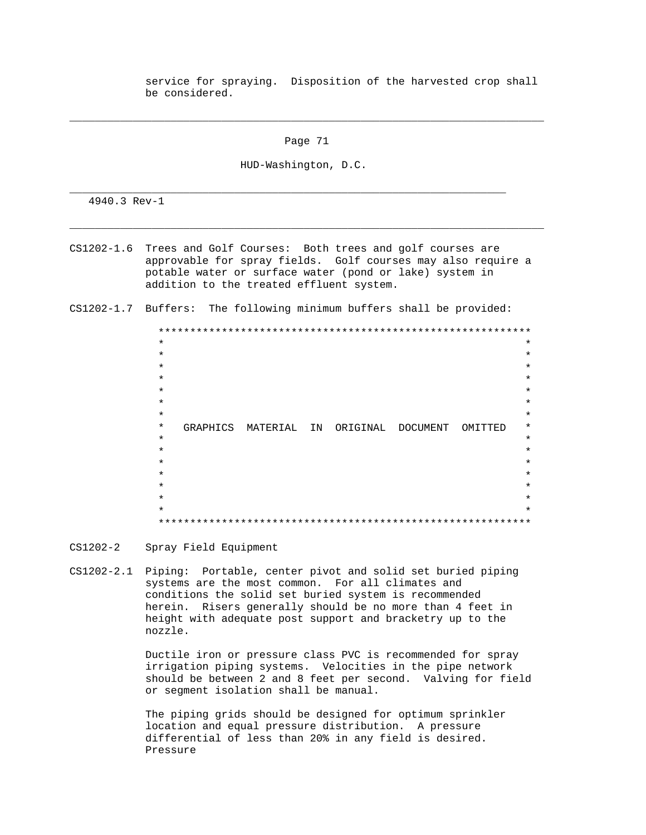service for spraying. Disposition of the harvested crop shall be considered.

Page 71

\_\_\_\_\_\_\_\_\_\_\_\_\_\_\_\_\_\_\_\_\_\_\_\_\_\_\_\_\_\_\_\_\_\_\_\_\_\_\_\_\_\_\_\_\_\_\_\_\_\_\_\_\_\_\_\_\_\_\_\_\_\_\_\_\_\_\_\_\_\_\_\_\_\_\_

HUD-Washington, D.C.

\_\_\_\_\_\_\_\_\_\_\_\_\_\_\_\_\_\_\_\_\_\_\_\_\_\_\_\_\_\_\_\_\_\_\_\_\_\_\_\_\_\_\_\_\_\_\_\_\_\_\_\_\_\_\_\_\_\_\_\_\_\_\_\_\_\_\_\_\_

4940.3 Rev-1

CS1202-1.6 Trees and Golf Courses: Both trees and golf courses are approvable for spray fields. Golf courses may also require a potable water or surface water (pond or lake) system in addition to the treated effluent system.

\_\_\_\_\_\_\_\_\_\_\_\_\_\_\_\_\_\_\_\_\_\_\_\_\_\_\_\_\_\_\_\_\_\_\_\_\_\_\_\_\_\_\_\_\_\_\_\_\_\_\_\_\_\_\_\_\_\_\_\_\_\_\_\_\_\_\_\_\_\_\_\_\_\_\_

CS1202-1.7 Buffers: The following minimum buffers shall be provided:

| $\star$ |          |  |          |  |    |  |          |          |  |  |         | $\star$ |
|---------|----------|--|----------|--|----|--|----------|----------|--|--|---------|---------|
| $\star$ |          |  |          |  |    |  |          |          |  |  |         | $\star$ |
| $\star$ |          |  |          |  |    |  |          |          |  |  |         | $\star$ |
| $\star$ |          |  |          |  |    |  |          |          |  |  |         | $\star$ |
| $\star$ |          |  |          |  |    |  |          |          |  |  |         | $\star$ |
| $\star$ |          |  |          |  |    |  |          |          |  |  |         | $\star$ |
| $\star$ |          |  |          |  |    |  |          |          |  |  |         | $\star$ |
| $\star$ | GRAPHICS |  | MATERIAL |  | IN |  | ORIGINAL | DOCUMENT |  |  | OMITTED | $\star$ |
| $\star$ |          |  |          |  |    |  |          |          |  |  |         | $\star$ |
| $\star$ |          |  |          |  |    |  |          |          |  |  |         | $\star$ |
| $\star$ |          |  |          |  |    |  |          |          |  |  |         | $\star$ |
| $\star$ |          |  |          |  |    |  |          |          |  |  |         | $\star$ |
| $\star$ |          |  |          |  |    |  |          |          |  |  |         | $\star$ |
| $\star$ |          |  |          |  |    |  |          |          |  |  |         | $\star$ |
| $\star$ |          |  |          |  |    |  |          |          |  |  |         | $\star$ |
|         |          |  |          |  |    |  |          |          |  |  |         |         |

- CS1202-2 Spray Field Equipment
- CS1202-2.1 Piping: Portable, center pivot and solid set buried piping systems are the most common. For all climates and conditions the solid set buried system is recommended herein. Risers generally should be no more than 4 feet in height with adequate post support and bracketry up to the nozzle.

 Ductile iron or pressure class PVC is recommended for spray irrigation piping systems. Velocities in the pipe network should be between 2 and 8 feet per second. Valving for field or segment isolation shall be manual.

 The piping grids should be designed for optimum sprinkler location and equal pressure distribution. A pressure differential of less than 20% in any field is desired. Pressure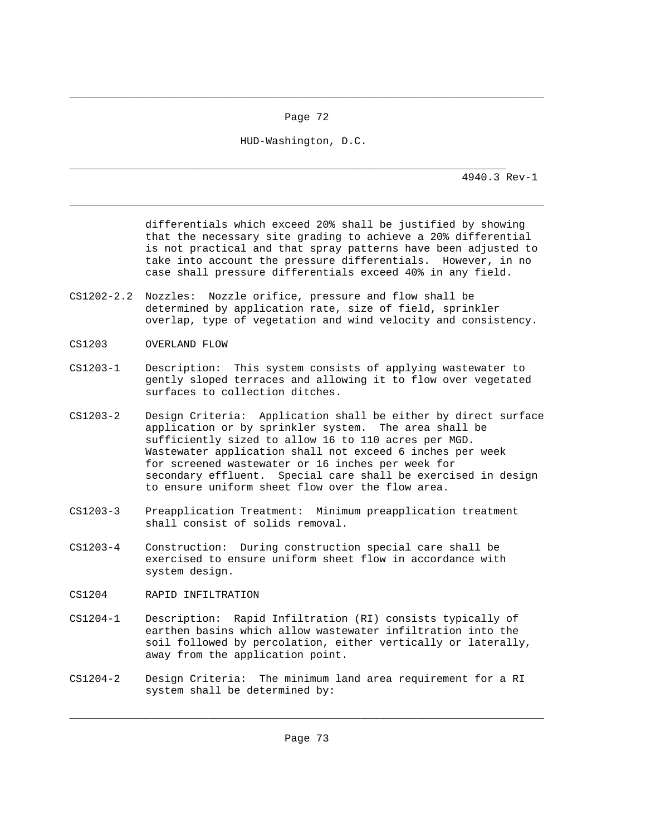Page 72

\_\_\_\_\_\_\_\_\_\_\_\_\_\_\_\_\_\_\_\_\_\_\_\_\_\_\_\_\_\_\_\_\_\_\_\_\_\_\_\_\_\_\_\_\_\_\_\_\_\_\_\_\_\_\_\_\_\_\_\_\_\_\_\_\_\_\_\_\_\_\_\_\_\_\_

\_\_\_\_\_\_\_\_\_\_\_\_\_\_\_\_\_\_\_\_\_\_\_\_\_\_\_\_\_\_\_\_\_\_\_\_\_\_\_\_\_\_\_\_\_\_\_\_\_\_\_\_\_\_\_\_\_\_\_\_\_\_\_\_\_\_\_\_\_\_\_\_\_\_\_

HUD-Washington, D.C.

\_\_\_\_\_\_\_\_\_\_\_\_\_\_\_\_\_\_\_\_\_\_\_\_\_\_\_\_\_\_\_\_\_\_\_\_\_\_\_\_\_\_\_\_\_\_\_\_\_\_\_\_\_\_\_\_\_\_\_\_\_\_\_\_\_\_\_\_\_ 4940.3 Rev-1

> differentials which exceed 20% shall be justified by showing that the necessary site grading to achieve a 20% differential is not practical and that spray patterns have been adjusted to take into account the pressure differentials. However, in no case shall pressure differentials exceed 40% in any field.

- CS1202-2.2 Nozzles: Nozzle orifice, pressure and flow shall be determined by application rate, size of field, sprinkler overlap, type of vegetation and wind velocity and consistency.
- CS1203 OVERLAND FLOW
- CS1203-1 Description: This system consists of applying wastewater to gently sloped terraces and allowing it to flow over vegetated surfaces to collection ditches.
- CS1203-2 Design Criteria: Application shall be either by direct surface application or by sprinkler system. The area shall be sufficiently sized to allow 16 to 110 acres per MGD. Wastewater application shall not exceed 6 inches per week for screened wastewater or 16 inches per week for secondary effluent. Special care shall be exercised in design to ensure uniform sheet flow over the flow area.
- CS1203-3 Preapplication Treatment: Minimum preapplication treatment shall consist of solids removal.
- CS1203-4 Construction: During construction special care shall be exercised to ensure uniform sheet flow in accordance with system design.
- CS1204 RAPID INFILTRATION
- CS1204-1 Description: Rapid Infiltration (RI) consists typically of earthen basins which allow wastewater infiltration into the soil followed by percolation, either vertically or laterally, away from the application point.
- CS1204-2 Design Criteria: The minimum land area requirement for a RI system shall be determined by:

\_\_\_\_\_\_\_\_\_\_\_\_\_\_\_\_\_\_\_\_\_\_\_\_\_\_\_\_\_\_\_\_\_\_\_\_\_\_\_\_\_\_\_\_\_\_\_\_\_\_\_\_\_\_\_\_\_\_\_\_\_\_\_\_\_\_\_\_\_\_\_\_\_\_\_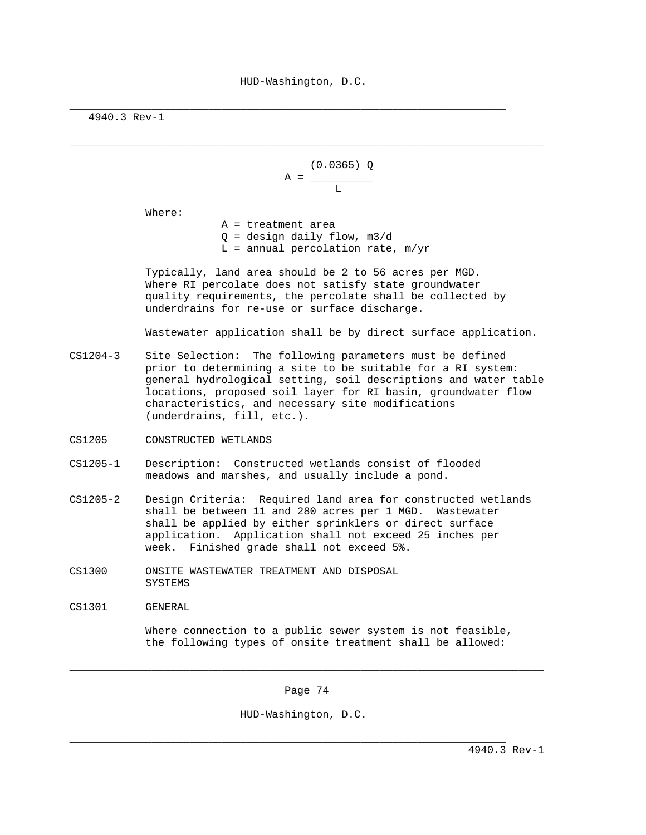\_\_\_\_\_\_\_\_\_\_\_\_\_\_\_\_\_\_\_\_\_\_\_\_\_\_\_\_\_\_\_\_\_\_\_\_\_\_\_\_\_\_\_\_\_\_\_\_\_\_\_\_\_\_\_\_\_\_\_\_\_\_\_\_\_\_\_\_\_\_\_\_\_\_\_

\_\_\_\_\_\_\_\_\_\_\_\_\_\_\_\_\_\_\_\_\_\_\_\_\_\_\_\_\_\_\_\_\_\_\_\_\_\_\_\_\_\_\_\_\_\_\_\_\_\_\_\_\_\_\_\_\_\_\_\_\_\_\_\_\_\_\_\_\_

4940.3 Rev-1

```
 (0.0365) Q 
                                                        A = \_Lating the Community of the Community of the Community of the Community of the Community of the Community of
```
Where:

 A = treatment area  $Q =$  design daily flow,  $m3/d$  $L =$  annual percolation rate,  $m/yr$ 

 Typically, land area should be 2 to 56 acres per MGD. Where RI percolate does not satisfy state groundwater quality requirements, the percolate shall be collected by underdrains for re-use or surface discharge.

Wastewater application shall be by direct surface application.

CS1204-3 Site Selection: The following parameters must be defined prior to determining a site to be suitable for a RI system: general hydrological setting, soil descriptions and water table locations, proposed soil layer for RI basin, groundwater flow characteristics, and necessary site modifications (underdrains, fill, etc.).

- CS1205 CONSTRUCTED WETLANDS
- CS1205-1 Description: Constructed wetlands consist of flooded meadows and marshes, and usually include a pond.
- CS1205-2 Design Criteria: Required land area for constructed wetlands shall be between 11 and 280 acres per 1 MGD. Wastewater shall be applied by either sprinklers or direct surface application. Application shall not exceed 25 inches per week. Finished grade shall not exceed 5%.
- CS1300 ONSITE WASTEWATER TREATMENT AND DISPOSAL SYSTEMS
- CS1301 GENERAL

 Where connection to a public sewer system is not feasible, the following types of onsite treatment shall be allowed:

Page 74

\_\_\_\_\_\_\_\_\_\_\_\_\_\_\_\_\_\_\_\_\_\_\_\_\_\_\_\_\_\_\_\_\_\_\_\_\_\_\_\_\_\_\_\_\_\_\_\_\_\_\_\_\_\_\_\_\_\_\_\_\_\_\_\_\_\_\_\_\_\_\_\_\_\_\_

HUD-Washington, D.C.

\_\_\_\_\_\_\_\_\_\_\_\_\_\_\_\_\_\_\_\_\_\_\_\_\_\_\_\_\_\_\_\_\_\_\_\_\_\_\_\_\_\_\_\_\_\_\_\_\_\_\_\_\_\_\_\_\_\_\_\_\_\_\_\_\_\_\_\_\_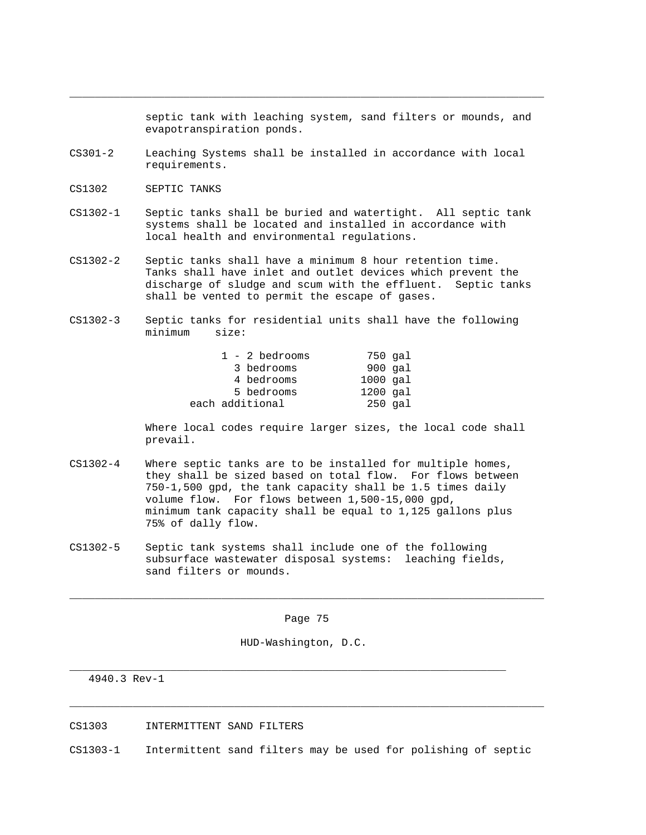septic tank with leaching system, sand filters or mounds, and evapotranspiration ponds.

CS301-2 Leaching Systems shall be installed in accordance with local requirements.

\_\_\_\_\_\_\_\_\_\_\_\_\_\_\_\_\_\_\_\_\_\_\_\_\_\_\_\_\_\_\_\_\_\_\_\_\_\_\_\_\_\_\_\_\_\_\_\_\_\_\_\_\_\_\_\_\_\_\_\_\_\_\_\_\_\_\_\_\_\_\_\_\_\_\_

- CS1302 SEPTIC TANKS
- CS1302-1 Septic tanks shall be buried and watertight. All septic tank systems shall be located and installed in accordance with local health and environmental regulations.
- CS1302-2 Septic tanks shall have a minimum 8 hour retention time. Tanks shall have inlet and outlet devices which prevent the discharge of sludge and scum with the effluent. Septic tanks shall be vented to permit the escape of gases.
- CS1302-3 Septic tanks for residential units shall have the following minimum size:

| $1 - 2$ bedrooms | 750 gal      |
|------------------|--------------|
| 3 bedrooms       | $900$ $qal$  |
| 4 bedrooms       | $1000$ $qal$ |
| 5 bedrooms       | $1200$ $qal$ |
| each additional  | $250$ qal    |

 Where local codes require larger sizes, the local code shall prevail.

- CS1302-4 Where septic tanks are to be installed for multiple homes, they shall be sized based on total flow. For flows between 750-1,500 gpd, the tank capacity shall be 1.5 times daily volume flow. For flows between 1,500-15,000 gpd, minimum tank capacity shall be equal to 1,125 gallons plus 75% of dally flow.
- CS1302-5 Septic tank systems shall include one of the following subsurface wastewater disposal systems: leaching fields, sand filters or mounds.

Page 75

\_\_\_\_\_\_\_\_\_\_\_\_\_\_\_\_\_\_\_\_\_\_\_\_\_\_\_\_\_\_\_\_\_\_\_\_\_\_\_\_\_\_\_\_\_\_\_\_\_\_\_\_\_\_\_\_\_\_\_\_\_\_\_\_\_\_\_\_\_\_\_\_\_\_\_

HUD-Washington, D.C.

\_\_\_\_\_\_\_\_\_\_\_\_\_\_\_\_\_\_\_\_\_\_\_\_\_\_\_\_\_\_\_\_\_\_\_\_\_\_\_\_\_\_\_\_\_\_\_\_\_\_\_\_\_\_\_\_\_\_\_\_\_\_\_\_\_\_\_\_\_

4940.3 Rev-1

CS1303 INTERMITTENT SAND FILTERS

CS1303-1 Intermittent sand filters may be used for polishing of septic

\_\_\_\_\_\_\_\_\_\_\_\_\_\_\_\_\_\_\_\_\_\_\_\_\_\_\_\_\_\_\_\_\_\_\_\_\_\_\_\_\_\_\_\_\_\_\_\_\_\_\_\_\_\_\_\_\_\_\_\_\_\_\_\_\_\_\_\_\_\_\_\_\_\_\_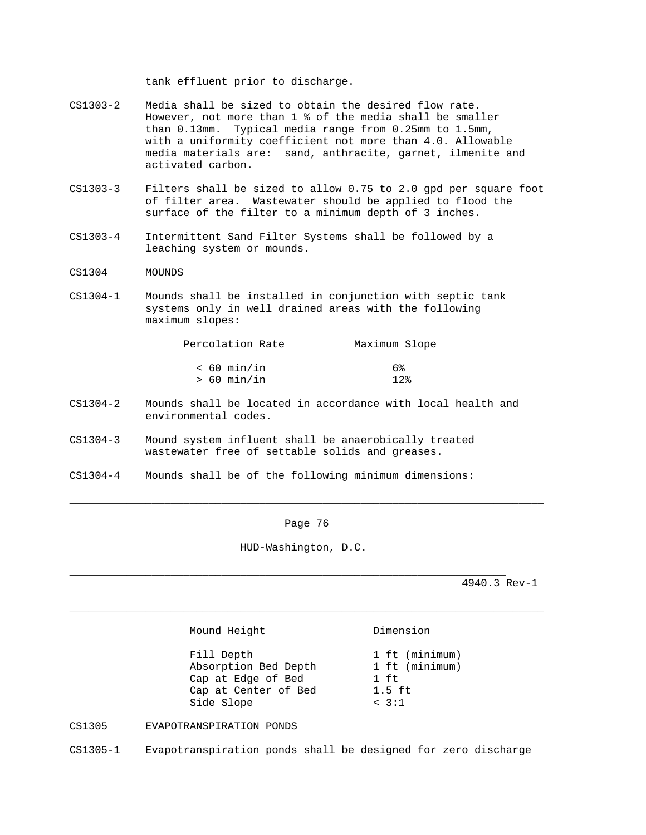tank effluent prior to discharge.

- CS1303-2 Media shall be sized to obtain the desired flow rate. However, not more than 1 % of the media shall be smaller than 0.13mm. Typical media range from 0.25mm to 1.5mm, with a uniformity coefficient not more than 4.0. Allowable media materials are: sand, anthracite, garnet, ilmenite and activated carbon.
- CS1303-3 Filters shall be sized to allow 0.75 to 2.0 gpd per square foot of filter area. Wastewater should be applied to flood the surface of the filter to a minimum depth of 3 inches.
- CS1303-4 Intermittent Sand Filter Systems shall be followed by a leaching system or mounds.
- CS1304 MOUNDS
- CS1304-1 Mounds shall be installed in conjunction with septic tank systems only in well drained areas with the following maximum slopes:

| Percolation Rate | Maximum Slope |
|------------------|---------------|
| $< 60$ min/in    | 6%            |
| > 60 min/in      | $12$ $\circ$  |

- CS1304-2 Mounds shall be located in accordance with local health and environmental codes.
- CS1304-3 Mound system influent shall be anaerobically treated wastewater free of settable solids and greases.
- CS1304-4 Mounds shall be of the following minimum dimensions:

Page 76

\_\_\_\_\_\_\_\_\_\_\_\_\_\_\_\_\_\_\_\_\_\_\_\_\_\_\_\_\_\_\_\_\_\_\_\_\_\_\_\_\_\_\_\_\_\_\_\_\_\_\_\_\_\_\_\_\_\_\_\_\_\_\_\_\_\_\_\_\_\_\_\_\_\_\_

HUD-Washington, D.C.

\_\_\_\_\_\_\_\_\_\_\_\_\_\_\_\_\_\_\_\_\_\_\_\_\_\_\_\_\_\_\_\_\_\_\_\_\_\_\_\_\_\_\_\_\_\_\_\_\_\_\_\_\_\_\_\_\_\_\_\_\_\_\_\_\_\_\_\_\_\_\_\_\_\_\_

\_\_\_\_\_\_\_\_\_\_\_\_\_\_\_\_\_\_\_\_\_\_\_\_\_\_\_\_\_\_\_\_\_\_\_\_\_\_\_\_\_\_\_\_\_\_\_\_\_\_\_\_\_\_\_\_\_\_\_\_\_\_\_\_\_\_\_\_\_

4940.3 Rev-1

Mound Height **Dimension** 

Fill Depth 1 ft (minimum)<br>Absorption Bed Depth 1 ft (minimum) Absorption Bed Depth Cap at Edge of Bed 1 ft<br>Cap at Center of Bed 1.5 ft Cap at Center of Bed Side Slope < 3:1

CS1305 EVAPOTRANSPIRATION PONDS

CS1305-1 Evapotranspiration ponds shall be designed for zero discharge